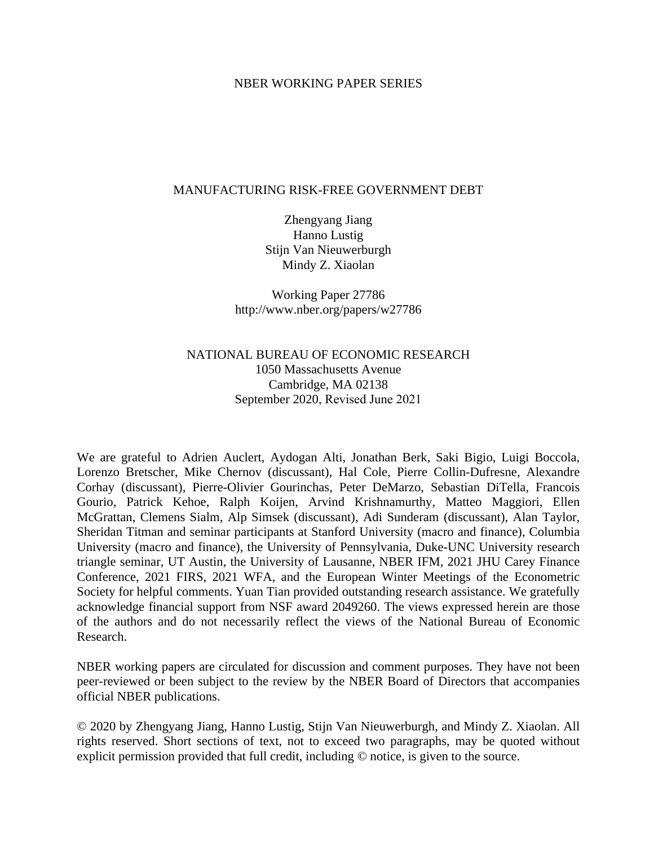### NBER WORKING PAPER SERIES

### MANUFACTURING RISK-FREE GOVERNMENT DEBT

Zhengyang Jiang Hanno Lustig Stijn Van Nieuwerburgh Mindy Z. Xiaolan

Working Paper 27786 http://www.nber.org/papers/w27786

## NATIONAL BUREAU OF ECONOMIC RESEARCH 1050 Massachusetts Avenue Cambridge, MA 02138 September 2020, Revised June 2021

We are grateful to Adrien Auclert, Aydogan Alti, Jonathan Berk, Saki Bigio, Luigi Boccola, Lorenzo Bretscher, Mike Chernov (discussant), Hal Cole, Pierre Collin-Dufresne, Alexandre Corhay (discussant), Pierre-Olivier Gourinchas, Peter DeMarzo, Sebastian DiTella, Francois Gourio, Patrick Kehoe, Ralph Koijen, Arvind Krishnamurthy, Matteo Maggiori, Ellen McGrattan, Clemens Sialm, Alp Simsek (discussant), Adi Sunderam (discussant), Alan Taylor, Sheridan Titman and seminar participants at Stanford University (macro and finance), Columbia University (macro and finance), the University of Pennsylvania, Duke-UNC University research triangle seminar, UT Austin, the University of Lausanne, NBER IFM, 2021 JHU Carey Finance Conference, 2021 FIRS, 2021 WFA, and the European Winter Meetings of the Econometric Society for helpful comments. Yuan Tian provided outstanding research assistance. We gratefully acknowledge financial support from NSF award 2049260. The views expressed herein are those of the authors and do not necessarily reflect the views of the National Bureau of Economic Research.

NBER working papers are circulated for discussion and comment purposes. They have not been peer-reviewed or been subject to the review by the NBER Board of Directors that accompanies official NBER publications.

© 2020 by Zhengyang Jiang, Hanno Lustig, Stijn Van Nieuwerburgh, and Mindy Z. Xiaolan. All rights reserved. Short sections of text, not to exceed two paragraphs, may be quoted without explicit permission provided that full credit, including © notice, is given to the source.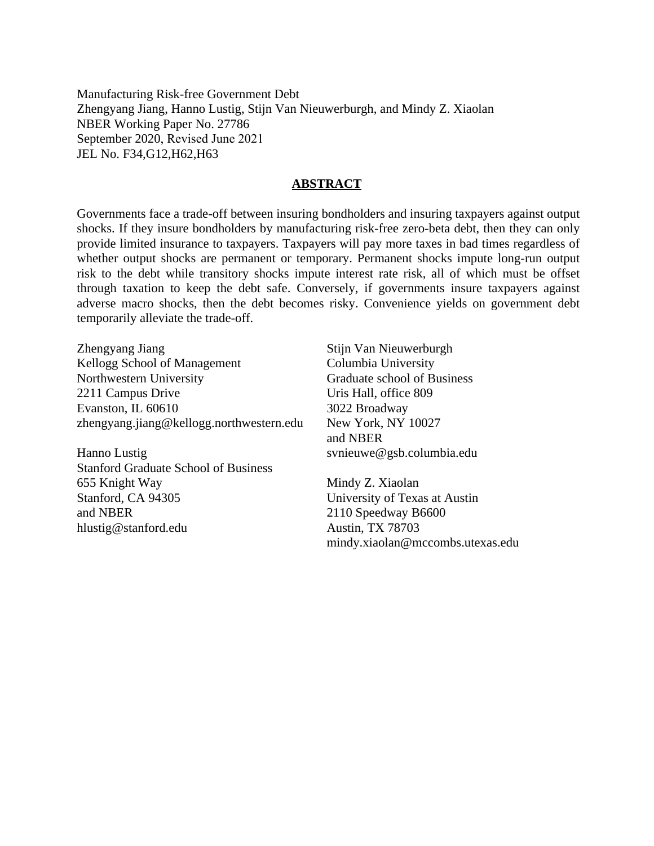Manufacturing Risk-free Government Debt Zhengyang Jiang, Hanno Lustig, Stijn Van Nieuwerburgh, and Mindy Z. Xiaolan NBER Working Paper No. 27786 September 2020, Revised June 2021 JEL No. F34,G12,H62,H63

### **ABSTRACT**

Governments face a trade-off between insuring bondholders and insuring taxpayers against output shocks. If they insure bondholders by manufacturing risk-free zero-beta debt, then they can only provide limited insurance to taxpayers. Taxpayers will pay more taxes in bad times regardless of whether output shocks are permanent or temporary. Permanent shocks impute long-run output risk to the debt while transitory shocks impute interest rate risk, all of which must be offset through taxation to keep the debt safe. Conversely, if governments insure taxpayers against adverse macro shocks, then the debt becomes risky. Convenience yields on government debt temporarily alleviate the trade-off.

Zhengyang Jiang Kellogg School of Management Northwestern University 2211 Campus Drive Evanston, IL 60610 zhengyang.jiang@kellogg.northwestern.edu

Hanno Lustig Stanford Graduate School of Business 655 Knight Way Stanford, CA 94305 and NBER hlustig@stanford.edu

Stijn Van Nieuwerburgh Columbia University Graduate school of Business Uris Hall, office 809 3022 Broadway New York, NY 10027 and NBER svnieuwe@gsb.columbia.edu

Mindy Z. Xiaolan University of Texas at Austin 2110 Speedway B6600 Austin, TX 78703 mindy.xiaolan@mccombs.utexas.edu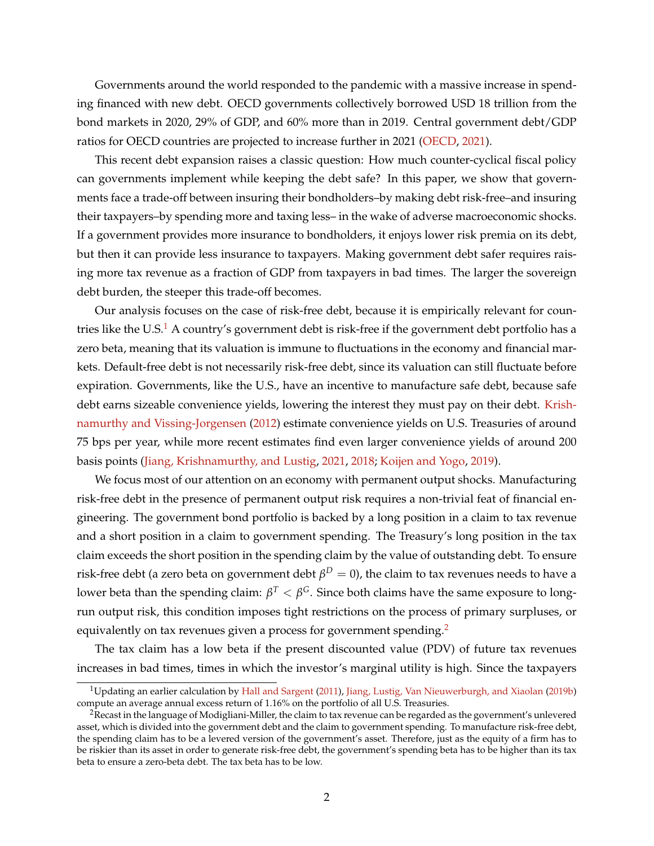Governments around the world responded to the pandemic with a massive increase in spending financed with new debt. OECD governments collectively borrowed USD 18 trillion from the bond markets in 2020, 29% of GDP, and 60% more than in 2019. Central government debt/GDP ratios for OECD countries are projected to increase further in 2021 [\(OECD,](#page-40-0) [2021\)](#page-40-0).

This recent debt expansion raises a classic question: How much counter-cyclical fiscal policy can governments implement while keeping the debt safe? In this paper, we show that governments face a trade-off between insuring their bondholders–by making debt risk-free–and insuring their taxpayers–by spending more and taxing less– in the wake of adverse macroeconomic shocks. If a government provides more insurance to bondholders, it enjoys lower risk premia on its debt, but then it can provide less insurance to taxpayers. Making government debt safer requires raising more tax revenue as a fraction of GDP from taxpayers in bad times. The larger the sovereign debt burden, the steeper this trade-off becomes.

Our analysis focuses on the case of risk-free debt, because it is empirically relevant for coun-tries like the U.S.<sup>[1](#page-2-0)</sup> A country's government debt is risk-free if the government debt portfolio has a zero beta, meaning that its valuation is immune to fluctuations in the economy and financial markets. Default-free debt is not necessarily risk-free debt, since its valuation can still fluctuate before expiration. Governments, like the U.S., have an incentive to manufacture safe debt, because safe debt earns sizeable convenience yields, lowering the interest they must pay on their debt. [Krish](#page-40-1)[namurthy and Vissing-Jorgensen](#page-40-1) [\(2012\)](#page-40-1) estimate convenience yields on U.S. Treasuries of around 75 bps per year, while more recent estimates find even larger convenience yields of around 200 basis points [\(Jiang, Krishnamurthy, and Lustig,](#page-39-0) [2021,](#page-39-0) [2018;](#page-39-1) [Koijen and Yogo,](#page-40-2) [2019\)](#page-40-2).

We focus most of our attention on an economy with permanent output shocks. Manufacturing risk-free debt in the presence of permanent output risk requires a non-trivial feat of financial engineering. The government bond portfolio is backed by a long position in a claim to tax revenue and a short position in a claim to government spending. The Treasury's long position in the tax claim exceeds the short position in the spending claim by the value of outstanding debt. To ensure risk-free debt (a zero beta on government debt  $\beta^D=0$ ), the claim to tax revenues needs to have a lower beta than the spending claim:  $\beta^T<\beta^G.$  Since both claims have the same exposure to longrun output risk, this condition imposes tight restrictions on the process of primary surpluses, or equivalently on tax revenues given a process for government spending.<sup>[2](#page-2-1)</sup>

The tax claim has a low beta if the present discounted value (PDV) of future tax revenues increases in bad times, times in which the investor's marginal utility is high. Since the taxpayers

<span id="page-2-0"></span><sup>&</sup>lt;sup>1</sup>Updating an earlier calculation by [Hall and Sargent](#page-39-2) [\(2011\)](#page-39-2), [Jiang, Lustig, Van Nieuwerburgh, and Xiaolan](#page-39-3) [\(2019b\)](#page-39-3) compute an average annual excess return of 1.16% on the portfolio of all U.S. Treasuries.

<span id="page-2-1"></span><sup>&</sup>lt;sup>2</sup>Recast in the language of Modigliani-Miller, the claim to tax revenue can be regarded as the government's unlevered asset, which is divided into the government debt and the claim to government spending. To manufacture risk-free debt, the spending claim has to be a levered version of the government's asset. Therefore, just as the equity of a firm has to be riskier than its asset in order to generate risk-free debt, the government's spending beta has to be higher than its tax beta to ensure a zero-beta debt. The tax beta has to be low.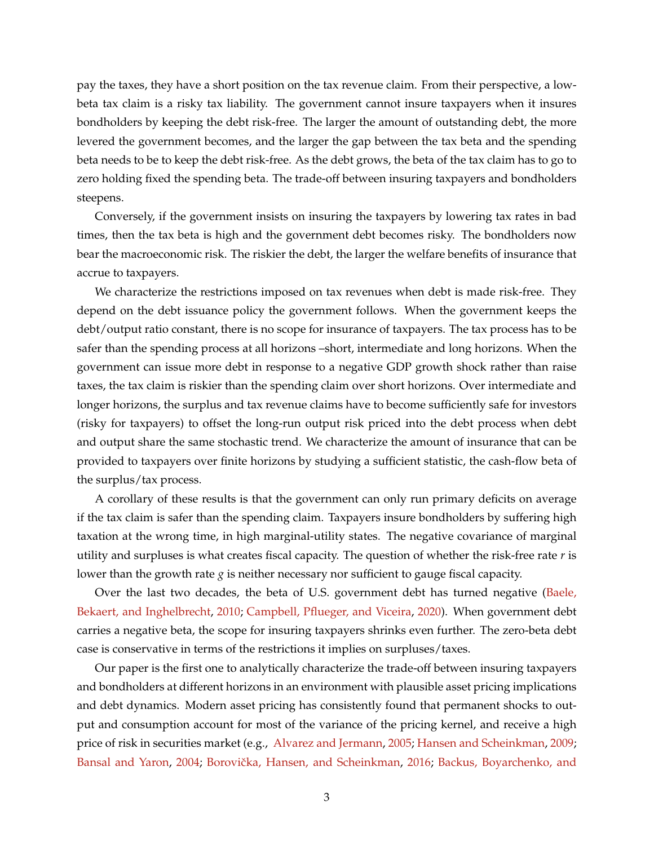pay the taxes, they have a short position on the tax revenue claim. From their perspective, a lowbeta tax claim is a risky tax liability. The government cannot insure taxpayers when it insures bondholders by keeping the debt risk-free. The larger the amount of outstanding debt, the more levered the government becomes, and the larger the gap between the tax beta and the spending beta needs to be to keep the debt risk-free. As the debt grows, the beta of the tax claim has to go to zero holding fixed the spending beta. The trade-off between insuring taxpayers and bondholders steepens.

Conversely, if the government insists on insuring the taxpayers by lowering tax rates in bad times, then the tax beta is high and the government debt becomes risky. The bondholders now bear the macroeconomic risk. The riskier the debt, the larger the welfare benefits of insurance that accrue to taxpayers.

We characterize the restrictions imposed on tax revenues when debt is made risk-free. They depend on the debt issuance policy the government follows. When the government keeps the debt/output ratio constant, there is no scope for insurance of taxpayers. The tax process has to be safer than the spending process at all horizons –short, intermediate and long horizons. When the government can issue more debt in response to a negative GDP growth shock rather than raise taxes, the tax claim is riskier than the spending claim over short horizons. Over intermediate and longer horizons, the surplus and tax revenue claims have to become sufficiently safe for investors (risky for taxpayers) to offset the long-run output risk priced into the debt process when debt and output share the same stochastic trend. We characterize the amount of insurance that can be provided to taxpayers over finite horizons by studying a sufficient statistic, the cash-flow beta of the surplus/tax process.

A corollary of these results is that the government can only run primary deficits on average if the tax claim is safer than the spending claim. Taxpayers insure bondholders by suffering high taxation at the wrong time, in high marginal-utility states. The negative covariance of marginal utility and surpluses is what creates fiscal capacity. The question of whether the risk-free rate *r* is lower than the growth rate *g* is neither necessary nor sufficient to gauge fiscal capacity.

Over the last two decades, the beta of U.S. government debt has turned negative [\(Baele,](#page-37-0) [Bekaert, and Inghelbrecht,](#page-37-0) [2010;](#page-37-0) [Campbell, Pflueger, and Viceira,](#page-38-0) [2020\)](#page-38-0). When government debt carries a negative beta, the scope for insuring taxpayers shrinks even further. The zero-beta debt case is conservative in terms of the restrictions it implies on surpluses/taxes.

Our paper is the first one to analytically characterize the trade-off between insuring taxpayers and bondholders at different horizons in an environment with plausible asset pricing implications and debt dynamics. Modern asset pricing has consistently found that permanent shocks to output and consumption account for most of the variance of the pricing kernel, and receive a high price of risk in securities market (e.g., [Alvarez and Jermann,](#page-36-0) [2005;](#page-36-0) [Hansen and Scheinkman,](#page-39-4) [2009;](#page-39-4) [Bansal and Yaron,](#page-37-1) [2004;](#page-37-1) Borovička, Hansen, and Scheinkman, [2016;](#page-38-1) [Backus, Boyarchenko, and](#page-37-2)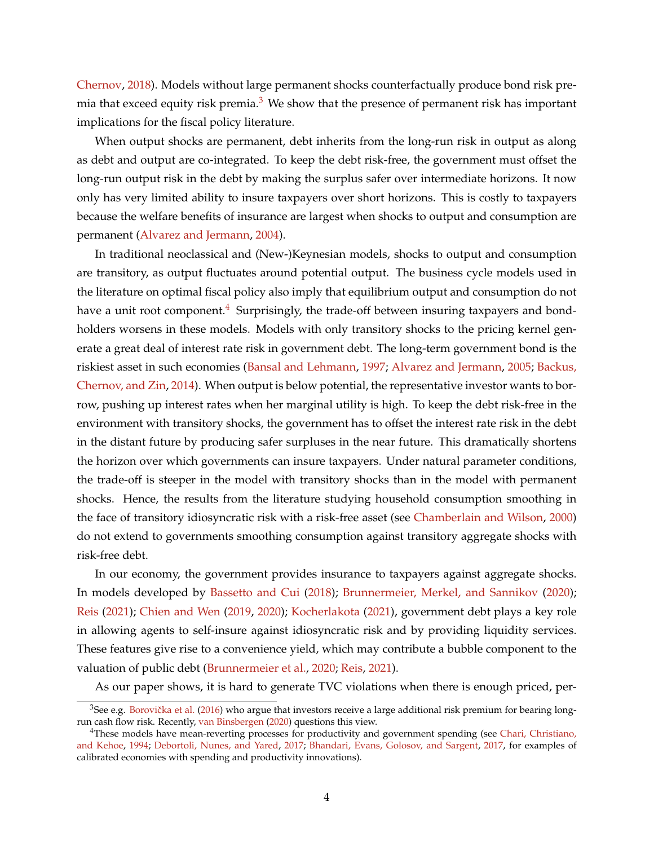[Chernov,](#page-37-2) [2018\)](#page-37-2). Models without large permanent shocks counterfactually produce bond risk premia that exceed equity risk premia. $3$  We show that the presence of permanent risk has important implications for the fiscal policy literature.

When output shocks are permanent, debt inherits from the long-run risk in output as along as debt and output are co-integrated. To keep the debt risk-free, the government must offset the long-run output risk in the debt by making the surplus safer over intermediate horizons. It now only has very limited ability to insure taxpayers over short horizons. This is costly to taxpayers because the welfare benefits of insurance are largest when shocks to output and consumption are permanent [\(Alvarez and Jermann,](#page-36-1) [2004\)](#page-36-1).

In traditional neoclassical and (New-)Keynesian models, shocks to output and consumption are transitory, as output fluctuates around potential output. The business cycle models used in the literature on optimal fiscal policy also imply that equilibrium output and consumption do not have a unit root component.<sup>[4](#page-4-1)</sup> Surprisingly, the trade-off between insuring taxpayers and bondholders worsens in these models. Models with only transitory shocks to the pricing kernel generate a great deal of interest rate risk in government debt. The long-term government bond is the riskiest asset in such economies [\(Bansal and Lehmann,](#page-37-3) [1997;](#page-37-3) [Alvarez and Jermann,](#page-36-0) [2005;](#page-36-0) [Backus,](#page-37-4) [Chernov, and Zin,](#page-37-4) [2014\)](#page-37-4). When output is below potential, the representative investor wants to borrow, pushing up interest rates when her marginal utility is high. To keep the debt risk-free in the environment with transitory shocks, the government has to offset the interest rate risk in the debt in the distant future by producing safer surpluses in the near future. This dramatically shortens the horizon over which governments can insure taxpayers. Under natural parameter conditions, the trade-off is steeper in the model with transitory shocks than in the model with permanent shocks. Hence, the results from the literature studying household consumption smoothing in the face of transitory idiosyncratic risk with a risk-free asset (see [Chamberlain and Wilson,](#page-38-2) [2000\)](#page-38-2) do not extend to governments smoothing consumption against transitory aggregate shocks with risk-free debt.

In our economy, the government provides insurance to taxpayers against aggregate shocks. In models developed by [Bassetto and Cui](#page-37-5) [\(2018\)](#page-37-5); [Brunnermeier, Merkel, and Sannikov](#page-38-3) [\(2020\)](#page-38-3); [Reis](#page-40-3) [\(2021\)](#page-40-3); [Chien and Wen](#page-38-4) [\(2019,](#page-38-4) [2020\)](#page-38-5); [Kocherlakota](#page-39-5) [\(2021\)](#page-39-5), government debt plays a key role in allowing agents to self-insure against idiosyncratic risk and by providing liquidity services. These features give rise to a convenience yield, which may contribute a bubble component to the valuation of public debt [\(Brunnermeier et al.,](#page-38-3) [2020;](#page-38-3) [Reis,](#page-40-3) [2021\)](#page-40-3).

As our paper shows, it is hard to generate TVC violations when there is enough priced, per-

<span id="page-4-0"></span> $3$ See e.g. Borovička et al. [\(2016\)](#page-38-1) who argue that investors receive a large additional risk premium for bearing longrun cash flow risk. Recently, [van Binsbergen](#page-40-4) [\(2020\)](#page-40-4) questions this view.

<span id="page-4-1"></span><sup>&</sup>lt;sup>4</sup>These models have mean-reverting processes for productivity and government spending (see [Chari, Christiano,](#page-38-6) [and Kehoe,](#page-38-6) [1994;](#page-38-6) [Debortoli, Nunes, and Yared,](#page-38-7) [2017;](#page-38-7) [Bhandari, Evans, Golosov, and Sargent,](#page-37-6) [2017,](#page-37-6) for examples of calibrated economies with spending and productivity innovations).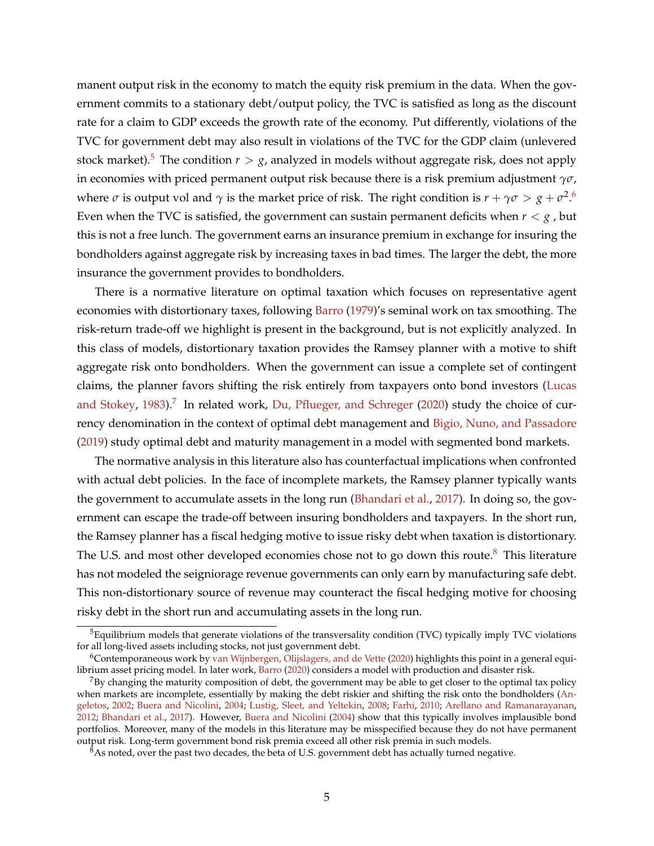manent output risk in the economy to match the equity risk premium in the data. When the government commits to a stationary debt/output policy, the TVC is satisfied as long as the discount rate for a claim to GDP exceeds the growth rate of the economy. Put differently, violations of the TVC for government debt may also result in violations of the TVC for the GDP claim (unlevered stock market).<sup>[5](#page-5-0)</sup> The condition  $r > g$ , analyzed in models without aggregate risk, does not apply in economies with priced permanent output risk because there is a risk premium adjustment *γσ*, where  $\sigma$  is output vol and  $\gamma$  is the market price of risk. The right condition is  $r + \gamma \sigma > g + \sigma^2$ .<sup>[6](#page-5-1)</sup> Even when the TVC is satisfied, the government can sustain permanent deficits when  $r < g$ , but this is not a free lunch. The government earns an insurance premium in exchange for insuring the bondholders against aggregate risk by increasing taxes in bad times. The larger the debt, the more insurance the government provides to bondholders.

There is a normative literature on optimal taxation which focuses on representative agent economies with distortionary taxes, following [Barro](#page-37-7) [\(1979\)](#page-37-7)'s seminal work on tax smoothing. The risk-return trade-off we highlight is present in the background, but is not explicitly analyzed. In this class of models, distortionary taxation provides the Ramsey planner with a motive to shift aggregate risk onto bondholders. When the government can issue a complete set of contingent claims, the planner favors shifting the risk entirely from taxpayers onto bond investors [\(Lucas](#page-40-5) [and Stokey,](#page-40-5) [1983\)](#page-40-5).<sup>[7](#page-5-2)</sup> In related work, [Du, Pflueger, and Schreger](#page-38-8) [\(2020\)](#page-38-8) study the choice of currency denomination in the context of optimal debt management and [Bigio, Nuno, and Passadore](#page-37-8) [\(2019\)](#page-37-8) study optimal debt and maturity management in a model with segmented bond markets.

The normative analysis in this literature also has counterfactual implications when confronted with actual debt policies. In the face of incomplete markets, the Ramsey planner typically wants the government to accumulate assets in the long run [\(Bhandari et al.,](#page-37-6) [2017\)](#page-37-6). In doing so, the government can escape the trade-off between insuring bondholders and taxpayers. In the short run, the Ramsey planner has a fiscal hedging motive to issue risky debt when taxation is distortionary. The U.S. and most other developed economies chose not to go down this route. $8$  This literature has not modeled the seigniorage revenue governments can only earn by manufacturing safe debt. This non-distortionary source of revenue may counteract the fiscal hedging motive for choosing risky debt in the short run and accumulating assets in the long run.

<span id="page-5-0"></span> $5$ Equilibrium models that generate violations of the transversality condition (TVC) typically imply TVC violations for all long-lived assets including stocks, not just government debt.

<span id="page-5-1"></span><sup>6</sup>Contemporaneous work by [van Wijnbergen, Olijslagers, and de Vette](#page-40-6) [\(2020\)](#page-40-6) highlights this point in a general equilibrium asset pricing model. In later work, [Barro](#page-37-9) [\(2020\)](#page-37-9) considers a model with production and disaster risk.

<span id="page-5-2"></span> $7By$  changing the maturity composition of debt, the government may be able to get closer to the optimal tax policy when markets are incomplete, essentially by making the debt riskier and shifting the risk onto the bondholders [\(An](#page-37-10)[geletos,](#page-37-10) [2002;](#page-37-10) [Buera and Nicolini,](#page-38-9) [2004;](#page-38-9) [Lustig, Sleet, and Yeltekin,](#page-40-7) [2008;](#page-40-7) [Farhi,](#page-39-6) [2010;](#page-39-6) [Arellano and Ramanarayanan,](#page-37-11) [2012;](#page-37-11) [Bhandari et al.,](#page-37-6) [2017\)](#page-37-6). However, [Buera and Nicolini](#page-38-9) [\(2004\)](#page-38-9) show that this typically involves implausible bond portfolios. Moreover, many of the models in this literature may be misspecified because they do not have permanent output risk. Long-term government bond risk premia exceed all other risk premia in such models.

<span id="page-5-3"></span> $8As$  noted, over the past two decades, the beta of U.S. government debt has actually turned negative.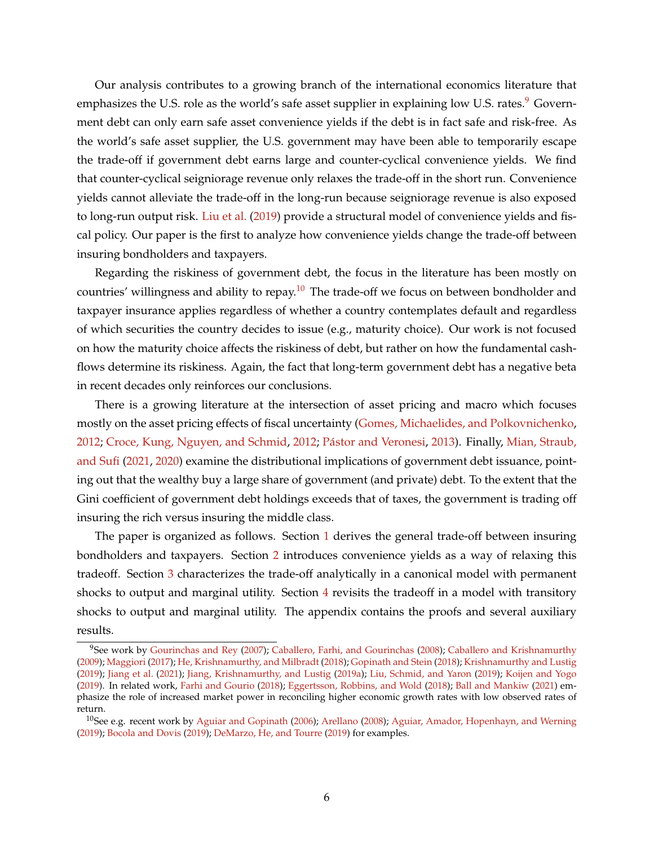Our analysis contributes to a growing branch of the international economics literature that emphasizes the U.S. role as the world's safe asset supplier in explaining low U.S. rates.<sup>[9](#page-6-0)</sup> Government debt can only earn safe asset convenience yields if the debt is in fact safe and risk-free. As the world's safe asset supplier, the U.S. government may have been able to temporarily escape the trade-off if government debt earns large and counter-cyclical convenience yields. We find that counter-cyclical seigniorage revenue only relaxes the trade-off in the short run. Convenience yields cannot alleviate the trade-off in the long-run because seigniorage revenue is also exposed to long-run output risk. [Liu et al.](#page-40-8) [\(2019\)](#page-40-8) provide a structural model of convenience yields and fiscal policy. Our paper is the first to analyze how convenience yields change the trade-off between insuring bondholders and taxpayers.

Regarding the riskiness of government debt, the focus in the literature has been mostly on countries' willingness and ability to repay.<sup>[10](#page-6-1)</sup> The trade-off we focus on between bondholder and taxpayer insurance applies regardless of whether a country contemplates default and regardless of which securities the country decides to issue (e.g., maturity choice). Our work is not focused on how the maturity choice affects the riskiness of debt, but rather on how the fundamental cashflows determine its riskiness. Again, the fact that long-term government debt has a negative beta in recent decades only reinforces our conclusions.

There is a growing literature at the intersection of asset pricing and macro which focuses mostly on the asset pricing effects of fiscal uncertainty [\(Gomes, Michaelides, and Polkovnichenko,](#page-39-7) [2012;](#page-38-10) [Croce, Kung, Nguyen, and Schmid,](#page-38-10) 2012; Pástor and Veronesi, [2013\)](#page-40-9). Finally, [Mian, Straub,](#page-40-10) [and Sufi](#page-40-10) [\(2021,](#page-40-10) [2020\)](#page-40-11) examine the distributional implications of government debt issuance, pointing out that the wealthy buy a large share of government (and private) debt. To the extent that the Gini coefficient of government debt holdings exceeds that of taxes, the government is trading off insuring the rich versus insuring the middle class.

The paper is organized as follows. Section [1](#page-7-0) derives the general trade-off between insuring bondholders and taxpayers. Section [2](#page-14-0) introduces convenience yields as a way of relaxing this tradeoff. Section [3](#page-17-0) characterizes the trade-off analytically in a canonical model with permanent shocks to output and marginal utility. Section [4](#page-33-0) revisits the tradeoff in a model with transitory shocks to output and marginal utility. The appendix contains the proofs and several auxiliary results.

<span id="page-6-0"></span><sup>9</sup>See work by [Gourinchas and Rey](#page-39-8) [\(2007\)](#page-39-8); [Caballero, Farhi, and Gourinchas](#page-38-11) [\(2008\)](#page-38-11); [Caballero and Krishnamurthy](#page-38-12) [\(2009\)](#page-38-12); [Maggiori](#page-40-12) [\(2017\)](#page-40-12); [He, Krishnamurthy, and Milbradt](#page-39-9) [\(2018\)](#page-39-9); [Gopinath and Stein](#page-39-10) [\(2018\)](#page-39-10); [Krishnamurthy and Lustig](#page-40-13) [\(2019\)](#page-40-13); [Jiang et al.](#page-39-0) [\(2021\)](#page-39-0); [Jiang, Krishnamurthy, and Lustig](#page-39-11) [\(2019a\)](#page-39-11); [Liu, Schmid, and Yaron](#page-40-8) [\(2019\)](#page-40-8); [Koijen and Yogo](#page-40-2) [\(2019\)](#page-40-2). In related work, [Farhi and Gourio](#page-39-12) [\(2018\)](#page-39-12); [Eggertsson, Robbins, and Wold](#page-39-13) [\(2018\)](#page-39-13); [Ball and Mankiw](#page-37-12) [\(2021\)](#page-37-12) emphasize the role of increased market power in reconciling higher economic growth rates with low observed rates of return.

<span id="page-6-1"></span><sup>&</sup>lt;sup>10</sup>See e.g. recent work by [Aguiar and Gopinath](#page-36-2) [\(2006\)](#page-36-2); [Arellano](#page-37-13) [\(2008\)](#page-37-13); [Aguiar, Amador, Hopenhayn, and Werning](#page-36-3) [\(2019\)](#page-36-3); [Bocola and Dovis](#page-37-14) [\(2019\)](#page-37-14); [DeMarzo, He, and Tourre](#page-38-13) [\(2019\)](#page-38-13) for examples.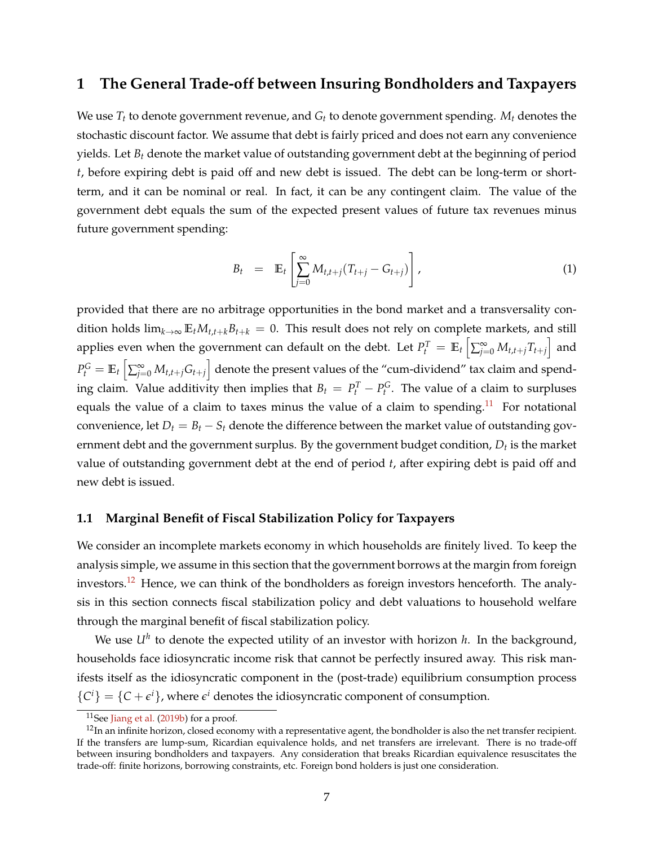# <span id="page-7-0"></span>**1 The General Trade-off between Insuring Bondholders and Taxpayers**

We use *T<sup>t</sup>* to denote government revenue, and *G<sup>t</sup>* to denote government spending. *M<sup>t</sup>* denotes the stochastic discount factor. We assume that debt is fairly priced and does not earn any convenience yields. Let *B<sup>t</sup>* denote the market value of outstanding government debt at the beginning of period *t*, before expiring debt is paid off and new debt is issued. The debt can be long-term or shortterm, and it can be nominal or real. In fact, it can be any contingent claim. The value of the government debt equals the sum of the expected present values of future tax revenues minus future government spending:

<span id="page-7-3"></span>
$$
B_t = \mathbb{E}_t \left[ \sum_{j=0}^{\infty} M_{t,t+j} (T_{t+j} - G_{t+j}) \right], \qquad (1)
$$

provided that there are no arbitrage opportunities in the bond market and a transversality condition holds  $\lim_{k\to\infty}$   $\mathbb{E}_t M_{t,t+k}$ *B*<sub>*t*+*k*</sub> = 0. This result does not rely on complete markets, and still applies even when the government can default on the debt. Let  $P_t^T = \mathbb{E}_t\left[\sum_{j=0}^\infty M_{t,t+j}T_{t+j}\right]$  and  $P_t^G = \mathbb{E}_t\left[\sum_{j=0}^{\infty}M_{t,t+j}G_{t+j}\right]$  denote the present values of the "cum-dividend" tax claim and spending claim. Value additivity then implies that  $B_t = P_t^T - P_t^G$ . The value of a claim to surpluses equals the value of a claim to taxes minus the value of a claim to spending.<sup>[11](#page-7-1)</sup> For notational convenience, let  $D_t = B_t - S_t$  denote the difference between the market value of outstanding government debt and the government surplus. By the government budget condition, *D<sup>t</sup>* is the market value of outstanding government debt at the end of period *t*, after expiring debt is paid off and new debt is issued.

#### **1.1 Marginal Benefit of Fiscal Stabilization Policy for Taxpayers**

We consider an incomplete markets economy in which households are finitely lived. To keep the analysis simple, we assume in this section that the government borrows at the margin from foreign investors.<sup>[12](#page-7-2)</sup> Hence, we can think of the bondholders as foreign investors henceforth. The analysis in this section connects fiscal stabilization policy and debt valuations to household welfare through the marginal benefit of fiscal stabilization policy.

We use *U<sup>h</sup>* to denote the expected utility of an investor with horizon *h*. In the background, households face idiosyncratic income risk that cannot be perfectly insured away. This risk manifests itself as the idiosyncratic component in the (post-trade) equilibrium consumption process  ${C<sup>i</sup>} = {C + \epsilon<sup>i</sup>}$ , where  $\epsilon<sup>i</sup>$  denotes the idiosyncratic component of consumption.

<span id="page-7-2"></span><span id="page-7-1"></span> $11$ See [Jiang et al.](#page-39-3) [\(2019b\)](#page-39-3) for a proof.

 $12$ In an infinite horizon, closed economy with a representative agent, the bondholder is also the net transfer recipient. If the transfers are lump-sum, Ricardian equivalence holds, and net transfers are irrelevant. There is no trade-off between insuring bondholders and taxpayers. Any consideration that breaks Ricardian equivalence resuscitates the trade-off: finite horizons, borrowing constraints, etc. Foreign bond holders is just one consideration.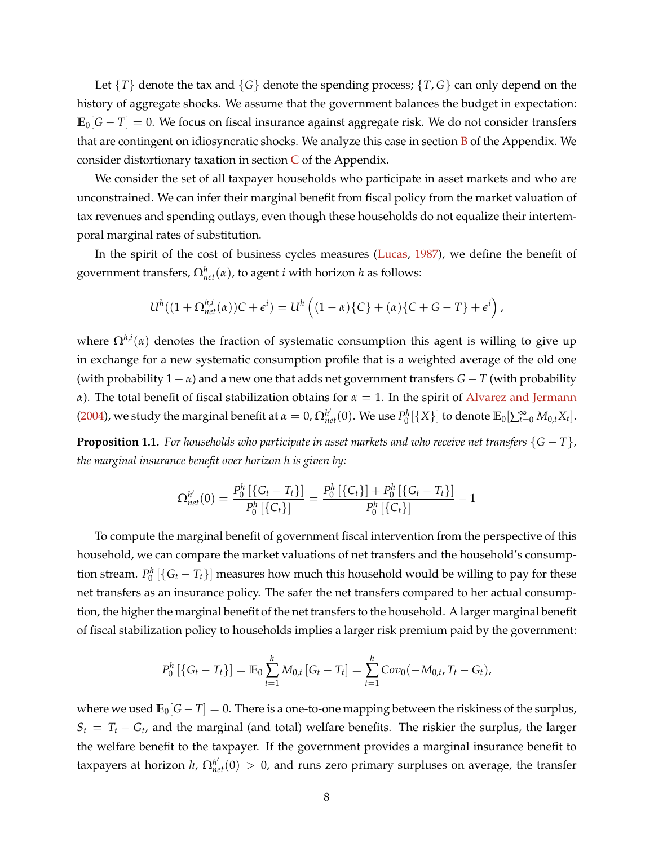Let {*T*} denote the tax and {*G*} denote the spending process; {*T*, *G*} can only depend on the history of aggregate shocks. We assume that the government balances the budget in expectation:  $\mathbb{E}_{0}[G-T] = 0$ . We focus on fiscal insurance against aggregate risk. We do not consider transfers that are contingent on idiosyncratic shocks. We analyze this case in section  $\bf{B}$  $\bf{B}$  $\bf{B}$  of the Appendix. We consider distortionary taxation in section  $C$  of the Appendix.

We consider the set of all taxpayer households who participate in asset markets and who are unconstrained. We can infer their marginal benefit from fiscal policy from the market valuation of tax revenues and spending outlays, even though these households do not equalize their intertemporal marginal rates of substitution.

In the spirit of the cost of business cycles measures [\(Lucas,](#page-40-14) [1987\)](#page-40-14), we define the benefit of government transfers,  $\Omega_{net}^{h}(\alpha)$ , to agent *i* with horizon *h* as follows:

$$
U^h((1+\Omega_{net}^{h,i}(\alpha))C+\epsilon^i)=U^h((1-\alpha)\{C\}+(\alpha)\{C+G-T\}+\epsilon^i),
$$

where Ω*h*,*<sup>i</sup>* (*α*) denotes the fraction of systematic consumption this agent is willing to give up in exchange for a new systematic consumption profile that is a weighted average of the old one (with probability  $1 - \alpha$ ) and a new one that adds net government transfers  $G - T$  (with probability *α*). The total benefit of fiscal stabilization obtains for  $α = 1$ . In the spirit of [Alvarez and Jermann](#page-36-1) [\(2004\)](#page-36-1), we study the marginal benefit at  $\alpha = 0$ ,  $\Omega_{net}^{h'}(0)$ . We use  $P_0^h[\{X\}]$  to denote  $\mathbb{E}_0[\sum_{t=0}^{\infty}M_{0,t}X_t].$ 

<span id="page-8-0"></span>**Proposition 1.1.** *For households who participate in asset markets and who receive net transfers*  $\{G - T\}$ *, the marginal insurance benefit over horizon h is given by:*

$$
\Omega^{h'}_{net}(0) = \frac{P_0^h\left[\left\{G_t - T_t\right\}\right]}{P_0^h\left[\left\{C_t\right\}\right]} = \frac{P_0^h\left[\left\{C_t\right\}\right] + P_0^h\left[\left\{G_t - T_t\right\}\right]}{P_0^h\left[\left\{C_t\right\}\right]} - 1
$$

To compute the marginal benefit of government fiscal intervention from the perspective of this household, we can compare the market valuations of net transfers and the household's consumption stream.  $P_0^h$   $[\{G_t-T_t\}]$  measures how much this household would be willing to pay for these net transfers as an insurance policy. The safer the net transfers compared to her actual consumption, the higher the marginal benefit of the net transfers to the household. A larger marginal benefit of fiscal stabilization policy to households implies a larger risk premium paid by the government:

$$
P_0^h\left[\left\{G_t-T_t\right\}\right]=\mathbb{E}_0\sum_{t=1}^h M_{0,t}\left[G_t-T_t\right]=\sum_{t=1}^h Cov_0(-M_{0,t},T_t-G_t),
$$

where we used  $\mathbb{E}_0[G - T] = 0$ . There is a one-to-one mapping between the riskiness of the surplus,  $S_t = T_t - G_t$ , and the marginal (and total) welfare benefits. The riskier the surplus, the larger the welfare benefit to the taxpayer. If the government provides a marginal insurance benefit to taxpayers at horizon *h*,  $\Omega_{net}^{h'}(0) > 0$ , and runs zero primary surpluses on average, the transfer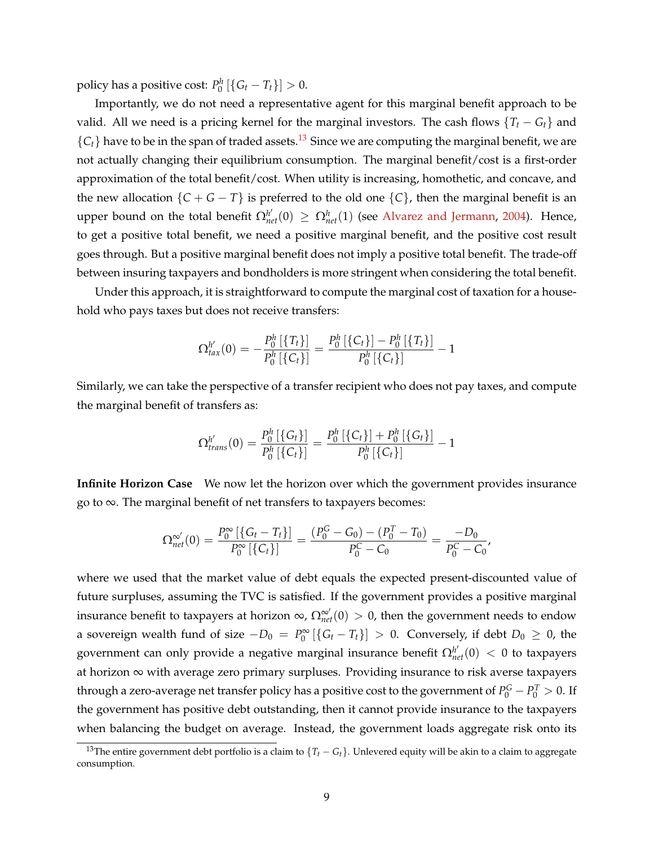policy has a positive cost:  $P_0^h$   $[\{G_t - T_t\}] > 0$ .

Importantly, we do not need a representative agent for this marginal benefit approach to be valid. All we need is a pricing kernel for the marginal investors. The cash flows  ${T<sub>t</sub> - G<sub>t</sub>}$  and  ${C_t}$  have to be in the span of traded assets.<sup>[13](#page-9-0)</sup> Since we are computing the marginal benefit, we are not actually changing their equilibrium consumption. The marginal benefit/cost is a first-order approximation of the total benefit/cost. When utility is increasing, homothetic, and concave, and the new allocation  $\{C + G - T\}$  is preferred to the old one  $\{C\}$ , then the marginal benefit is an upper bound on the total benefit  $\Omega_{net}^{h'}(0) \geq \Omega_{net}^{h}(1)$  (see [Alvarez and Jermann,](#page-36-1) [2004\)](#page-36-1). Hence, to get a positive total benefit, we need a positive marginal benefit, and the positive cost result goes through. But a positive marginal benefit does not imply a positive total benefit. The trade-off between insuring taxpayers and bondholders is more stringent when considering the total benefit.

Under this approach, it is straightforward to compute the marginal cost of taxation for a household who pays taxes but does not receive transfers:

$$
\Omega_{tax}^{h'}(0)=-\frac{P_0^h\left[\left\{T_t\right\}\right]}{P_0^h\left[\left\{C_t\right\}\right]}=\frac{P_0^h\left[\left\{C_t\right\}\right]-P_0^h\left[\left\{T_t\right\}\right]}{P_0^h\left[\left\{C_t\right\}\right]}-1
$$

Similarly, we can take the perspective of a transfer recipient who does not pay taxes, and compute the marginal benefit of transfers as:

$$
\Omega^{h'}_{trans}(0) = \frac{P_0^h \left[ \{G_t\} \right]}{P_0^h \left[ \{C_t\} \right]} = \frac{P_0^h \left[ \{C_t\} \right] + P_0^h \left[ \{G_t\} \right]}{P_0^h \left[ \{C_t\} \right]} - 1
$$

**Infinite Horizon Case** We now let the horizon over which the government provides insurance go to ∞. The marginal benefit of net transfers to taxpayers becomes:

$$
\Omega_{net}^{\infty'}(0) = \frac{P_0^{\infty} \left[ \left\{ G_t - T_t \right\} \right]}{P_0^{\infty} \left[ \left\{ C_t \right\} \right]} = \frac{(P_0^G - G_0) - (P_0^T - T_0)}{P_0^C - C_0} = \frac{-D_0}{P_0^C - C_0},
$$

where we used that the market value of debt equals the expected present-discounted value of future surpluses, assuming the TVC is satisfied. If the government provides a positive marginal insurance benefit to taxpayers at horizon  $\infty$ ,  $\Omega_{net}^{\infty'}(0)>0$ , then the government needs to endow a sovereign wealth fund of size  $-D_0 = P_0^{\infty} [\{G_t - T_t\}] > 0$ . Conversely, if debt  $D_0 \ge 0$ , the government can only provide a negative marginal insurance benefit  $\Omega_{net}^{h'}(0)\, < \, 0$  to taxpayers at horizon ∞ with average zero primary surpluses. Providing insurance to risk averse taxpayers through a zero-average net transfer policy has a positive cost to the government of  $P_0^G - P_0^T > 0$ . If the government has positive debt outstanding, then it cannot provide insurance to the taxpayers when balancing the budget on average. Instead, the government loads aggregate risk onto its

<span id="page-9-0"></span><sup>&</sup>lt;sup>13</sup>The entire government debt portfolio is a claim to  $\{T_t - G_t\}$ . Unlevered equity will be akin to a claim to aggregate consumption.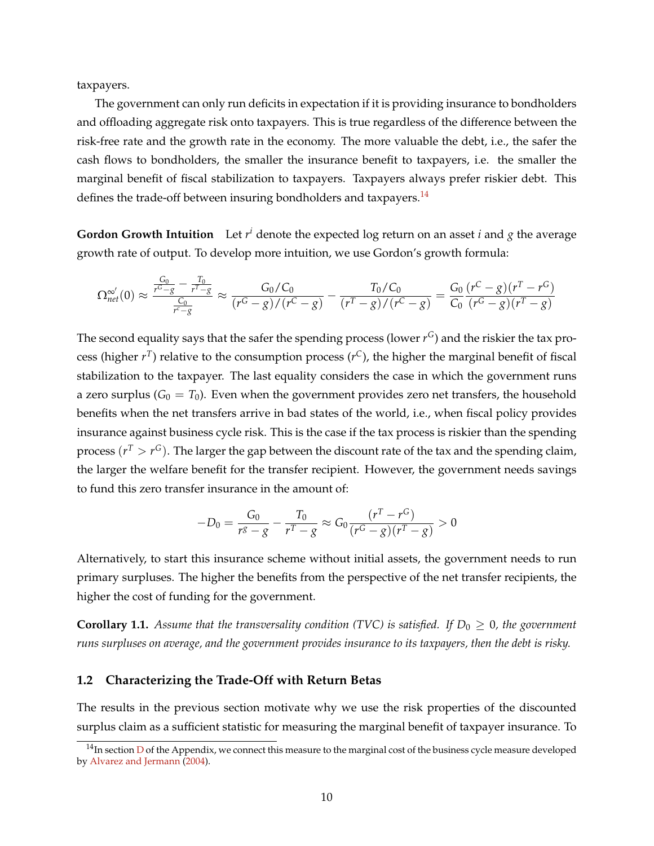taxpayers.

The government can only run deficits in expectation if it is providing insurance to bondholders and offloading aggregate risk onto taxpayers. This is true regardless of the difference between the risk-free rate and the growth rate in the economy. The more valuable the debt, i.e., the safer the cash flows to bondholders, the smaller the insurance benefit to taxpayers, i.e. the smaller the marginal benefit of fiscal stabilization to taxpayers. Taxpayers always prefer riskier debt. This defines the trade-off between insuring bondholders and taxpayers.<sup>[14](#page-10-0)</sup>

**Gordon Growth Intuition** Let *r <sup>i</sup>* denote the expected log return on an asset *i* and *g* the average growth rate of output. To develop more intuition, we use Gordon's growth formula:

$$
\Omega_{net}^{\infty'}(0) \approx \frac{\frac{G_0}{r^G - g} - \frac{T_0}{r^T - g}}{\frac{C_0}{r^G - g}} \approx \frac{G_0/C_0}{(r^G - g)/(r^C - g)} - \frac{T_0/C_0}{(r^T - g)/(r^C - g)} = \frac{G_0}{C_0} \frac{(r^C - g)(r^T - r^G)}{(r^G - g)(r^T - g)}
$$

The second equality says that the safer the spending process (lower  $r^G$ ) and the riskier the tax process (higher *r T* ) relative to the consumption process (*r <sup>C</sup>*), the higher the marginal benefit of fiscal stabilization to the taxpayer. The last equality considers the case in which the government runs a zero surplus  $(G_0 = T_0)$ . Even when the government provides zero net transfers, the household benefits when the net transfers arrive in bad states of the world, i.e., when fiscal policy provides insurance against business cycle risk. This is the case if the tax process is riskier than the spending process  $(r^T > r^G)$ . The larger the gap between the discount rate of the tax and the spending claim, the larger the welfare benefit for the transfer recipient. However, the government needs savings to fund this zero transfer insurance in the amount of:

$$
-D_0 = \frac{G_0}{r^g - g} - \frac{T_0}{r^T - g} \approx G_0 \frac{(r^T - r^G)}{(r^G - g)(r^T - g)} > 0
$$

Alternatively, to start this insurance scheme without initial assets, the government needs to run primary surpluses. The higher the benefits from the perspective of the net transfer recipients, the higher the cost of funding for the government.

<span id="page-10-1"></span>**Corollary 1.1.** *Assume that the transversality condition (TVC) is satisfied. If*  $D_0 \geq 0$ *, the government runs surpluses on average, and the government provides insurance to its taxpayers, then the debt is risky.*

### **1.2 Characterizing the Trade-Off with Return Betas**

The results in the previous section motivate why we use the risk properties of the discounted surplus claim as a sufficient statistic for measuring the marginal benefit of taxpayer insurance. To

<span id="page-10-0"></span> $14$ In section [D](#page-56-0) of the Appendix, we connect this measure to the marginal cost of the business cycle measure developed by [Alvarez and Jermann](#page-36-1) [\(2004\)](#page-36-1).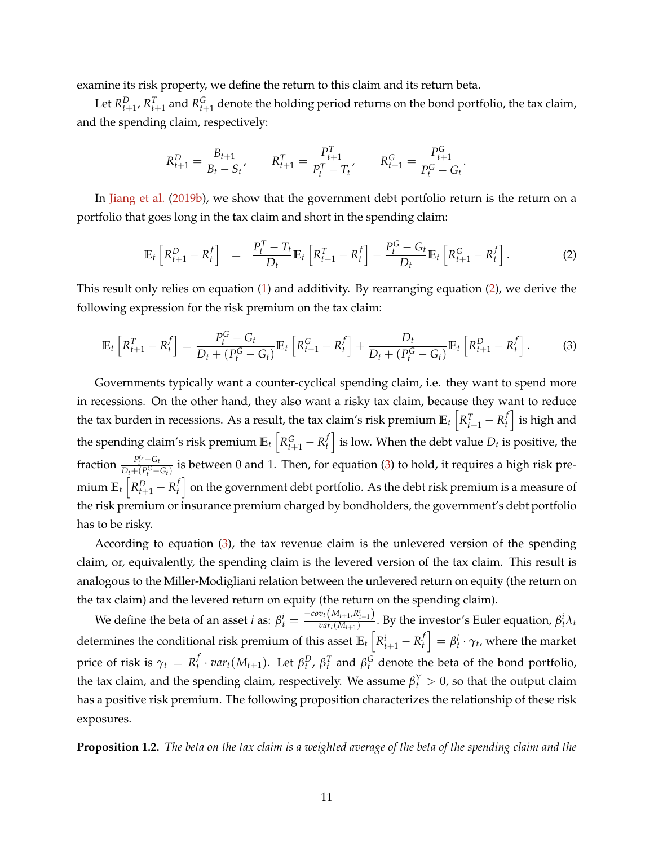examine its risk property, we define the return to this claim and its return beta.

Let  $R_{t+1}^D$ ,  $R_{t+1}^T$  and  $R_{t+1}^G$  denote the holding period returns on the bond portfolio, the tax claim, and the spending claim, respectively:

$$
R_{t+1}^D = \frac{B_{t+1}}{B_t - S_t}, \qquad R_{t+1}^T = \frac{P_{t+1}^T}{P_t^T - T_t}, \qquad R_{t+1}^G = \frac{P_{t+1}^G}{P_t^G - G_t}.
$$

In [Jiang et al.](#page-39-3) [\(2019b\)](#page-39-3), we show that the government debt portfolio return is the return on a portfolio that goes long in the tax claim and short in the spending claim:

<span id="page-11-0"></span>
$$
\mathbb{E}_t\left[R_{t+1}^D - R_t^f\right] = \frac{P_t^T - T_t}{D_t} \mathbb{E}_t\left[R_{t+1}^T - R_t^f\right] - \frac{P_t^G - G_t}{D_t} \mathbb{E}_t\left[R_{t+1}^G - R_t^f\right].
$$
 (2)

This result only relies on equation [\(1\)](#page-7-3) and additivity. By rearranging equation [\(2\)](#page-11-0), we derive the following expression for the risk premium on the tax claim:

<span id="page-11-1"></span>
$$
\mathbb{E}_{t}\left[R_{t+1}^{T} - R_{t}^{f}\right] = \frac{P_{t}^{G} - G_{t}}{D_{t} + (P_{t}^{G} - G_{t})}\mathbb{E}_{t}\left[R_{t+1}^{G} - R_{t}^{f}\right] + \frac{D_{t}}{D_{t} + (P_{t}^{G} - G_{t})}\mathbb{E}_{t}\left[R_{t+1}^{D} - R_{t}^{f}\right].
$$
 (3)

Governments typically want a counter-cyclical spending claim, i.e. they want to spend more in recessions. On the other hand, they also want a risky tax claim, because they want to reduce the tax burden in recessions. As a result, the tax claim's risk premium  $\mathbb{E}_t\left[R_{t+1}^T-R_t^f\right]$  $\left\{ \begin{array}{c} f \end{array} \right\}$  is high and the spending claim's risk premium  $\mathbb{E}_t\left[ R_{t+1}^G - R_t^f \right]$  $\left\{ \begin{matrix} f \ f \end{matrix} \right\}$  is low. When the debt value  $D_t$  is positive, the fraction  $\frac{P_t^G - G_t}{D_t + (P_G^G)}$  $\frac{P_t - Q_t}{D_t + (P_t^G - G_t)}$  is between 0 and 1. Then, for equation [\(3\)](#page-11-1) to hold, it requires a high risk premium  $\mathbb{E}_t\left[R_{t+1}^D-R_t^f\right]$  $\left\{ \begin{matrix} f \end{matrix} \right\}$  on the government debt portfolio. As the debt risk premium is a measure of the risk premium or insurance premium charged by bondholders, the government's debt portfolio has to be risky.

According to equation [\(3\)](#page-11-1), the tax revenue claim is the unlevered version of the spending claim, or, equivalently, the spending claim is the levered version of the tax claim. This result is analogous to the Miller-Modigliani relation between the unlevered return on equity (the return on the tax claim) and the levered return on equity (the return on the spending claim).

We define the beta of an asset *i* as:  $\beta_t^i = \frac{-cov_t(M_{t+1}, R_{t+1}^i)}{var_t(M_{t+1})}$  $\frac{\partial^{t} \left( M_{t+1}, N_{t+1} \right)}{\partial a r_{t}(M_{t+1})}$ . By the investor's Euler equation,  $\beta^{i}_{t} \lambda_{t}$ determines the conditional risk premium of this asset  $\mathbb{E}_t\left[R_{t+1}^i - R_t^f\right]$  $\left\{ \boldsymbol{\beta}_t^i \cdot \gamma_t \right\}$ , where the market price of risk is  $\gamma_t = R_t^f$  $\mathcal{F}_t^f \cdot \textit{var}_t(M_{t+1})$ . Let  $\beta_t^D$ ,  $\beta_t^T$  and  $\beta_t^G$  denote the beta of the bond portfolio, the tax claim, and the spending claim, respectively. We assume  $\beta_t^Y > 0$ , so that the output claim has a positive risk premium. The following proposition characterizes the relationship of these risk exposures.

<span id="page-11-2"></span>**Proposition 1.2.** *The beta on the tax claim is a weighted average of the beta of the spending claim and the*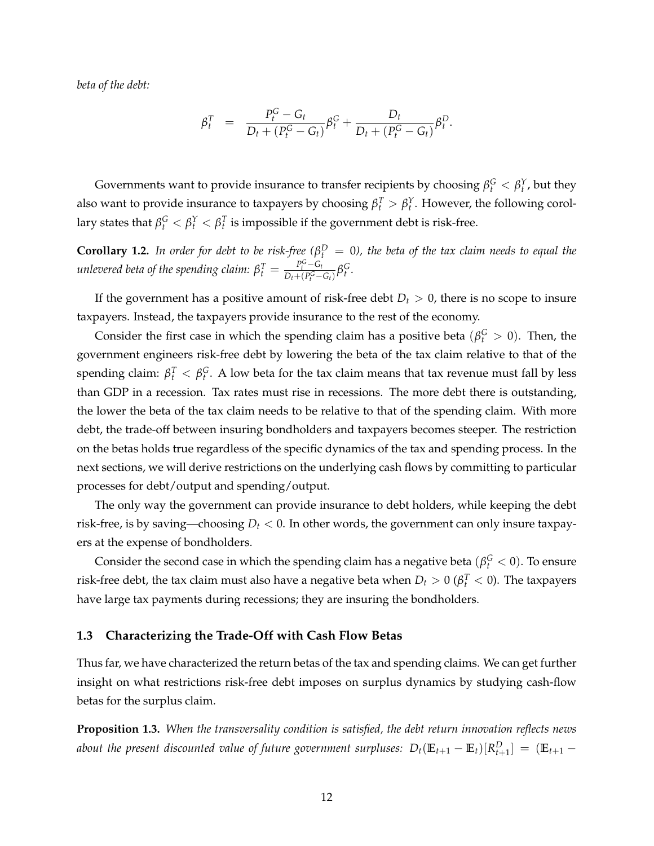*beta of the debt:*

$$
\beta_t^T = \frac{P_t^G - G_t}{D_t + (P_t^G - G_t)} \beta_t^G + \frac{D_t}{D_t + (P_t^G - G_t)} \beta_t^D.
$$

Governments want to provide insurance to transfer recipients by choosing  $\beta_t^G < \beta_t^Y$ , but they also want to provide insurance to taxpayers by choosing  $\beta_t^T > \beta_t^Y$ . However, the following corollary states that  $\beta_t^G < \beta_t^Y < \beta_t^T$  is impossible if the government debt is risk-free.

**Corollary 1.2.** In order for debt to be risk-free ( $\beta_t^D = 0$ ), the beta of the tax claim needs to equal the *unlevered beta of the spending claim:*  $\beta_t^T = \frac{P_t^G - G_t}{D_t + (P_t^G - P_t^G)}$  $\frac{P_t^G - G_t}{D_t + (P_t^G - G_t)} \beta_t^G$ .

If the government has a positive amount of risk-free debt  $D_t > 0$ , there is no scope to insure taxpayers. Instead, the taxpayers provide insurance to the rest of the economy.

Consider the first case in which the spending claim has a positive beta ( $\beta_t^G > 0$ ). Then, the government engineers risk-free debt by lowering the beta of the tax claim relative to that of the spending claim:  $\beta_t^T < \beta_t^G$ . A low beta for the tax claim means that tax revenue must fall by less than GDP in a recession. Tax rates must rise in recessions. The more debt there is outstanding, the lower the beta of the tax claim needs to be relative to that of the spending claim. With more debt, the trade-off between insuring bondholders and taxpayers becomes steeper. The restriction on the betas holds true regardless of the specific dynamics of the tax and spending process. In the next sections, we will derive restrictions on the underlying cash flows by committing to particular processes for debt/output and spending/output.

The only way the government can provide insurance to debt holders, while keeping the debt risk-free, is by saving—choosing  $D_t < 0$ . In other words, the government can only insure taxpayers at the expense of bondholders.

Consider the second case in which the spending claim has a negative beta  $(\beta_t^G < 0)$ . To ensure risk-free debt, the tax claim must also have a negative beta when  $D_t > 0$  ( $\beta_t^T < 0$ ). The taxpayers have large tax payments during recessions; they are insuring the bondholders.

#### <span id="page-12-0"></span>**1.3 Characterizing the Trade-Off with Cash Flow Betas**

Thus far, we have characterized the return betas of the tax and spending claims. We can get further insight on what restrictions risk-free debt imposes on surplus dynamics by studying cash-flow betas for the surplus claim.

<span id="page-12-1"></span>**Proposition 1.3.** *When the transversality condition is satisfied, the debt return innovation reflects news about the present discounted value of future government surpluses:*  $D_t(\mathbb{E}_{t+1} - \mathbb{E}_t)[R_{t+1}^D] = (\mathbb{E}_{t+1} - \mathbb{E}_{t+1})$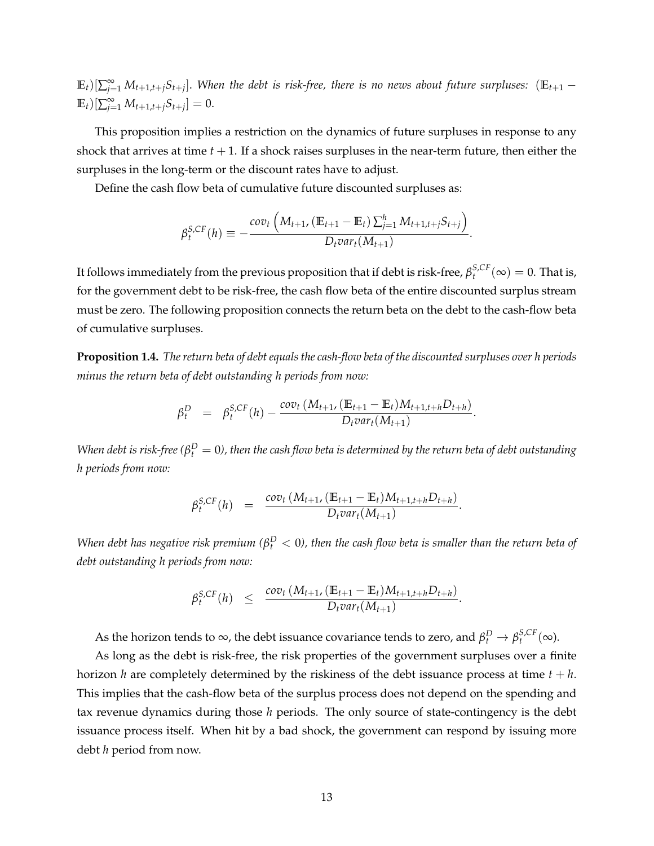$(E_t)[\sum_{j=1}^{\infty}M_{t+1,t+j}S_{t+j}]$ . When the debt is risk-free, there is no news about future surpluses:  $(E_{t+1}-E_{t})$  $\mathbb{E}_t \left[ \sum_{j=1}^{\infty} M_{t+1,t+j} S_{t+j} \right] = 0.$ 

This proposition implies a restriction on the dynamics of future surpluses in response to any shock that arrives at time  $t + 1$ . If a shock raises surpluses in the near-term future, then either the surpluses in the long-term or the discount rates have to adjust.

Define the cash flow beta of cumulative future discounted surpluses as:

$$
\beta_t^{S,CF}(h) \equiv -\frac{cov_t\left(M_{t+1}, \left(\mathbb{E}_{t+1} - \mathbb{E}_t\right) \sum_{j=1}^h M_{t+1,t+j} S_{t+j}\right)}{D_t var_t(M_{t+1})}.
$$

It follows immediately from the previous proposition that if debt is risk-free,  $\beta_t^{S,CF}(\infty)=0$ . That is, for the government debt to be risk-free, the cash flow beta of the entire discounted surplus stream must be zero. The following proposition connects the return beta on the debt to the cash-flow beta of cumulative surpluses.

<span id="page-13-0"></span>**Proposition 1.4.** *The return beta of debt equals the cash-flow beta of the discounted surpluses over h periods minus the return beta of debt outstanding h periods from now:*

$$
\beta_t^D = \beta_t^{S,CF}(h) - \frac{cov_t(M_{t+1}, (\mathbb{E}_{t+1} - \mathbb{E}_t)M_{t+1,t+h}D_{t+h})}{D_t var_t(M_{t+1})}.
$$

*When debt is risk-free (* $\beta_t^D=0$ *), then the cash flow beta is determined by the return beta of debt outstanding h periods from now:*

$$
\beta_t^{S,CF}(h) = \frac{cov_t(M_{t+1}, (\mathbb{E}_{t+1} - \mathbb{E}_t)M_{t+1,t+h}D_{t+h})}{D_t var_t(M_{t+1})}.
$$

*When debt has negative risk premium (* $\beta_t^D < 0$ *), then the cash flow beta is smaller than the return beta of debt outstanding h periods from now:*

$$
\beta_t^{S,CF}(h) \leq \frac{cov_t(M_{t+1}, (\mathbb{E}_{t+1} - \mathbb{E}_t)M_{t+1,t+h}D_{t+h})}{D_t var_t(M_{t+1})}
$$

.

As the horizon tends to  $\infty$ , the debt issuance covariance tends to zero, and  $\beta_t^D \to \beta_t^{S,CF}(\infty)$ .

As long as the debt is risk-free, the risk properties of the government surpluses over a finite horizon *h* are completely determined by the riskiness of the debt issuance process at time *t* + *h*. This implies that the cash-flow beta of the surplus process does not depend on the spending and tax revenue dynamics during those *h* periods. The only source of state-contingency is the debt issuance process itself. When hit by a bad shock, the government can respond by issuing more debt *h* period from now.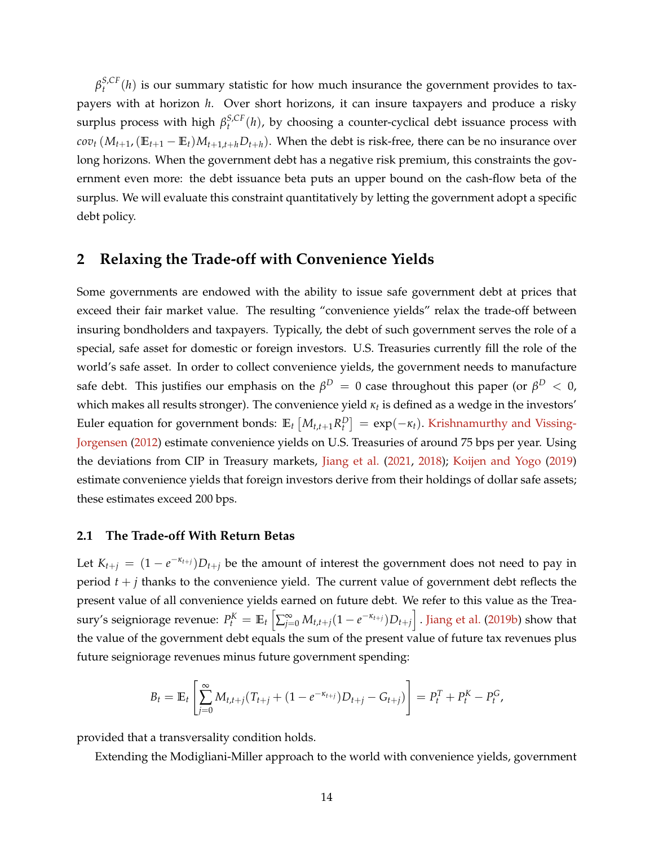$\beta_t^{S,CF}(h)$  is our summary statistic for how much insurance the government provides to taxpayers with at horizon *h*. Over short horizons, it can insure taxpayers and produce a risky surplus process with high  $\beta_t^{S,CF}(h)$ , by choosing a counter-cyclical debt issuance process with  $cov_t(M_{t+1},(\mathbb{E}_{t+1}-\mathbb{E}_t)M_{t+1,t+h}D_{t+h})$ . When the debt is risk-free, there can be no insurance over long horizons. When the government debt has a negative risk premium, this constraints the government even more: the debt issuance beta puts an upper bound on the cash-flow beta of the surplus. We will evaluate this constraint quantitatively by letting the government adopt a specific debt policy.

## <span id="page-14-0"></span>**2 Relaxing the Trade-off with Convenience Yields**

Some governments are endowed with the ability to issue safe government debt at prices that exceed their fair market value. The resulting "convenience yields" relax the trade-off between insuring bondholders and taxpayers. Typically, the debt of such government serves the role of a special, safe asset for domestic or foreign investors. U.S. Treasuries currently fill the role of the world's safe asset. In order to collect convenience yields, the government needs to manufacture safe debt. This justifies our emphasis on the  $\beta^D\,=\,0$  case throughout this paper (or  $\beta^D\,<\,0$ , which makes all results stronger). The convenience yield *κ<sup>t</sup>* is defined as a wedge in the investors' Euler equation for government bonds:  $\mathbb{E}_t \left[ M_{t,t+1} R_t^D \right] = \exp(-\kappa_t)$ . [Krishnamurthy and Vissing-](#page-40-1)[Jorgensen](#page-40-1) [\(2012\)](#page-40-1) estimate convenience yields on U.S. Treasuries of around 75 bps per year. Using the deviations from CIP in Treasury markets, [Jiang et al.](#page-39-0) [\(2021,](#page-39-0) [2018\)](#page-39-1); [Koijen and Yogo](#page-40-2) [\(2019\)](#page-40-2) estimate convenience yields that foreign investors derive from their holdings of dollar safe assets; these estimates exceed 200 bps.

## **2.1 The Trade-off With Return Betas**

Let  $K_{t+j} = (1 - e^{-\kappa_{t+j}})D_{t+j}$  be the amount of interest the government does not need to pay in period  $t + j$  thanks to the convenience yield. The current value of government debt reflects the present value of all convenience yields earned on future debt. We refer to this value as the Treasury's seigniorage revenue:  $P_t^K=\mathbb{E}_t\left[\sum_{j=0}^\infty M_{t,t+j}(1-e^{-\kappa_{t+j}})D_{t+j}\right]$  . [Jiang et al.](#page-39-3) [\(2019b\)](#page-39-3) show that the value of the government debt equals the sum of the present value of future tax revenues plus future seigniorage revenues minus future government spending:

$$
B_t = \mathbb{E}_t \left[ \sum_{j=0}^{\infty} M_{t,t+j} (T_{t+j} + (1 - e^{-\kappa_{t+j}}) D_{t+j} - G_{t+j}) \right] = P_t^T + P_t^K - P_t^G,
$$

provided that a transversality condition holds.

Extending the Modigliani-Miller approach to the world with convenience yields, government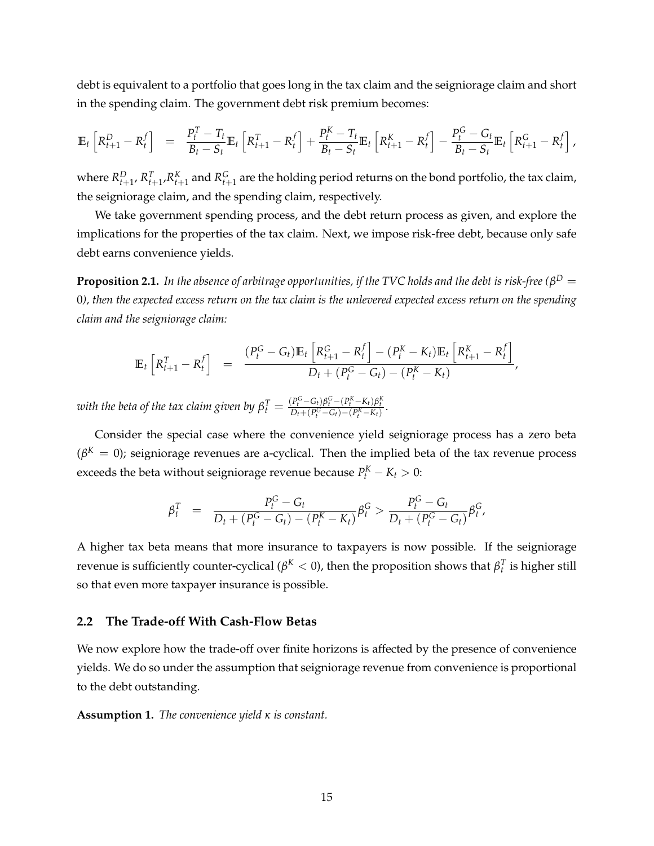debt is equivalent to a portfolio that goes long in the tax claim and the seigniorage claim and short in the spending claim. The government debt risk premium becomes:

$$
\mathbb{E}_{t}\left[R_{t+1}^{D}-R_{t}^{f}\right] = \frac{P_{t}^{T}-T_{t}}{B_{t}-S_{t}}\mathbb{E}_{t}\left[R_{t+1}^{T}-R_{t}^{f}\right]+\frac{P_{t}^{K}-T_{t}}{B_{t}-S_{t}}\mathbb{E}_{t}\left[R_{t+1}^{K}-R_{t}^{f}\right]-\frac{P_{t}^{G}-G_{t}}{B_{t}-S_{t}}\mathbb{E}_{t}\left[R_{t+1}^{G}-R_{t}^{f}\right],
$$

where  $R_{t+1}^D$ ,  $R_{t+1}^T$ , $R_{t+1}^K$  and  $R_{t+1}^G$  are the holding period returns on the bond portfolio, the tax claim, the seigniorage claim, and the spending claim, respectively.

We take government spending process, and the debt return process as given, and explore the implications for the properties of the tax claim. Next, we impose risk-free debt, because only safe debt earns convenience yields.

<span id="page-15-0"></span> ${\bf Proposition~2.1.}$  *In the absence of arbitrage opportunities, if the TVC holds and the debt is risk-free (* $\beta^D=0$ 0*), then the expected excess return on the tax claim is the unlevered expected excess return on the spending claim and the seigniorage claim:*

$$
\mathbb{E}_{t}\left[R_{t+1}^{T}-R_{t}^{f}\right] = \frac{(P_{t}^{G}-G_{t})\mathbb{E}_{t}\left[R_{t+1}^{G}-R_{t}^{f}\right] - (P_{t}^{K}-K_{t})\mathbb{E}_{t}\left[R_{t+1}^{K}-R_{t}^{f}\right]}{D_{t}+(P_{t}^{G}-G_{t})-(P_{t}^{K}-K_{t})},
$$

with the beta of the tax claim given by  $\beta_t^T = \frac{(P_t^G - G_t)\beta_t^G - (P_t^K - K_t)\beta_t^K}{D_t + (P_t^G - G_t) - (P_t^K - K_t)}.$ 

Consider the special case where the convenience yield seigniorage process has a zero beta  $(\beta^{K}=0)$ ; seigniorage revenues are a-cyclical. Then the implied beta of the tax revenue process exceeds the beta without seigniorage revenue because  $P_t^K - K_t > 0$ :

$$
\beta_t^T = \frac{P_t^G - G_t}{D_t + (P_t^G - G_t) - (P_t^K - K_t)} \beta_t^G > \frac{P_t^G - G_t}{D_t + (P_t^G - G_t)} \beta_t^G,
$$

A higher tax beta means that more insurance to taxpayers is now possible. If the seigniorage revenue is sufficiently counter-cyclical ( $\beta^K < 0$ ), then the proposition shows that  $\beta_t^T$  is higher still so that even more taxpayer insurance is possible.

### **2.2 The Trade-off With Cash-Flow Betas**

We now explore how the trade-off over finite horizons is affected by the presence of convenience yields. We do so under the assumption that seigniorage revenue from convenience is proportional to the debt outstanding.

**Assumption 1.** *The convenience yield κ is constant.*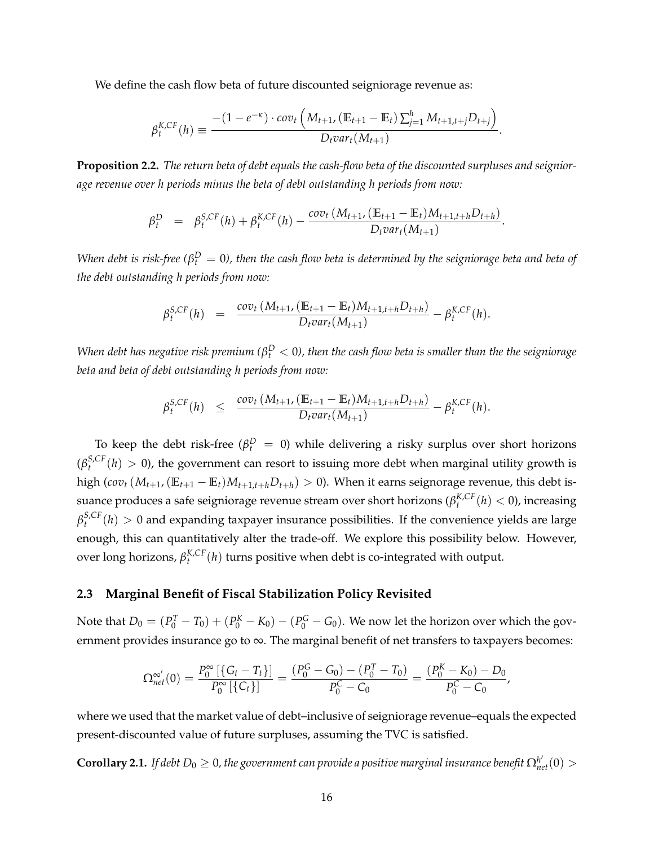We define the cash flow beta of future discounted seigniorage revenue as:

$$
\beta_t^{K,CF}(h) \equiv \frac{-(1-e^{-\kappa})\cdot cov_t\left(M_{t+1}, \left(\mathbb{E}_{t+1} - \mathbb{E}_t\right)\sum_{j=1}^h M_{t+1,t+j}D_{t+j}\right)}{D_t var_t(M_{t+1})}.
$$

<span id="page-16-0"></span>**Proposition 2.2.** *The return beta of debt equals the cash-flow beta of the discounted surpluses and seigniorage revenue over h periods minus the beta of debt outstanding h periods from now:*

$$
\beta_t^D = \beta_t^{S,CF}(h) + \beta_t^{K,CF}(h) - \frac{cov_t(M_{t+1}, (\mathbb{E}_{t+1} - \mathbb{E}_t)M_{t+1,t+h}D_{t+h})}{D_t var_t(M_{t+1})}.
$$

*When debt is risk-free (* $\beta_t^D=0$ *), then the cash flow beta is determined by the seigniorage beta and beta of the debt outstanding h periods from now:*

$$
\beta_t^{S,CF}(h) = \frac{cov_t(M_{t+1}, (E_{t+1} - E_t)M_{t+1,t+h}D_{t+h})}{D_t var_t(M_{t+1})} - \beta_t^{K,CF}(h).
$$

*When debt has negative risk premium (* $\beta_t^D < 0$ *), then the cash flow beta is smaller than the the seigniorage beta and beta of debt outstanding h periods from now:*

$$
\beta_t^{S,CF}(h) \leq \frac{\text{cov}_t(M_{t+1}, (\mathbb{E}_{t+1} - \mathbb{E}_t)M_{t+1,t+h}D_{t+h})}{D_t \text{var}_t(M_{t+1})} - \beta_t^{K,CF}(h).
$$

To keep the debt risk-free ( $\beta_t^D = 0$ ) while delivering a risky surplus over short horizons  $(\beta_t^{S,CF}(h) > 0)$ , the government can resort to issuing more debt when marginal utility growth is high (*cov*<sub>t</sub> ( $M$ <sub>t+1</sub>, ( $\mathbb{E}_{t+1} - \mathbb{E}_t$ ) $M$ <sub>t+1,t+h</sub> $D$ <sub>t+h</sub>) > 0). When it earns seignorage revenue, this debt issuance produces a safe seigniorage revenue stream over short horizons ( $\beta_t^{K,CF}(h) < 0$ ), increasing  $\beta_t^{S,CF}(h) > 0$  and expanding taxpayer insurance possibilities. If the convenience yields are large enough, this can quantitatively alter the trade-off. We explore this possibility below. However, over long horizons,  $\beta_t^{K,CF}(h)$  turns positive when debt is co-integrated with output.

#### **2.3 Marginal Benefit of Fiscal Stabilization Policy Revisited**

Note that  $D_0 = (P_0^T - T_0) + (P_0^K - K_0) - (P_0^G - G_0)$ . We now let the horizon over which the government provides insurance go to ∞. The marginal benefit of net transfers to taxpayers becomes:

$$
\Omega_{net}^{\infty'}(0) = \frac{P_0^{\infty}[\{G_t - T_t\}]}{P_0^{\infty}[\{C_t\}]} = \frac{(P_0^G - G_0) - (P_0^T - T_0)}{P_0^C - C_0} = \frac{(P_0^K - K_0) - D_0}{P_0^C - C_0},
$$

where we used that the market value of debt–inclusive of seigniorage revenue–equals the expected present-discounted value of future surpluses, assuming the TVC is satisfied.

 ${\bf Corollary 2.1.}$  If debt  $D_0\geq 0$ , the government can provide a positive marginal insurance benefit  $\Omega^{h'}_{net}(0)>0$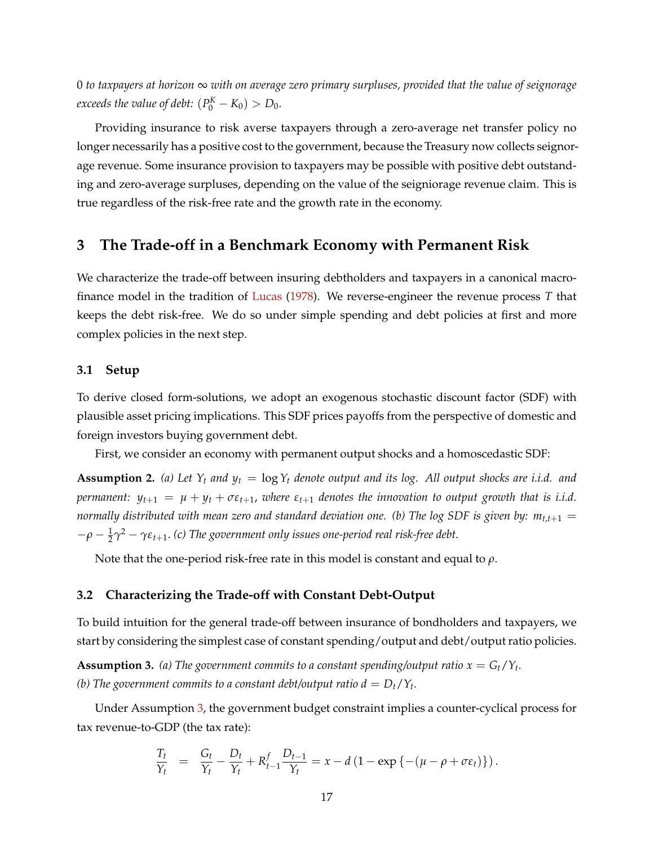0 *to taxpayers at horizon* ∞ *with on average zero primary surpluses, provided that the value of seignorage exceeds the value of debt:*  $(P_0^K - K_0) > D_0$ .

Providing insurance to risk averse taxpayers through a zero-average net transfer policy no longer necessarily has a positive cost to the government, because the Treasury now collects seignorage revenue. Some insurance provision to taxpayers may be possible with positive debt outstanding and zero-average surpluses, depending on the value of the seigniorage revenue claim. This is true regardless of the risk-free rate and the growth rate in the economy.

## <span id="page-17-0"></span>**3 The Trade-off in a Benchmark Economy with Permanent Risk**

We characterize the trade-off between insuring debtholders and taxpayers in a canonical macrofinance model in the tradition of [Lucas](#page-40-15) [\(1978\)](#page-40-15). We reverse-engineer the revenue process *T* that keeps the debt risk-free. We do so under simple spending and debt policies at first and more complex policies in the next step.

#### **3.1 Setup**

To derive closed form-solutions, we adopt an exogenous stochastic discount factor (SDF) with plausible asset pricing implications. This SDF prices payoffs from the perspective of domestic and foreign investors buying government debt.

First, we consider an economy with permanent output shocks and a homoscedastic SDF:

<span id="page-17-2"></span>**Assumption 2.** (a) Let  $Y_t$  and  $y_t = \log Y_t$  denote output and its log. All output shocks are i.i.d. and *permanent:*  $y_{t+1} = \mu + y_t + \sigma \varepsilon_{t+1}$ , *where*  $\varepsilon_{t+1}$  *denotes the innovation to output growth that is i.i.d. normally distributed with mean zero and standard deviation one. (b) The log SDF is given by:*  $m_{t,t+1} =$  $-ρ - \frac{1}{2}γ<sup>2</sup> - γε<sub>t+1</sub>$ . (c) The government only issues one-period real risk-free debt.

Note that the one-period risk-free rate in this model is constant and equal to *ρ*.

### **3.2 Characterizing the Trade-off with Constant Debt-Output**

To build intuition for the general trade-off between insurance of bondholders and taxpayers, we start by considering the simplest case of constant spending/output and debt/output ratio policies.

<span id="page-17-1"></span>**Assumption 3.** (a) The government commits to a constant spending/output ratio  $x = G_t/Y_t$ . *(b)* The government commits to a constant debt/output ratio  $d = D_t/Y_t$ .

Under Assumption [3,](#page-17-1) the government budget constraint implies a counter-cyclical process for tax revenue-to-GDP (the tax rate):

$$
\frac{T_t}{Y_t} = \frac{G_t}{Y_t} - \frac{D_t}{Y_t} + R_{t-1}^f \frac{D_{t-1}}{Y_t} = x - d (1 - \exp\{-(\mu - \rho + \sigma \varepsilon_t)\}).
$$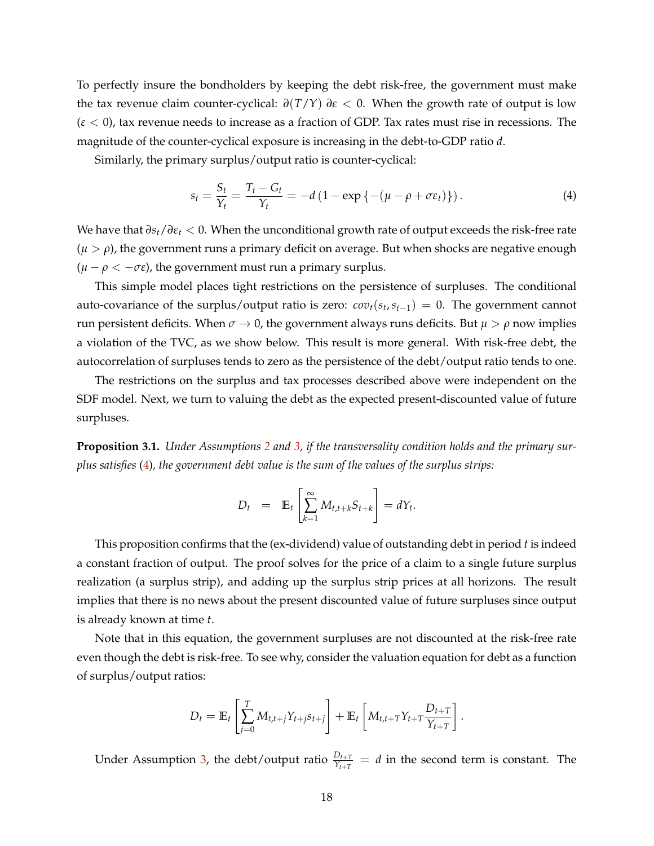To perfectly insure the bondholders by keeping the debt risk-free, the government must make the tax revenue claim counter-cyclical:  $\frac{\partial(T/Y)}{\partial \varepsilon}$  < 0. When the growth rate of output is low (*ε* < 0), tax revenue needs to increase as a fraction of GDP. Tax rates must rise in recessions. The magnitude of the counter-cyclical exposure is increasing in the debt-to-GDP ratio *d*.

Similarly, the primary surplus/output ratio is counter-cyclical:

<span id="page-18-0"></span>
$$
s_t = \frac{S_t}{Y_t} = \frac{T_t - G_t}{Y_t} = -d\left(1 - \exp\left\{-\left(\mu - \rho + \sigma \varepsilon_t\right)\right\}\right). \tag{4}
$$

We have that *∂st*/*∂ε<sup>t</sup>* < 0. When the unconditional growth rate of output exceeds the risk-free rate  $(\mu > \rho)$ , the government runs a primary deficit on average. But when shocks are negative enough  $(\mu - \rho < -\sigma \epsilon)$ , the government must run a primary surplus.

This simple model places tight restrictions on the persistence of surpluses. The conditional auto-covariance of the surplus/output ratio is zero:  $cov_t(s_t, s_{t-1}) = 0$ . The government cannot run persistent deficits. When  $\sigma \to 0$ , the government always runs deficits. But  $\mu > \rho$  now implies a violation of the TVC, as we show below. This result is more general. With risk-free debt, the autocorrelation of surpluses tends to zero as the persistence of the debt/output ratio tends to one.

The restrictions on the surplus and tax processes described above were independent on the SDF model. Next, we turn to valuing the debt as the expected present-discounted value of future surpluses.

<span id="page-18-1"></span>**Proposition 3.1.** *Under Assumptions [2](#page-17-2) and [3,](#page-17-1) if the transversality condition holds and the primary surplus satisfies* [\(4\)](#page-18-0)*, the government debt value is the sum of the values of the surplus strips:*

$$
D_t = \mathbb{E}_t \left[ \sum_{k=1}^{\infty} M_{t,t+k} S_{t+k} \right] = dY_t.
$$

This proposition confirms that the (ex-dividend) value of outstanding debt in period *t* is indeed a constant fraction of output. The proof solves for the price of a claim to a single future surplus realization (a surplus strip), and adding up the surplus strip prices at all horizons. The result implies that there is no news about the present discounted value of future surpluses since output is already known at time *t*.

Note that in this equation, the government surpluses are not discounted at the risk-free rate even though the debt is risk-free. To see why, consider the valuation equation for debt as a function of surplus/output ratios:

$$
D_t = \mathbb{E}_t \left[ \sum_{j=0}^T M_{t,t+j} Y_{t+j} S_{t+j} \right] + \mathbb{E}_t \left[ M_{t,t+T} Y_{t+T} \frac{D_{t+T}}{Y_{t+T}} \right].
$$

Under Assumption [3,](#page-17-1) the debt/output ratio  $\frac{D_{t+T}}{Y_{t+T}} = d$  in the second term is constant. The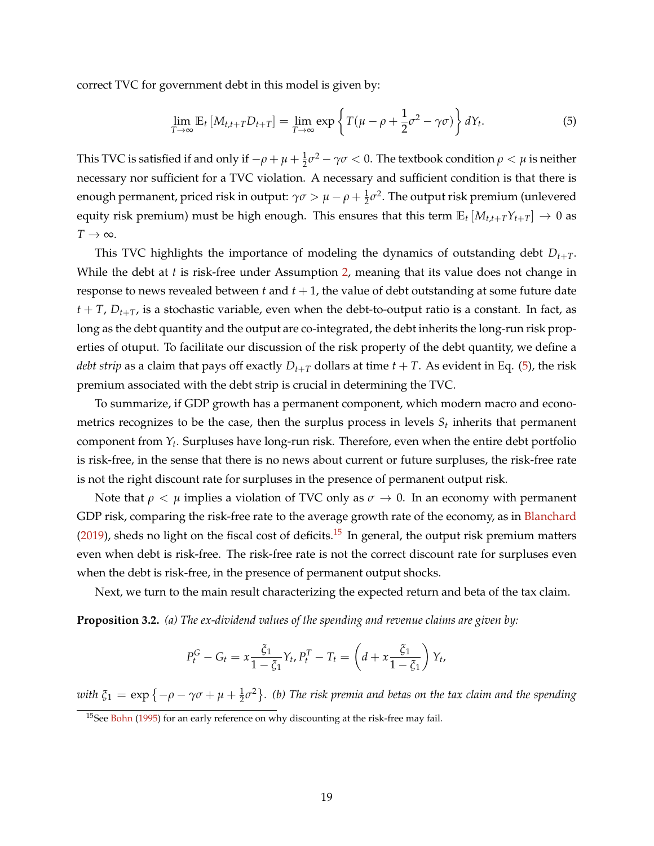correct TVC for government debt in this model is given by:

<span id="page-19-0"></span>
$$
\lim_{T \to \infty} \mathbb{E}_t \left[ M_{t,t+T} D_{t+T} \right] = \lim_{T \to \infty} \exp \left\{ T(\mu - \rho + \frac{1}{2} \sigma^2 - \gamma \sigma) \right\} dY_t.
$$
 (5)

This TVC is satisfied if and only if  $-\rho+\mu+\frac{1}{2}\sigma^2-\gamma\sigma< 0.$  The textbook condition  $\rho<\mu$  is neither necessary nor sufficient for a TVC violation. A necessary and sufficient condition is that there is enough permanent, priced risk in output:  $\gamma\sigma > \mu - \rho + \frac{1}{2}\sigma^2$ . The output risk premium (unlevered equity risk premium) must be high enough. This ensures that this term  $\mathbb{E}_t [M_{t,t+T}Y_{t+T}] \to 0$  as  $T \rightarrow \infty$ .

This TVC highlights the importance of modeling the dynamics of outstanding debt *Dt*+*T*. While the debt at *t* is risk-free under Assumption [2,](#page-17-2) meaning that its value does not change in response to news revealed between  $t$  and  $t + 1$ , the value of debt outstanding at some future date  $t + T$ ,  $D_{t+T}$ , is a stochastic variable, even when the debt-to-output ratio is a constant. In fact, as long as the debt quantity and the output are co-integrated, the debt inherits the long-run risk properties of otuput. To facilitate our discussion of the risk property of the debt quantity, we define a *debt strip* as a claim that pays off exactly  $D_{t+T}$  dollars at time  $t + T$ . As evident in Eq. [\(5\)](#page-19-0), the risk premium associated with the debt strip is crucial in determining the TVC.

To summarize, if GDP growth has a permanent component, which modern macro and econometrics recognizes to be the case, then the surplus process in levels  $S_t$  inherits that permanent component from *Y<sup>t</sup>* . Surpluses have long-run risk. Therefore, even when the entire debt portfolio is risk-free, in the sense that there is no news about current or future surpluses, the risk-free rate is not the right discount rate for surpluses in the presence of permanent output risk.

Note that  $\rho < \mu$  implies a violation of TVC only as  $\sigma \to 0$ . In an economy with permanent GDP risk, comparing the risk-free rate to the average growth rate of the economy, as in [Blanchard](#page-37-15)  $(2019)$ , sheds no light on the fiscal cost of deficits.<sup>[15](#page-19-1)</sup> In general, the output risk premium matters even when debt is risk-free. The risk-free rate is not the correct discount rate for surpluses even when the debt is risk-free, in the presence of permanent output shocks.

Next, we turn to the main result characterizing the expected return and beta of the tax claim.

<span id="page-19-2"></span>**Proposition 3.2.** *(a) The ex-dividend values of the spending and revenue claims are given by:*

$$
P_t^G - G_t = x \frac{\xi_1}{1 - \xi_1} Y_t, P_t^T - T_t = \left( d + x \frac{\xi_1}{1 - \xi_1} \right) Y_t,
$$

with  $\xi_1 = \exp\{-\rho - \gamma\sigma + \mu + \frac{1}{2}\sigma^2\}$ . (b) The risk premia and betas on the tax claim and the spending

<span id="page-19-1"></span><sup>&</sup>lt;sup>15</sup>See [Bohn](#page-38-14) [\(1995\)](#page-38-14) for an early reference on why discounting at the risk-free may fail.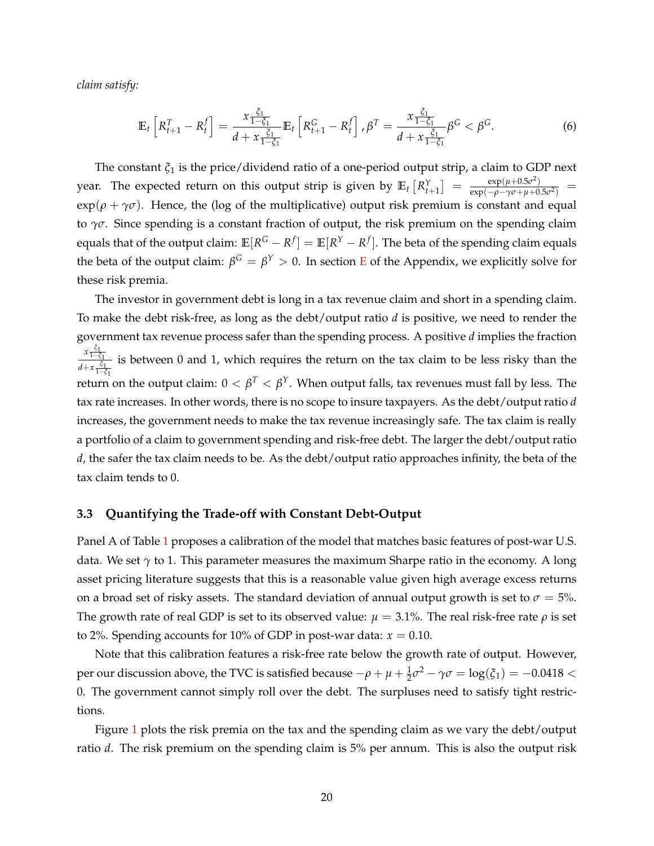*claim satisfy:*

<span id="page-20-0"></span>
$$
\mathbb{E}_{t}\left[R_{t+1}^{T}-R_{t}^{f}\right]=\frac{x\frac{\xi_{1}}{1-\xi_{1}}}{d+x\frac{\xi_{1}}{1-\xi_{1}}}\mathbb{E}_{t}\left[R_{t+1}^{G}-R_{t}^{f}\right],\beta^{T}=\frac{x\frac{\xi_{1}}{1-\xi_{1}}}{d+x\frac{\xi_{1}}{1-\xi_{1}}}\beta^{G}<\beta^{G}.
$$
\n(6)

The constant *ξ*<sup>1</sup> is the price/dividend ratio of a one-period output strip, a claim to GDP next year. The expected return on this output strip is given by  $\mathbb{E}_t\left[R^Y_{t+1}\right] \;=\; \frac{\exp(\mu + 0.5\sigma^2)}{\exp(-\rho - \gamma\sigma + \mu + 0.5\sigma^2)}$  $\frac{\exp(\mu + 0.5\sigma^2)}{\exp(-\rho - \gamma\sigma + \mu + 0.5\sigma^2)}$  =  $\exp(\rho + \gamma \sigma)$ . Hence, the (log of the multiplicative) output risk premium is constant and equal to *γσ*. Since spending is a constant fraction of output, the risk premium on the spending claim equals that of the output claim:  $\mathbb{E}[R^G - R^f] = \mathbb{E}[R^Y - R^f].$  The beta of the spending claim equals the beta of the output claim:  $β^G = β^Y > 0$ . In section **[E](#page-56-1)** of the Appendix, we explicitly solve for these risk premia.

The investor in government debt is long in a tax revenue claim and short in a spending claim. To make the debt risk-free, as long as the debt/output ratio *d* is positive, we need to render the government tax revenue process safer than the spending process. A positive *d* implies the fraction *x ξ*1 <sup>1</sup>−*ξ*<sup>1</sup>  $\frac{a}{d+x}\frac{\xi_1}{1-x}$  is between 0 and 1, which requires the return on the tax claim to be less risky than the <sup>1</sup>−*ξ*<sup>1</sup> return on the output claim:  $0<\beta^T<\beta^Y.$  When output falls, tax revenues must fall by less. The tax rate increases. In other words, there is no scope to insure taxpayers. As the debt/output ratio *d* increases, the government needs to make the tax revenue increasingly safe. The tax claim is really a portfolio of a claim to government spending and risk-free debt. The larger the debt/output ratio *d*, the safer the tax claim needs to be. As the debt/output ratio approaches infinity, the beta of the tax claim tends to 0.

#### **3.3 Quantifying the Trade-off with Constant Debt-Output**

Panel A of Table [1](#page-21-0) proposes a calibration of the model that matches basic features of post-war U.S. data. We set *γ* to 1. This parameter measures the maximum Sharpe ratio in the economy. A long asset pricing literature suggests that this is a reasonable value given high average excess returns on a broad set of risky assets. The standard deviation of annual output growth is set to  $\sigma = 5$ %. The growth rate of real GDP is set to its observed value:  $\mu = 3.1\%$ . The real risk-free rate  $\rho$  is set to 2%. Spending accounts for 10% of GDP in post-war data:  $x = 0.10$ .

Note that this calibration features a risk-free rate below the growth rate of output. However, per our discussion above, the TVC is satisfied because  $-\rho + \mu + \frac{1}{2}\sigma^2 - \gamma\sigma = \log(\xi_1) = -0.0418 <$ 0. The government cannot simply roll over the debt. The surpluses need to satisfy tight restrictions.

Figure [1](#page-21-1) plots the risk premia on the tax and the spending claim as we vary the debt/output ratio *d*. The risk premium on the spending claim is 5% per annum. This is also the output risk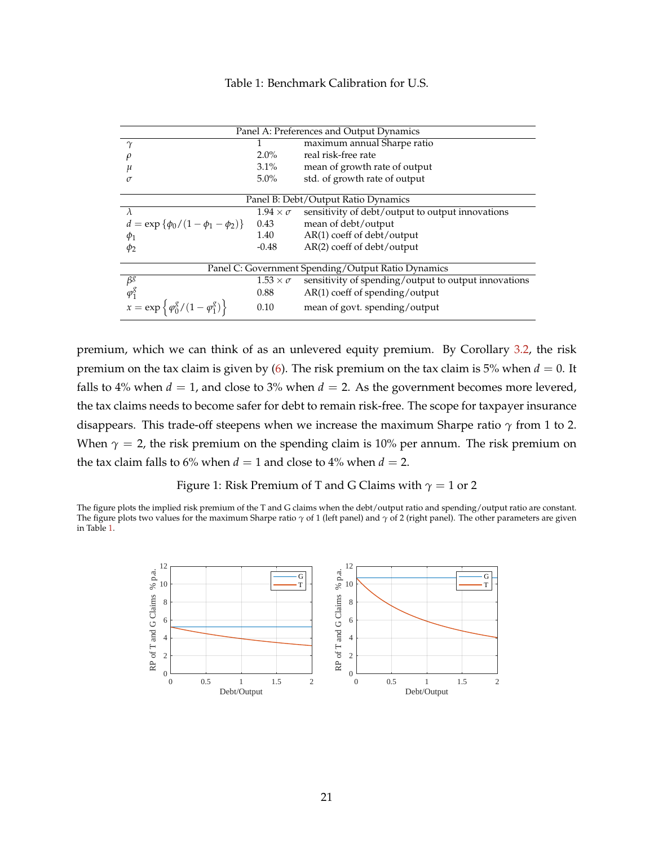### Table 1: Benchmark Calibration for U.S.

<span id="page-21-0"></span>

|                                                           |                      | Panel A: Preferences and Output Dynamics             |
|-----------------------------------------------------------|----------------------|------------------------------------------------------|
| $\gamma$                                                  |                      | maximum annual Sharpe ratio                          |
|                                                           | $2.0\%$              | real risk-free rate                                  |
|                                                           | $3.1\%$              | mean of growth rate of output                        |
| $\sigma$                                                  | $5.0\%$              | std. of growth rate of output                        |
|                                                           |                      |                                                      |
|                                                           |                      | Panel B: Debt/Output Ratio Dynamics                  |
| $\lambda$                                                 | $1.94 \times \sigma$ | sensitivity of debt/output to output innovations     |
| $d = \exp \{\phi_0/(1-\phi_1-\phi_2)\}\$                  | 0.43                 | mean of debt/output                                  |
| $\phi_1$                                                  | 1.40                 | $AR(1)$ coeff of debt/output                         |
| $\phi_2$                                                  | $-0.48$              | $AR(2)$ coeff of debt/output                         |
|                                                           |                      |                                                      |
|                                                           |                      | Panel C: Government Spending/Output Ratio Dynamics   |
| $\beta^g$                                                 | $1.53 \times \sigma$ | sensitivity of spending/output to output innovations |
| $\varphi_1^g$                                             | 0.88                 | $AR(1)$ coeff of spending/output                     |
| $x = \exp \left\{ \frac{\phi_0^g}{1 - \phi_1^g} \right\}$ | 0.10                 | mean of govt. spending/output                        |

premium, which we can think of as an unlevered equity premium. By Corollary [3.2,](#page-19-2) the risk premium on the tax claim is given by [\(6\)](#page-20-0). The risk premium on the tax claim is 5% when  $d = 0$ . It falls to 4% when  $d = 1$ , and close to 3% when  $d = 2$ . As the government becomes more levered, the tax claims needs to become safer for debt to remain risk-free. The scope for taxpayer insurance disappears. This trade-off steepens when we increase the maximum Sharpe ratio *γ* from 1 to 2. When  $\gamma = 2$ , the risk premium on the spending claim is 10% per annum. The risk premium on the tax claim falls to 6% when  $d = 1$  and close to 4% when  $d = 2$ .

#### Figure 1: Risk Premium of T and G Claims with  $\gamma = 1$  or 2

<span id="page-21-1"></span>The figure plots the implied risk premium of the T and G claims when the debt/output ratio and spending/output ratio are constant. The figure plots two values for the maximum Sharpe ratio *γ* of 1 (left panel) and *γ* of 2 (right panel). The other parameters are given in Table [1.](#page-21-0)

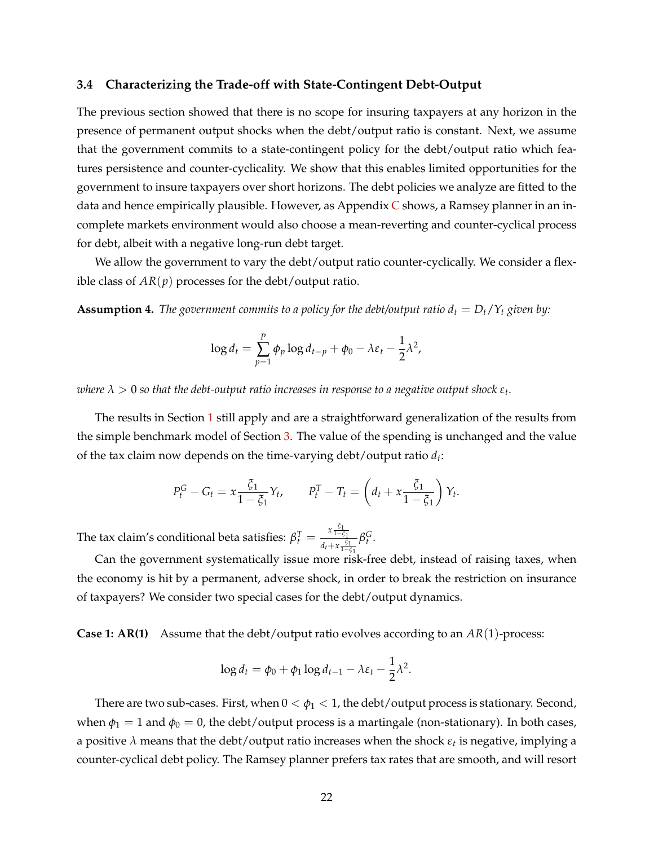#### **3.4 Characterizing the Trade-off with State-Contingent Debt-Output**

The previous section showed that there is no scope for insuring taxpayers at any horizon in the presence of permanent output shocks when the debt/output ratio is constant. Next, we assume that the government commits to a state-contingent policy for the debt/output ratio which features persistence and counter-cyclicality. We show that this enables limited opportunities for the government to insure taxpayers over short horizons. The debt policies we analyze are fitted to the data and hence empirically plausible. However, as Appendix  $C$  shows, a Ramsey planner in an incomplete markets environment would also choose a mean-reverting and counter-cyclical process for debt, albeit with a negative long-run debt target.

We allow the government to vary the debt/output ratio counter-cyclically. We consider a flexible class of  $AR(p)$  processes for the debt/output ratio.

<span id="page-22-0"></span>**Assumption 4.** The government commits to a policy for the debt/output ratio  $d_t = D_t/Y_t$  given by:

$$
\log d_t = \sum_{p=1}^P \phi_p \log d_{t-p} + \phi_0 - \lambda \varepsilon_t - \frac{1}{2} \lambda^2,
$$

 $\alpha$  *λ*  $>$  0 so that the debt-output ratio increases in response to a negative output shock  $\varepsilon_t.$ 

The results in Section [1](#page-7-0) still apply and are a straightforward generalization of the results from the simple benchmark model of Section [3.](#page-17-0) The value of the spending is unchanged and the value of the tax claim now depends on the time-varying debt/output ratio *d<sup>t</sup>* :

$$
P_t^G - G_t = x \frac{\xi_1}{1 - \xi_1} Y_t, \qquad P_t^T - T_t = \left(d_t + x \frac{\xi_1}{1 - \xi_1}\right) Y_t.
$$

The tax claim's conditional beta satisfies:  $\beta_t^T = \frac{x \frac{\xi_1}{1-\xi_1}}{d}$ *d*<sub>*t*</sub> + *x*<sub>1</sub> $\frac{\zeta_1}{1-\zeta_1}$ *β G t* .

Can the government systematically issue more risk-free debt, instead of raising taxes, when the economy is hit by a permanent, adverse shock, in order to break the restriction on insurance of taxpayers? We consider two special cases for the debt/output dynamics.

**Case 1: AR(1)** Assume that the debt/output ratio evolves according to an *AR*(1)-process:

$$
\log d_t = \phi_0 + \phi_1 \log d_{t-1} - \lambda \varepsilon_t - \frac{1}{2} \lambda^2.
$$

There are two sub-cases. First, when  $0 < \phi_1 < 1$ , the debt/output process is stationary. Second, when  $\phi_1 = 1$  and  $\phi_0 = 0$ , the debt/output process is a martingale (non-stationary). In both cases, a positive *λ* means that the debt/output ratio increases when the shock *ε<sup>t</sup>* is negative, implying a counter-cyclical debt policy. The Ramsey planner prefers tax rates that are smooth, and will resort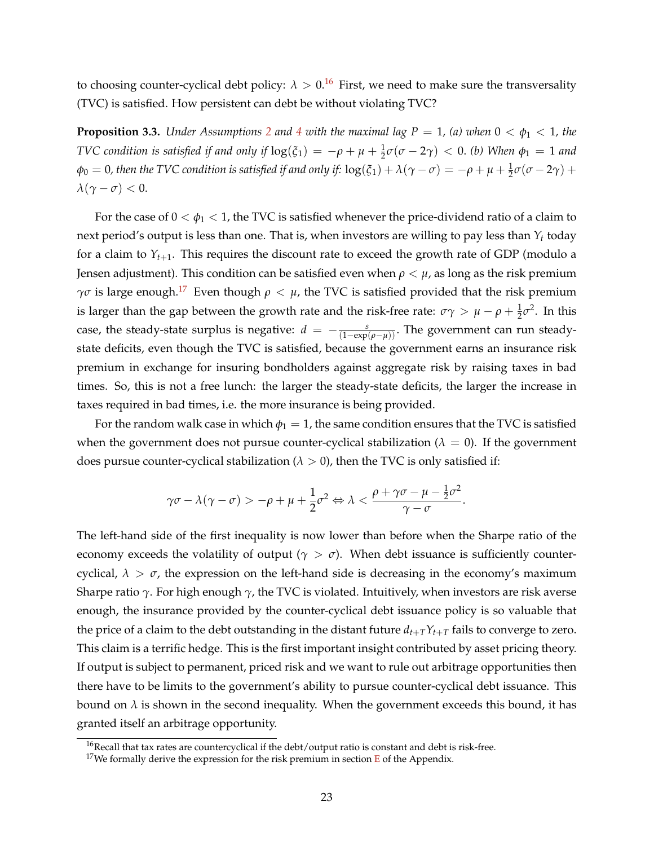to choosing counter-cyclical debt policy:  $\lambda > 0.16$  $\lambda > 0.16$  First, we need to make sure the transversality (TVC) is satisfied. How persistent can debt be without violating TVC?

<span id="page-23-2"></span>**Proposition 3.3.** *Under Assumptions* [2](#page-17-2) *and* [4](#page-22-0) *with the maximal lag*  $P = 1$ *, (a) when*  $0 < \phi_1 < 1$ *, the TVC condition is satisfied if and only if*  $log(\xi_1) = -\rho + \mu + \frac{1}{2}\sigma(\sigma - 2\gamma) < 0$ . *(b)* When  $\phi_1 = 1$  and  $\phi_0 = 0$ , then the TVC condition is satisfied if and only if:  $\log(\xi_1) + \lambda(\gamma - \sigma) = -\rho + \mu + \frac{1}{2}\sigma(\sigma - 2\gamma) + \sigma$  $\lambda(\gamma - \sigma) < 0.$ 

For the case of  $0 < \phi_1 < 1$ , the TVC is satisfied whenever the price-dividend ratio of a claim to next period's output is less than one. That is, when investors are willing to pay less than *Y<sup>t</sup>* today for a claim to  $Y_{t+1}$ . This requires the discount rate to exceed the growth rate of GDP (modulo a Jensen adjustment). This condition can be satisfied even when  $\rho < \mu$ , as long as the risk premium *γσ* is large enough.<sup>[17](#page-23-1)</sup> Even though  $ρ < μ$ , the TVC is satisfied provided that the risk premium is larger than the gap between the growth rate and the risk-free rate:  $\sigma\gamma > \mu - \rho + \frac{1}{2}\sigma^2$ . In this case, the steady-state surplus is negative:  $d = -\frac{s}{(1-\exp(\rho-\mu))}$ . The government can run steadystate deficits, even though the TVC is satisfied, because the government earns an insurance risk premium in exchange for insuring bondholders against aggregate risk by raising taxes in bad times. So, this is not a free lunch: the larger the steady-state deficits, the larger the increase in taxes required in bad times, i.e. the more insurance is being provided.

For the random walk case in which  $\phi_1 = 1$ , the same condition ensures that the TVC is satisfied when the government does not pursue counter-cyclical stabilization ( $\lambda = 0$ ). If the government does pursue counter-cyclical stabilization ( $\lambda > 0$ ), then the TVC is only satisfied if:

$$
\gamma \sigma - \lambda (\gamma - \sigma) > -\rho + \mu + \frac{1}{2} \sigma^2 \Leftrightarrow \lambda < \frac{\rho + \gamma \sigma - \mu - \frac{1}{2} \sigma^2}{\gamma - \sigma}.
$$

The left-hand side of the first inequality is now lower than before when the Sharpe ratio of the economy exceeds the volatility of output ( $\gamma > \sigma$ ). When debt issuance is sufficiently countercyclical,  $\lambda > \sigma$ , the expression on the left-hand side is decreasing in the economy's maximum Sharpe ratio *γ*. For high enough *γ*, the TVC is violated. Intuitively, when investors are risk averse enough, the insurance provided by the counter-cyclical debt issuance policy is so valuable that the price of a claim to the debt outstanding in the distant future  $d_{t+T}Y_{t+T}$  fails to converge to zero. This claim is a terrific hedge. This is the first important insight contributed by asset pricing theory. If output is subject to permanent, priced risk and we want to rule out arbitrage opportunities then there have to be limits to the government's ability to pursue counter-cyclical debt issuance. This bound on  $\lambda$  is shown in the second inequality. When the government exceeds this bound, it has granted itself an arbitrage opportunity.

<span id="page-23-0"></span><sup>&</sup>lt;sup>16</sup>Recall that tax rates are countercyclical if the debt/output ratio is constant and debt is risk-free.

<span id="page-23-1"></span><sup>&</sup>lt;sup>17</sup>We formally derive the expression for the risk premium in section  $E$  of the Appendix.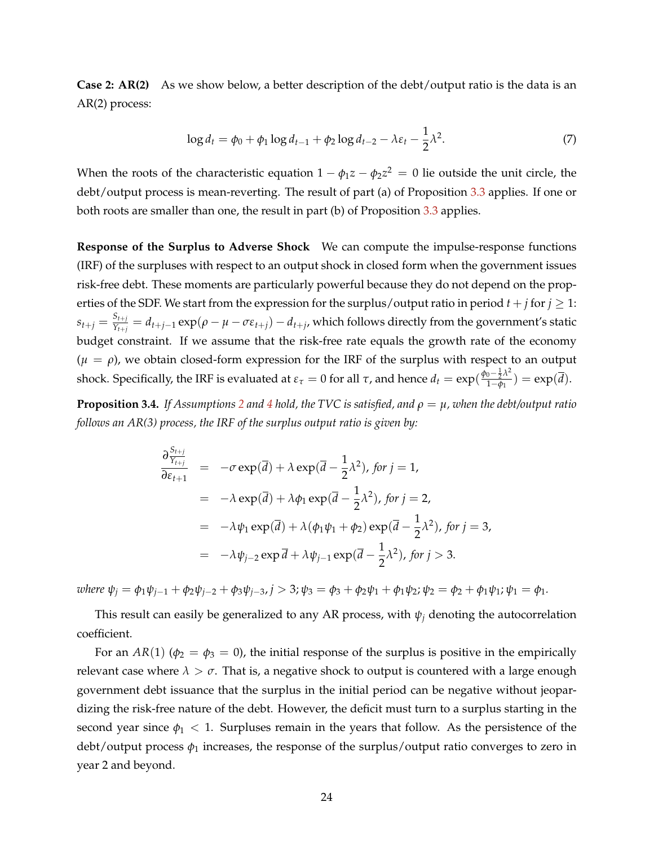**Case 2: AR(2)** As we show below, a better description of the debt/output ratio is the data is an AR(2) process:

<span id="page-24-1"></span>
$$
\log d_t = \phi_0 + \phi_1 \log d_{t-1} + \phi_2 \log d_{t-2} - \lambda \varepsilon_t - \frac{1}{2} \lambda^2. \tag{7}
$$

When the roots of the characteristic equation  $1 - \phi_1 z - \phi_2 z^2 \,=\, 0$  lie outside the unit circle, the debt/output process is mean-reverting. The result of part (a) of Proposition [3.3](#page-23-2) applies. If one or both roots are smaller than one, the result in part (b) of Proposition [3.3](#page-23-2) applies.

**Response of the Surplus to Adverse Shock** We can compute the impulse-response functions (IRF) of the surpluses with respect to an output shock in closed form when the government issues risk-free debt. These moments are particularly powerful because they do not depend on the properties of the SDF. We start from the expression for the surplus/output ratio in period  $t + j$  for  $j \ge 1$ :  $s_{t+j} = \frac{S_{t+j}}{Y_{t+i}}$  $Y_{Y_{t+j}}^{t+j} = d_{t+j-1} \exp(\rho - \mu - \sigma \varepsilon_{t+j}) - d_{t+j}$ , which follows directly from the government's static budget constraint. If we assume that the risk-free rate equals the growth rate of the economy  $(\mu = \rho)$ , we obtain closed-form expression for the IRF of the surplus with respect to an output shock. Specifically, the IRF is evaluated at  $\varepsilon_{\tau} = 0$  for all  $\tau$ , and hence  $d_t = \exp(\frac{\phi_0 - \frac{1}{2}\lambda^2}{1-\phi_1})$  $\frac{1}{1-\phi_1}^{0-\frac{1}{2}A}$ ) = exp(*d*).

<span id="page-24-0"></span>**Proposition 3.[4](#page-22-0).** *If Assumptions* [2](#page-17-2) *and* 4 *hold, the TVC is satisfied, and*  $\rho = \mu$ *, when the debt/output ratio follows an AR(3) process, the IRF of the surplus output ratio is given by:*

$$
\frac{\partial \frac{S_{t+j}}{S_{t+1}}}{\partial \varepsilon_{t+1}} = -\sigma \exp(\overline{d}) + \lambda \exp(\overline{d} - \frac{1}{2}\lambda^2), \text{ for } j = 1,
$$
  
\n
$$
= -\lambda \exp(\overline{d}) + \lambda \phi_1 \exp(\overline{d} - \frac{1}{2}\lambda^2), \text{ for } j = 2,
$$
  
\n
$$
= -\lambda \psi_1 \exp(\overline{d}) + \lambda (\phi_1 \psi_1 + \phi_2) \exp(\overline{d} - \frac{1}{2}\lambda^2), \text{ for } j = 3,
$$
  
\n
$$
= -\lambda \psi_{j-2} \exp \overline{d} + \lambda \psi_{j-1} \exp(\overline{d} - \frac{1}{2}\lambda^2), \text{ for } j > 3.
$$

where  $\psi_j = \phi_1 \psi_{j-1} + \phi_2 \psi_{j-2} + \phi_3 \psi_{j-3}$ ,  $j > 3$ ;  $\psi_3 = \phi_3 + \phi_2 \psi_1 + \phi_1 \psi_2$ ;  $\psi_2 = \phi_2 + \phi_1 \psi_1$ ;  $\psi_1 = \phi_1$ .

This result can easily be generalized to any AR process, with  $\psi_i$  denoting the autocorrelation coefficient.

For an *AR*(1) ( $\phi_2 = \phi_3 = 0$ ), the initial response of the surplus is positive in the empirically relevant case where  $\lambda > \sigma$ . That is, a negative shock to output is countered with a large enough government debt issuance that the surplus in the initial period can be negative without jeopardizing the risk-free nature of the debt. However, the deficit must turn to a surplus starting in the second year since  $\phi_1$  < 1. Surpluses remain in the years that follow. As the persistence of the debt/output process *φ*<sup>1</sup> increases, the response of the surplus/output ratio converges to zero in year 2 and beyond.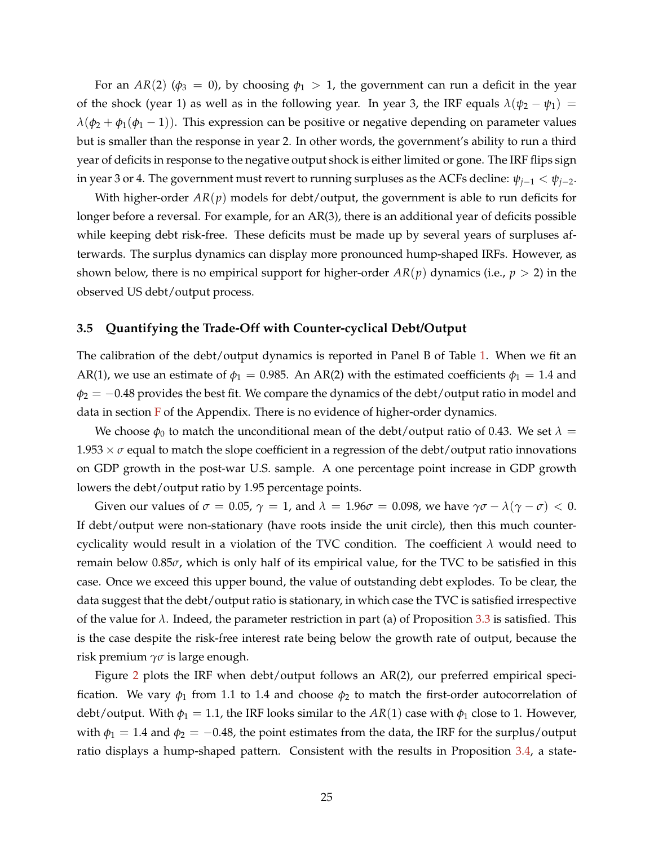For an *AR*(2) ( $\phi_3 = 0$ ), by choosing  $\phi_1 > 1$ , the government can run a deficit in the year of the shock (year 1) as well as in the following year. In year 3, the IRF equals  $\lambda(\psi_2 - \psi_1)$  =  $\lambda(\phi_2 + \phi_1(\phi_1 - 1))$ . This expression can be positive or negative depending on parameter values but is smaller than the response in year 2. In other words, the government's ability to run a third year of deficits in response to the negative output shock is either limited or gone. The IRF flips sign in year 3 or 4. The government must revert to running surpluses as the ACFs decline:  $\psi_{j-1} < \psi_{j-2}$ .

With higher-order *AR*(*p*) models for debt/output, the government is able to run deficits for longer before a reversal. For example, for an AR(3), there is an additional year of deficits possible while keeping debt risk-free. These deficits must be made up by several years of surpluses afterwards. The surplus dynamics can display more pronounced hump-shaped IRFs. However, as shown below, there is no empirical support for higher-order  $AR(p)$  dynamics (i.e.,  $p > 2$ ) in the observed US debt/output process.

### **3.5 Quantifying the Trade-Off with Counter-cyclical Debt/Output**

The calibration of the debt/output dynamics is reported in Panel B of Table [1.](#page-21-0) When we fit an AR(1), we use an estimate of  $\phi_1 = 0.985$ . An AR(2) with the estimated coefficients  $\phi_1 = 1.4$  and  $\phi_2 = -0.48$  provides the best fit. We compare the dynamics of the debt/output ratio in model and data in section  $F$  of the Appendix. There is no evidence of higher-order dynamics.

We choose  $\phi_0$  to match the unconditional mean of the debt/output ratio of 0.43. We set  $\lambda =$  $1.953 \times \sigma$  equal to match the slope coefficient in a regression of the debt/output ratio innovations on GDP growth in the post-war U.S. sample. A one percentage point increase in GDP growth lowers the debt/output ratio by 1.95 percentage points.

Given our values of  $\sigma = 0.05$ ,  $\gamma = 1$ , and  $\lambda = 1.96\sigma = 0.098$ , we have  $\gamma\sigma - \lambda(\gamma - \sigma) < 0$ . If debt/output were non-stationary (have roots inside the unit circle), then this much countercyclicality would result in a violation of the TVC condition. The coefficient *λ* would need to remain below 0.85*σ*, which is only half of its empirical value, for the TVC to be satisfied in this case. Once we exceed this upper bound, the value of outstanding debt explodes. To be clear, the data suggest that the debt/output ratio is stationary, in which case the TVC is satisfied irrespective of the value for  $\lambda$ . Indeed, the parameter restriction in part (a) of Proposition [3.3](#page-23-2) is satisfied. This is the case despite the risk-free interest rate being below the growth rate of output, because the risk premium *γσ* is large enough.

Figure [2](#page-26-0) plots the IRF when debt/output follows an AR(2), our preferred empirical specification. We vary  $\phi_1$  from 1.1 to 1.4 and choose  $\phi_2$  to match the first-order autocorrelation of debt/output. With  $\phi_1 = 1.1$ , the IRF looks similar to the  $AR(1)$  case with  $\phi_1$  close to 1. However, with  $\phi_1 = 1.4$  and  $\phi_2 = -0.48$ , the point estimates from the data, the IRF for the surplus/output ratio displays a hump-shaped pattern. Consistent with the results in Proposition [3.4,](#page-24-0) a state-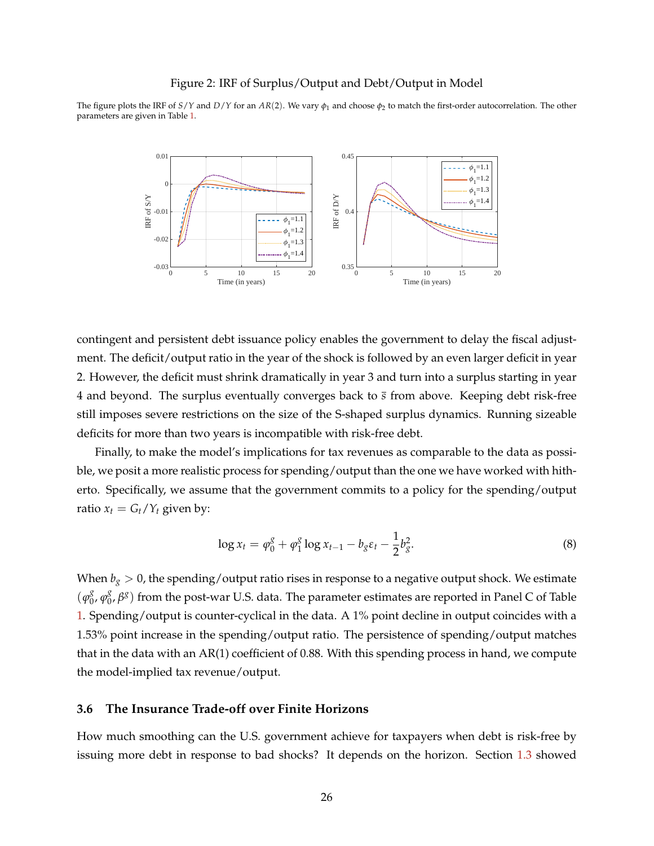#### Figure 2: IRF of Surplus/Output and Debt/Output in Model

<span id="page-26-0"></span>The figure plots the IRF of *S*/*Y* and *D*/*Y* for an *AR*(2). We vary *φ*<sup>1</sup> and choose *φ*<sup>2</sup> to match the first-order autocorrelation. The other parameters are given in Table [1.](#page-21-0)



contingent and persistent debt issuance policy enables the government to delay the fiscal adjustment. The deficit/output ratio in the year of the shock is followed by an even larger deficit in year 2. However, the deficit must shrink dramatically in year 3 and turn into a surplus starting in year 4 and beyond. The surplus eventually converges back to *s* from above. Keeping debt risk-free still imposes severe restrictions on the size of the S-shaped surplus dynamics. Running sizeable deficits for more than two years is incompatible with risk-free debt.

Finally, to make the model's implications for tax revenues as comparable to the data as possible, we posit a more realistic process for spending/output than the one we have worked with hitherto. Specifically, we assume that the government commits to a policy for the spending/output ratio  $x_t = G_t/Y_t$  given by:

<span id="page-26-1"></span>
$$
\log x_t = \varphi_0^g + \varphi_1^g \log x_{t-1} - b_g \varepsilon_t - \frac{1}{2} b_g^2. \tag{8}
$$

When  $b_g > 0$ , the spending/output ratio rises in response to a negative output shock. We estimate  $(\varphi_0^g)$  $\frac{g}{0}$ ,  $\varphi_0^g$ 0 , *β g* ) from the post-war U.S. data. The parameter estimates are reported in Panel C of Table [1.](#page-21-0) Spending/output is counter-cyclical in the data. A 1% point decline in output coincides with a 1.53% point increase in the spending/output ratio. The persistence of spending/output matches that in the data with an AR(1) coefficient of 0.88. With this spending process in hand, we compute the model-implied tax revenue/output.

### **3.6 The Insurance Trade-off over Finite Horizons**

How much smoothing can the U.S. government achieve for taxpayers when debt is risk-free by issuing more debt in response to bad shocks? It depends on the horizon. Section [1.3](#page-12-0) showed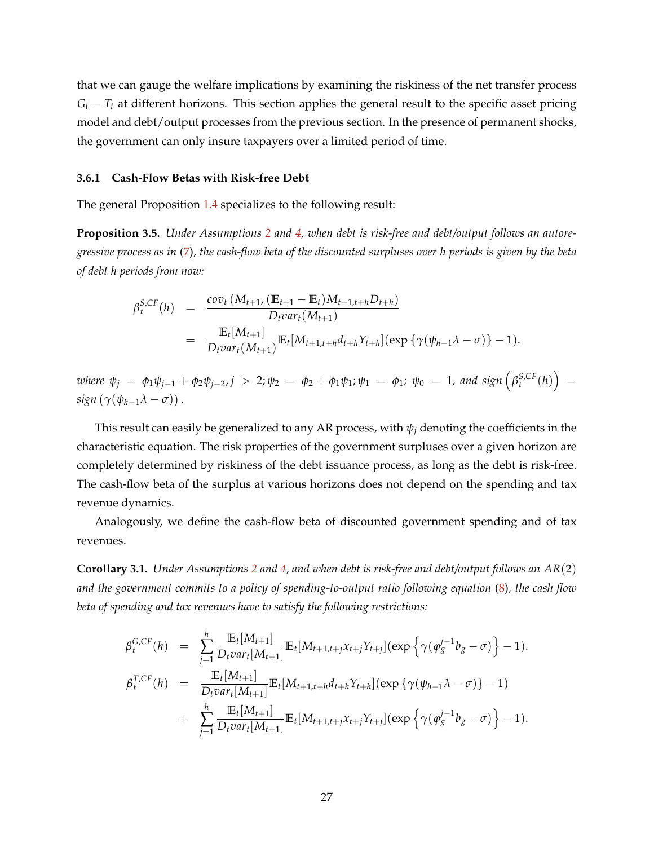that we can gauge the welfare implications by examining the riskiness of the net transfer process  $G_t - T_t$  at different horizons. This section applies the general result to the specific asset pricing model and debt/output processes from the previous section. In the presence of permanent shocks, the government can only insure taxpayers over a limited period of time.

#### **3.6.1 Cash-Flow Betas with Risk-free Debt**

The general Proposition [1.4](#page-13-0) specializes to the following result:

<span id="page-27-0"></span>**Proposition 3.5.** *Under Assumptions [2](#page-17-2) and [4,](#page-22-0) when debt is risk-free and debt/output follows an autoregressive process as in* [\(7\)](#page-24-1)*, the cash-flow beta of the discounted surpluses over h periods is given by the beta of debt h periods from now:*

$$
\beta_t^{S,CF}(h) = \frac{\text{cov}_t(M_{t+1}, (\mathbb{E}_{t+1} - \mathbb{E}_t)M_{t+1,t+h}D_{t+h})}{D_t \text{var}_t(M_{t+1})}
$$
  
= 
$$
\frac{\mathbb{E}_t[M_{t+1}]}{D_t \text{var}_t(M_{t+1})} \mathbb{E}_t[M_{t+1,t+h}d_{t+h}Y_{t+h}] (\exp{\{\gamma(\psi_{h-1}\lambda - \sigma)\}} - 1).
$$

where  $\psi_j$  =  $\phi_1 \psi_{j-1} + \phi_2 \psi_{j-2}$ ,  $j > 2$ ;  $\psi_2$  =  $\phi_2 + \phi_1 \psi_1$ ;  $\psi_1$  =  $\phi_1$ ;  $\psi_0$  = 1, and sign  $\left(\beta_t^{S,CF}(h)\right)$  = *sign*  $(\gamma(\psi_{h-1}\lambda - \sigma))$ .

This result can easily be generalized to any AR process, with  $\psi_i$  denoting the coefficients in the characteristic equation. The risk properties of the government surpluses over a given horizon are completely determined by riskiness of the debt issuance process, as long as the debt is risk-free. The cash-flow beta of the surplus at various horizons does not depend on the spending and tax revenue dynamics.

Analogously, we define the cash-flow beta of discounted government spending and of tax revenues.

<span id="page-27-1"></span>**Corollary 3.1.** *Under Assumptions [2](#page-17-2) and [4,](#page-22-0) and when debt is risk-free and debt/output follows an AR*(2) *and the government commits to a policy of spending-to-output ratio following equation* [\(8\)](#page-26-1)*, the cash flow beta of spending and tax revenues have to satisfy the following restrictions:*

$$
\beta_t^{G,CF}(h) = \sum_{j=1}^h \frac{\mathbb{E}_t[M_{t+1}]}{D_t var_t[M_{t+1}]} \mathbb{E}_t[M_{t+1,t+j}x_{t+j}Y_{t+j}](\exp\left\{\gamma(\varphi_g^{j-1}b_g - \sigma)\right\} - 1).
$$
  
\n
$$
\beta_t^{T,CF}(h) = \frac{\mathbb{E}_t[M_{t+1}]}{D_t var_t[M_{t+1}]} \mathbb{E}_t[M_{t+1,t+h}d_{t+h}Y_{t+h}](\exp\left\{\gamma(\psi_{h-1}\lambda - \sigma)\right\} - 1)
$$
  
\n
$$
+ \sum_{j=1}^h \frac{\mathbb{E}_t[M_{t+1}]}{D_t var_t[M_{t+1}]} \mathbb{E}_t[M_{t+1,t+j}x_{t+j}Y_{t+j}](\exp\left\{\gamma(\varphi_g^{j-1}b_g - \sigma)\right\} - 1).
$$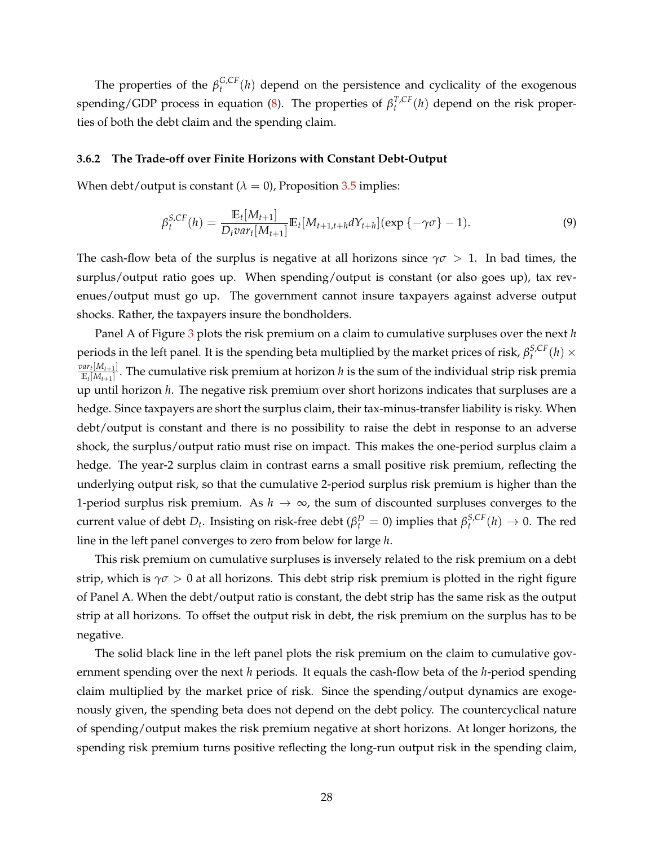The properties of the  $\beta_t^{G,CF}(h)$  depend on the persistence and cyclicality of the exogenous spending/GDP process in equation [\(8\)](#page-26-1). The properties of  $\beta_t^{T,CF}(h)$  depend on the risk properties of both the debt claim and the spending claim.

#### **3.6.2 The Trade-off over Finite Horizons with Constant Debt-Output**

When debt/output is constant  $(\lambda = 0)$ , Proposition [3.5](#page-27-0) implies:

$$
\beta_t^{S,CF}(h) = \frac{\mathbb{E}_t[M_{t+1}]}{D_t var_t[M_{t+1}]} \mathbb{E}_t[M_{t+1,t+h} dY_{t+h}] (\exp\{-\gamma \sigma\} - 1).
$$
\n(9)

The cash-flow beta of the surplus is negative at all horizons since  $\gamma \sigma > 1$ . In bad times, the surplus/output ratio goes up. When spending/output is constant (or also goes up), tax revenues/output must go up. The government cannot insure taxpayers against adverse output shocks. Rather, the taxpayers insure the bondholders.

Panel A of Figure [3](#page-29-0) plots the risk premium on a claim to cumulative surpluses over the next *h* periods in the left panel. It is the spending beta multiplied by the market prices of risk,  $\beta_t^{S,CF}(h) \times$  $var_t[M_{t+1}]$  $\frac{u(t)[M_t+1]}{\mathbb{E}_t[M_{t+1}]}$ . The cumulative risk premium at horizon *h* is the sum of the individual strip risk premia up until horizon *h*. The negative risk premium over short horizons indicates that surpluses are a hedge. Since taxpayers are short the surplus claim, their tax-minus-transfer liability is risky. When debt/output is constant and there is no possibility to raise the debt in response to an adverse shock, the surplus/output ratio must rise on impact. This makes the one-period surplus claim a hedge. The year-2 surplus claim in contrast earns a small positive risk premium, reflecting the underlying output risk, so that the cumulative 2-period surplus risk premium is higher than the 1-period surplus risk premium. As *h* → ∞, the sum of discounted surpluses converges to the current value of debt  $D_t$ . Insisting on risk-free debt ( $\beta_t^D = 0$ ) implies that  $\beta_t^{S,CF}(h) \to 0$ . The red line in the left panel converges to zero from below for large *h*.

This risk premium on cumulative surpluses is inversely related to the risk premium on a debt strip, which is  $\gamma \sigma > 0$  at all horizons. This debt strip risk premium is plotted in the right figure of Panel A. When the debt/output ratio is constant, the debt strip has the same risk as the output strip at all horizons. To offset the output risk in debt, the risk premium on the surplus has to be negative.

The solid black line in the left panel plots the risk premium on the claim to cumulative government spending over the next *h* periods. It equals the cash-flow beta of the *h*-period spending claim multiplied by the market price of risk. Since the spending/output dynamics are exogenously given, the spending beta does not depend on the debt policy. The countercyclical nature of spending/output makes the risk premium negative at short horizons. At longer horizons, the spending risk premium turns positive reflecting the long-run output risk in the spending claim,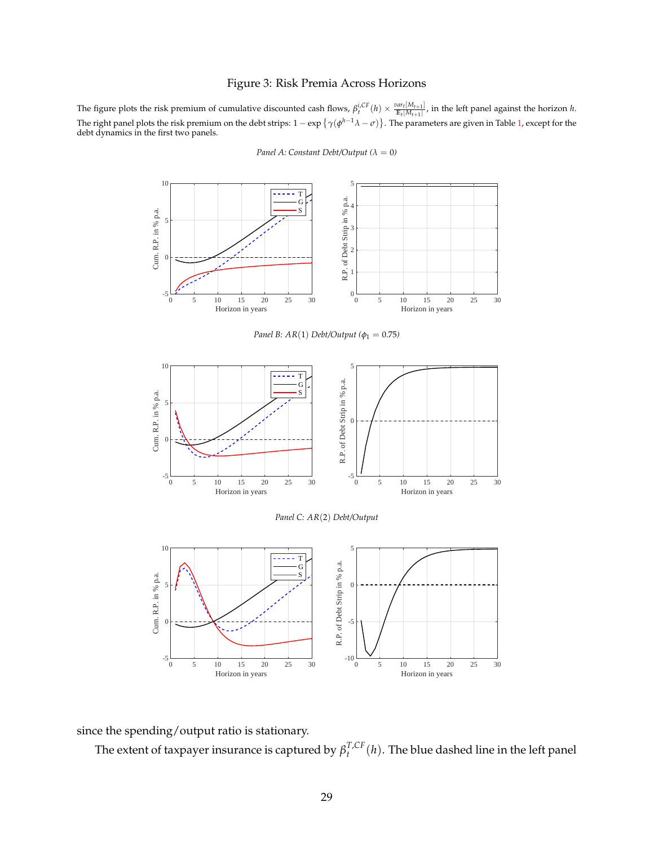### Figure 3: Risk Premia Across Horizons

<span id="page-29-0"></span>The figure plots the risk premium of cumulative discounted cash flows,  $\beta_t^{i,CF}(h) \times \frac{var_t[M_{t+1}]}{E_t[M_{t+1}]}$ , in the left panel against the horizon h. The right panel plots the risk premium on the debt strips:  $1 - \exp\{\gamma(\phi^{h-1}\lambda - \sigma)\}$ . The parameters are given in Table [1,](#page-21-0) except for the debt dynamics in the first two panels.



*Panel A: Constant Debt/Output* ( $\lambda = 0$ )

since the spending/output ratio is stationary.

The extent of taxpayer insurance is captured by  $\beta_t^{T,CF}(h)$ . The blue dashed line in the left panel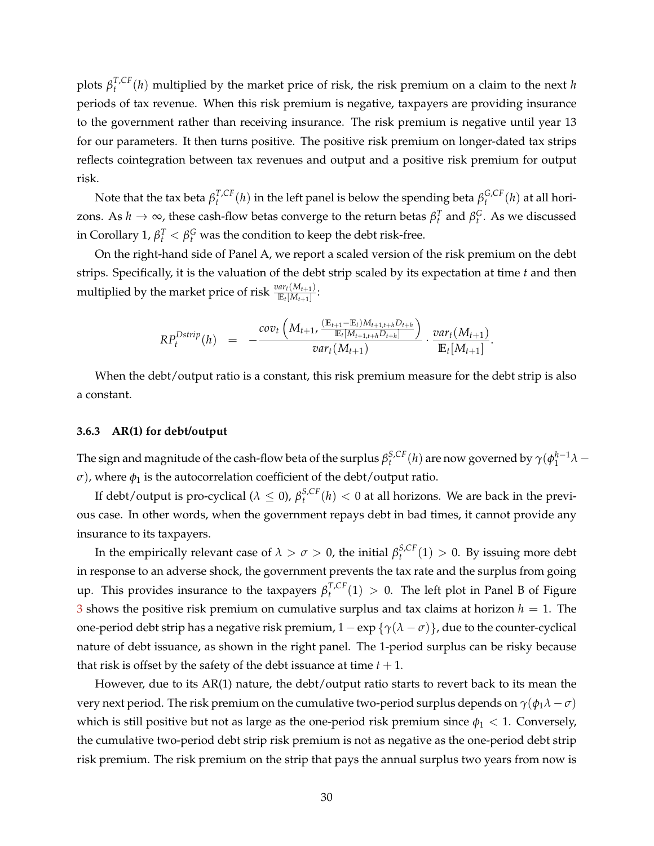plots  $\beta_t^{T,CF}(h)$  multiplied by the market price of risk, the risk premium on a claim to the next *h* periods of tax revenue. When this risk premium is negative, taxpayers are providing insurance to the government rather than receiving insurance. The risk premium is negative until year 13 for our parameters. It then turns positive. The positive risk premium on longer-dated tax strips reflects cointegration between tax revenues and output and a positive risk premium for output risk.

Note that the tax beta  $\beta_t^{T,CF}(h)$  in the left panel is below the spending beta  $\beta_t^{G,CF}(h)$  at all horizons. As  $h \to \infty$ , these cash-flow betas converge to the return betas  $β_t^T$  and  $β_t^G$ . As we discussed in Corollary 1,  $\beta_t^T < \beta_t^G$  was the condition to keep the debt risk-free.

On the right-hand side of Panel A, we report a scaled version of the risk premium on the debt strips. Specifically, it is the valuation of the debt strip scaled by its expectation at time *t* and then multiplied by the market price of risk  $\frac{var_t(M_{t+1})}{\mathbb{E}_t[M_{t+1}]}$ :

$$
RP_t^{Dstrip}(h) = -\frac{cov_t\left(M_{t+1}, \frac{(\mathbb{E}_{t+1} - \mathbb{E}_t)M_{t+1,t+h}D_{t+h}}{\mathbb{E}_t[M_{t+1,t+h}D_{t+h}]} \right)}{var_t(M_{t+1})} \cdot \frac{var_t(M_{t+1})}{\mathbb{E}_t[M_{t+1}]}.
$$

When the debt/output ratio is a constant, this risk premium measure for the debt strip is also a constant.

#### **3.6.3 AR(1) for debt/output**

The sign and magnitude of the cash-flow beta of the surplus  $\beta_t^{S,CF}(h)$  are now governed by  $\gamma(\phi_1^{h-1}\lambda-1)$ *σ*), where  $φ_1$  is the autocorrelation coefficient of the debt/output ratio.

If debt/output is pro-cyclical ( $\lambda \leq 0$ ),  $\beta_t^{S,CF}(h) < 0$  at all horizons. We are back in the previous case. In other words, when the government repays debt in bad times, it cannot provide any insurance to its taxpayers.

In the empirically relevant case of  $\lambda > \sigma > 0$ , the initial  $\beta_t^{S,CF}(1) > 0$ . By issuing more debt in response to an adverse shock, the government prevents the tax rate and the surplus from going up. This provides insurance to the taxpayers *β T*,*CF t* (1) > 0. The left plot in Panel B of Figure [3](#page-29-0) shows the positive risk premium on cumulative surplus and tax claims at horizon  $h = 1$ . The one-period debt strip has a negative risk premium,  $1 - \exp{\lbrace \gamma(\lambda - \sigma) \rbrace}$ , due to the counter-cyclical nature of debt issuance, as shown in the right panel. The 1-period surplus can be risky because that risk is offset by the safety of the debt issuance at time  $t + 1$ .

However, due to its AR(1) nature, the debt/output ratio starts to revert back to its mean the very next period. The risk premium on the cumulative two-period surplus depends on  $\gamma(\phi_1\lambda - \sigma)$ which is still positive but not as large as the one-period risk premium since  $\phi_1 < 1$ . Conversely, the cumulative two-period debt strip risk premium is not as negative as the one-period debt strip risk premium. The risk premium on the strip that pays the annual surplus two years from now is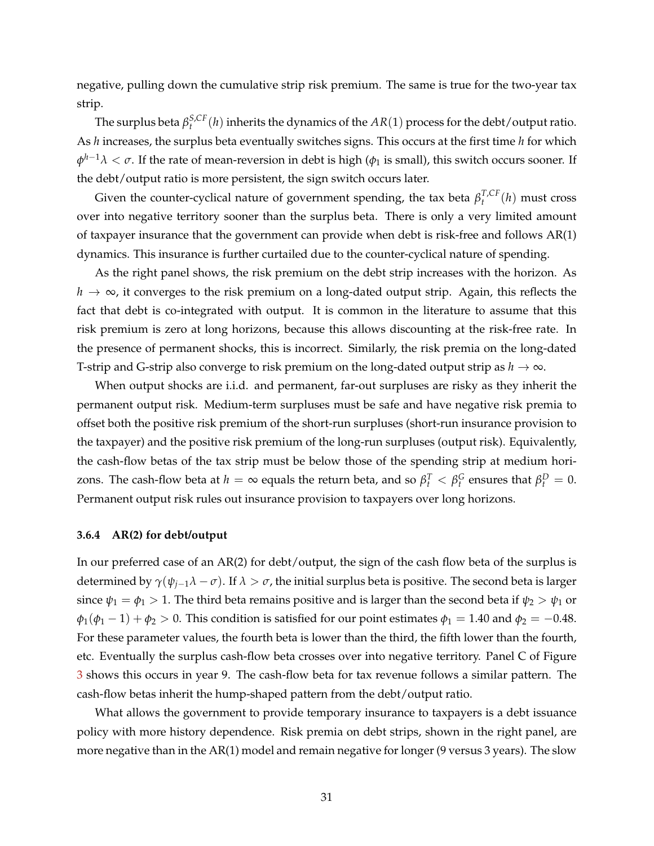negative, pulling down the cumulative strip risk premium. The same is true for the two-year tax strip.

The surplus beta  $\beta_t^{S,CF}(h)$  inherits the dynamics of the  $AR(1)$  process for the debt/output ratio. As *h* increases, the surplus beta eventually switches signs. This occurs at the first time *h* for which  $\phi^{h-1}\lambda<\sigma.$  If the rate of mean-reversion in debt is high ( $\phi_1$  is small), this switch occurs sooner. If the debt/output ratio is more persistent, the sign switch occurs later.

Given the counter-cyclical nature of government spending, the tax beta  $\beta_t^{T,CF}(h)$  must cross over into negative territory sooner than the surplus beta. There is only a very limited amount of taxpayer insurance that the government can provide when debt is risk-free and follows AR(1) dynamics. This insurance is further curtailed due to the counter-cyclical nature of spending.

As the right panel shows, the risk premium on the debt strip increases with the horizon. As *h* → ∞, it converges to the risk premium on a long-dated output strip. Again, this reflects the fact that debt is co-integrated with output. It is common in the literature to assume that this risk premium is zero at long horizons, because this allows discounting at the risk-free rate. In the presence of permanent shocks, this is incorrect. Similarly, the risk premia on the long-dated T-strip and G-strip also converge to risk premium on the long-dated output strip as  $h \to \infty$ .

When output shocks are i.i.d. and permanent, far-out surpluses are risky as they inherit the permanent output risk. Medium-term surpluses must be safe and have negative risk premia to offset both the positive risk premium of the short-run surpluses (short-run insurance provision to the taxpayer) and the positive risk premium of the long-run surpluses (output risk). Equivalently, the cash-flow betas of the tax strip must be below those of the spending strip at medium horizons. The cash-flow beta at  $h=\infty$  equals the return beta, and so  $\beta_t^T<\beta_t^G$  ensures that  $\beta_t^D=0.$ Permanent output risk rules out insurance provision to taxpayers over long horizons.

#### **3.6.4 AR(2) for debt/output**

In our preferred case of an AR(2) for debt/output, the sign of the cash flow beta of the surplus is determined by  $\gamma(\psi_{i-1}\lambda - \sigma)$ . If  $\lambda > \sigma$ , the initial surplus beta is positive. The second beta is larger since  $\psi_1 = \phi_1 > 1$ . The third beta remains positive and is larger than the second beta if  $\psi_2 > \psi_1$  or  $\phi_1(\phi_1 - 1) + \phi_2 > 0$ . This condition is satisfied for our point estimates  $\phi_1 = 1.40$  and  $\phi_2 = -0.48$ . For these parameter values, the fourth beta is lower than the third, the fifth lower than the fourth, etc. Eventually the surplus cash-flow beta crosses over into negative territory. Panel C of Figure [3](#page-29-0) shows this occurs in year 9. The cash-flow beta for tax revenue follows a similar pattern. The cash-flow betas inherit the hump-shaped pattern from the debt/output ratio.

What allows the government to provide temporary insurance to taxpayers is a debt issuance policy with more history dependence. Risk premia on debt strips, shown in the right panel, are more negative than in the AR(1) model and remain negative for longer (9 versus 3 years). The slow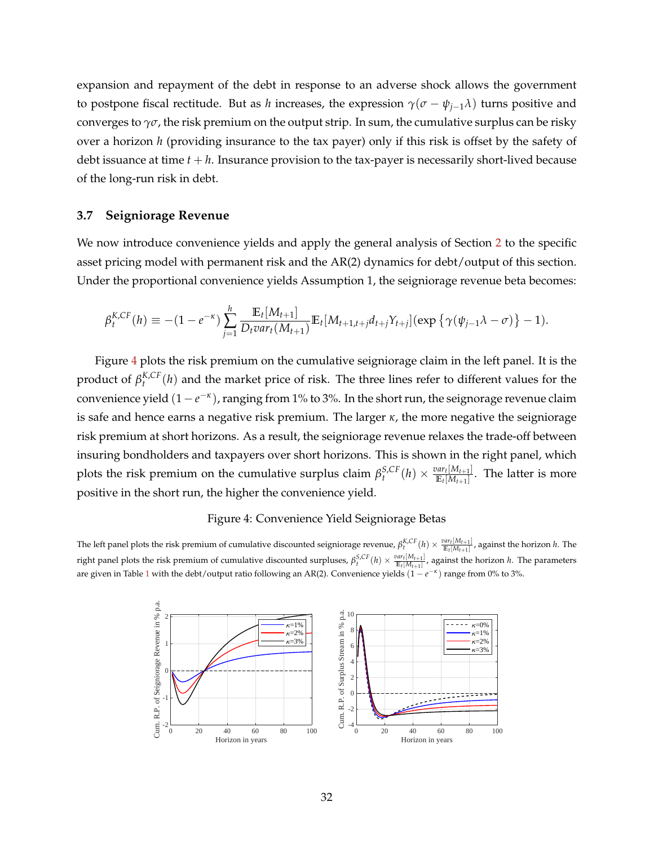expansion and repayment of the debt in response to an adverse shock allows the government to postpone fiscal rectitude. But as *h* increases, the expression  $\gamma(\sigma - \psi_{i-1}\lambda)$  turns positive and converges to *γσ*, the risk premium on the output strip. In sum, the cumulative surplus can be risky over a horizon *h* (providing insurance to the tax payer) only if this risk is offset by the safety of debt issuance at time *t* + *h*. Insurance provision to the tax-payer is necessarily short-lived because of the long-run risk in debt.

#### **3.7 Seigniorage Revenue**

We now introduce convenience yields and apply the general analysis of Section [2](#page-14-0) to the specific asset pricing model with permanent risk and the AR(2) dynamics for debt/output of this section. Under the proportional convenience yields Assumption 1, the seigniorage revenue beta becomes:

$$
\beta_t^{K,CF}(h) \equiv -(1-e^{-\kappa})\sum_{j=1}^h \frac{\mathbb{E}_t[M_{t+1}]}{D_t \text{var}_t(M_{t+1})} \mathbb{E}_t[M_{t+1,t+j}d_{t+j}Y_{t+j}](\exp\left\{\gamma(\psi_{j-1}\lambda-\sigma)\right\}-1).
$$

Figure [4](#page-32-0) plots the risk premium on the cumulative seigniorage claim in the left panel. It is the product of  $\beta_t^{K,CF}(h)$  and the market price of risk. The three lines refer to different values for the convenience yield (1 −  $e^{-\kappa}$ ), ranging from 1% to 3%. In the short run, the seignorage revenue claim is safe and hence earns a negative risk premium. The larger *κ*, the more negative the seigniorage risk premium at short horizons. As a result, the seigniorage revenue relaxes the trade-off between insuring bondholders and taxpayers over short horizons. This is shown in the right panel, which plots the risk premium on the cumulative surplus claim  $\beta_t^{S,CF}(h) \times \frac{var_t[M_{t+1}]}{\mathbb{E}_t[M_{t+1}]}$  $\frac{m_{t}[M_{t+1}]}{\mathbb{E}_{t}[M_{t+1}]}$ . The latter is more positive in the short run, the higher the convenience yield.

#### Figure 4: Convenience Yield Seigniorage Betas

<span id="page-32-0"></span>The left panel plots the risk premium of cumulative discounted seigniorage revenue,  $\beta_t^{K,CF}(h) \times \frac{var_t[M_{t+1}]}{E_t[M_{t+1}]}$ , against the horizon h. The right panel plots the risk premium of cumulative discounted surpluses,  $\beta_t^{S,CF}(h) \times \frac{var_t[M_{t+1}]}{E_t[M_{t+1}]}$ , against the horizon h. The parameters are given in Table [1](#page-21-0) with the debt/output ratio following an AR(2). Convenience yields  $(1 - e^{-\kappa})$  range from 0% to 3%.

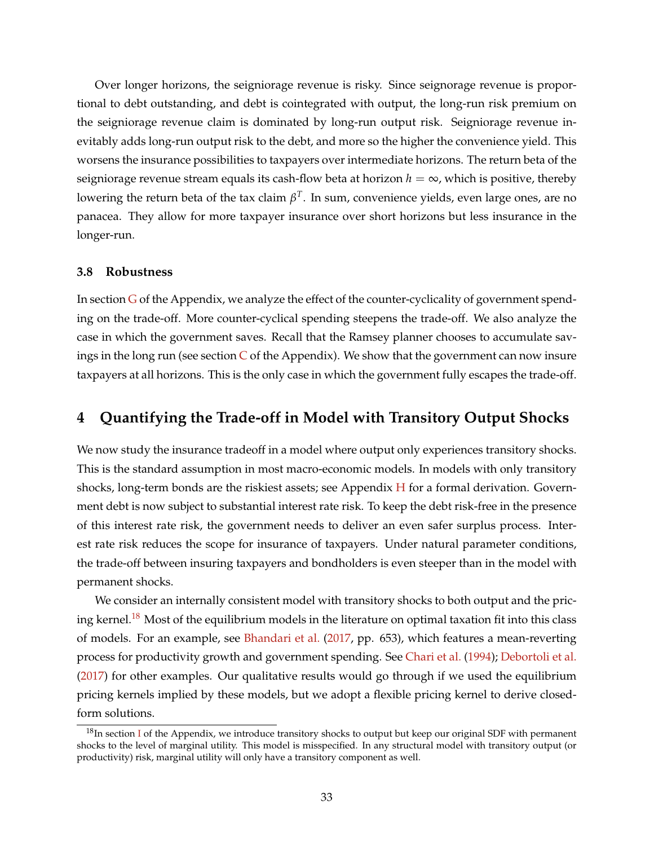Over longer horizons, the seigniorage revenue is risky. Since seignorage revenue is proportional to debt outstanding, and debt is cointegrated with output, the long-run risk premium on the seigniorage revenue claim is dominated by long-run output risk. Seigniorage revenue inevitably adds long-run output risk to the debt, and more so the higher the convenience yield. This worsens the insurance possibilities to taxpayers over intermediate horizons. The return beta of the seigniorage revenue stream equals its cash-flow beta at horizon  $h = \infty$ , which is positive, thereby lowering the return beta of the tax claim *β T* . In sum, convenience yields, even large ones, are no panacea. They allow for more taxpayer insurance over short horizons but less insurance in the longer-run.

#### **3.8 Robustness**

In section [G](#page-60-0) of the Appendix, we analyze the effect of the counter-cyclicality of government spending on the trade-off. More counter-cyclical spending steepens the trade-off. We also analyze the case in which the government saves. Recall that the Ramsey planner chooses to accumulate savings in the long run (see section  $C$  of the Appendix). We show that the government can now insure taxpayers at all horizons. This is the only case in which the government fully escapes the trade-off.

## <span id="page-33-0"></span>**4 Quantifying the Trade-off in Model with Transitory Output Shocks**

We now study the insurance tradeoff in a model where output only experiences transitory shocks. This is the standard assumption in most macro-economic models. In models with only transitory shocks, long-term bonds are the riskiest assets; see Appendix  $H$  for a formal derivation. Government debt is now subject to substantial interest rate risk. To keep the debt risk-free in the presence of this interest rate risk, the government needs to deliver an even safer surplus process. Interest rate risk reduces the scope for insurance of taxpayers. Under natural parameter conditions, the trade-off between insuring taxpayers and bondholders is even steeper than in the model with permanent shocks.

We consider an internally consistent model with transitory shocks to both output and the pric-ing kernel.<sup>[18](#page-33-1)</sup> Most of the equilibrium models in the literature on optimal taxation fit into this class of models. For an example, see [Bhandari et al.](#page-37-6) [\(2017,](#page-37-6) pp. 653), which features a mean-reverting process for productivity growth and government spending. See [Chari et al.](#page-38-6) [\(1994\)](#page-38-6); [Debortoli et al.](#page-38-7) [\(2017\)](#page-38-7) for other examples. Our qualitative results would go through if we used the equilibrium pricing kernels implied by these models, but we adopt a flexible pricing kernel to derive closedform solutions.

<span id="page-33-1"></span> $18$ [I](#page-63-0)n section I of the Appendix, we introduce transitory shocks to output but keep our original SDF with permanent shocks to the level of marginal utility. This model is misspecified. In any structural model with transitory output (or productivity) risk, marginal utility will only have a transitory component as well.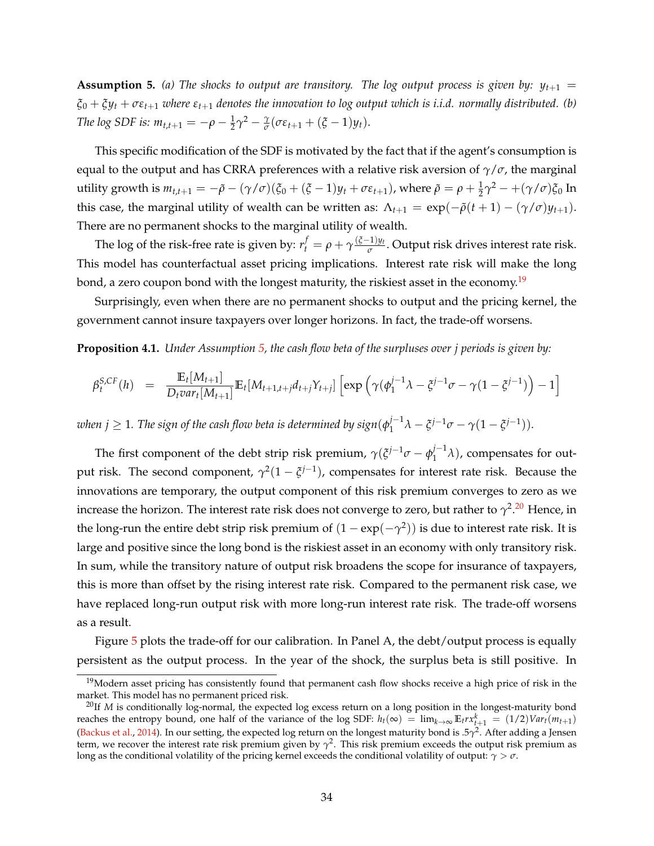<span id="page-34-1"></span>**Assumption 5.** (a) The shocks to output are transitory. The log output process is given by:  $y_{t+1}$  =  $\xi_0 + \xi y_t + \sigma \varepsilon_{t+1}$  *where*  $\varepsilon_{t+1}$  *denotes the innovation to log output which is <i>i.i.d. normally distributed.* (*b*) *The log SDF is:*  $m_{t,t+1} = -\rho - \frac{1}{2}\gamma^2 - \frac{\gamma}{\sigma}$  $\frac{\gamma}{\sigma}$ ( $\sigma \varepsilon_{t+1} + (\xi - 1)y_t$ ).

This specific modification of the SDF is motivated by the fact that if the agent's consumption is equal to the output and has CRRA preferences with a relative risk aversion of *γ*/*σ*, the marginal utility growth is  $m_{t,t+1} = -\tilde{\rho} - (\gamma/\sigma)(\xi_0 + (\xi - 1)y_t + \sigma \varepsilon_{t+1})$ , where  $\tilde{\rho} = \rho + \frac{1}{2}\gamma^2 - +(\gamma/\sigma)\xi_0$  In this case, the marginal utility of wealth can be written as:  $\Lambda_{t+1} = \exp(-\tilde{\rho}(t+1) - (\gamma/\sigma)y_{t+1})$ . There are no permanent shocks to the marginal utility of wealth.

The log of the risk-free rate is given by:  $r_t^f = \rho + \gamma \frac{(\xi-1)y_t}{\sigma}$ *σ* . Output risk drives interest rate risk. This model has counterfactual asset pricing implications. Interest rate risk will make the long bond, a zero coupon bond with the longest maturity, the riskiest asset in the economy.<sup>[19](#page-34-0)</sup>

Surprisingly, even when there are no permanent shocks to output and the pricing kernel, the government cannot insure taxpayers over longer horizons. In fact, the trade-off worsens.

<span id="page-34-3"></span>**Proposition 4.1.** *Under Assumption [5,](#page-34-1) the cash flow beta of the surpluses over j periods is given by:*

$$
\beta_t^{S,CF}(h) = \frac{\mathbb{E}_t[M_{t+1}]}{D_t \text{var}_t[M_{t+1}]} \mathbb{E}_t[M_{t+1,t+j}d_{t+j}Y_{t+j}] \left[\exp\left(\gamma(\phi_1^{j-1}\lambda - \xi^{j-1}\sigma - \gamma(1-\xi^{j-1})\right) - 1\right]
$$

 $\omega$ hen  $j\geq 1$ . The sign of the cash flow beta is determined by sign $(\phi_1^{j-1})$  $j^{-1}\lambda - \xi^{j-1}\sigma - \gamma(1-\xi^{j-1}).$ 

The first component of the debt strip risk premium,  $\gamma(\xi^{j-1}\sigma - \phi_1^{j-1})$  $\binom{1}{1}$ , compensates for output risk. The second component,  $\gamma^2(1-\xi^{j-1})$ , compensates for interest rate risk. Because the innovations are temporary, the output component of this risk premium converges to zero as we increase the horizon. The interest rate risk does not converge to zero, but rather to  $\gamma^2.^{\rm 20}$  $\gamma^2.^{\rm 20}$  $\gamma^2.^{\rm 20}$  Hence, in the long-run the entire debt strip risk premium of  $(1 - \exp(-\gamma^2))$  is due to interest rate risk. It is large and positive since the long bond is the riskiest asset in an economy with only transitory risk. In sum, while the transitory nature of output risk broadens the scope for insurance of taxpayers, this is more than offset by the rising interest rate risk. Compared to the permanent risk case, we have replaced long-run output risk with more long-run interest rate risk. The trade-off worsens as a result.

Figure [5](#page-35-0) plots the trade-off for our calibration. In Panel A, the debt/output process is equally persistent as the output process. In the year of the shock, the surplus beta is still positive. In

<span id="page-34-0"></span> $19$ Modern asset pricing has consistently found that permanent cash flow shocks receive a high price of risk in the market. This model has no permanent priced risk.

<span id="page-34-2"></span><sup>&</sup>lt;sup>20</sup>If *M* is conditionally log-normal, the expected log excess return on a long position in the longest-maturity bond reaches the entropy bound, one half of the variance of the log SDF:  $h_t(\infty) = \lim_{k \to \infty} E_t r x_{t+1}^k = (1/2)Var_t(m_{t+1})$ [\(Backus et al.,](#page-37-4) [2014\)](#page-37-4). In our setting, the expected log return on the longest maturity bond is .5*γ* 2 . After adding a Jensen term, we recover the interest rate risk premium given by  $\gamma^2$ . This risk premium exceeds the output risk premium as long as the conditional volatility of the pricing kernel exceeds the conditional volatility of output: *γ* > *σ*.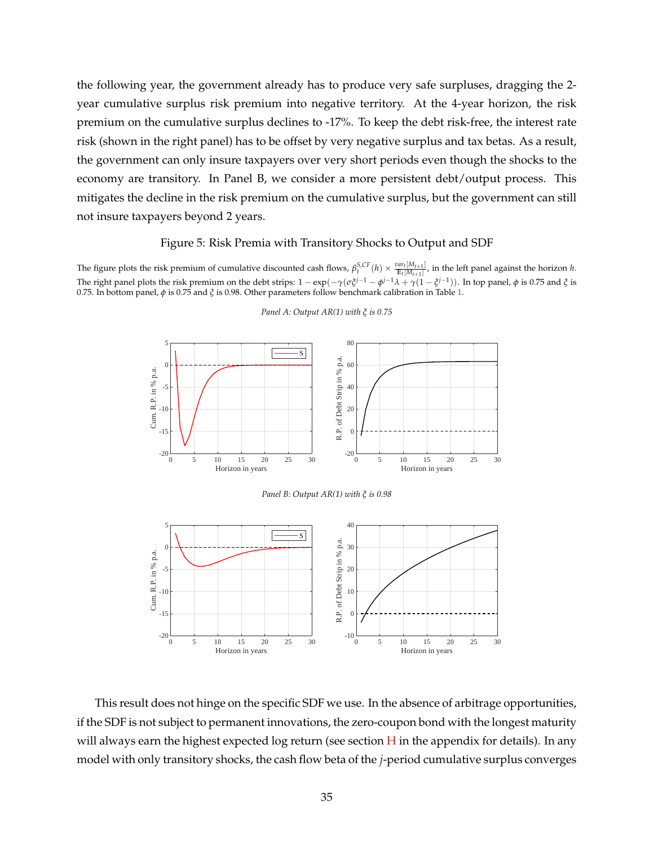the following year, the government already has to produce very safe surpluses, dragging the 2 year cumulative surplus risk premium into negative territory. At the 4-year horizon, the risk premium on the cumulative surplus declines to -17%. To keep the debt risk-free, the interest rate risk (shown in the right panel) has to be offset by very negative surplus and tax betas. As a result, the government can only insure taxpayers over very short periods even though the shocks to the economy are transitory. In Panel B, we consider a more persistent debt/output process. This mitigates the decline in the risk premium on the cumulative surplus, but the government can still not insure taxpayers beyond 2 years.

#### Figure 5: Risk Premia with Transitory Shocks to Output and SDF

<span id="page-35-0"></span>The figure plots the risk premium of cumulative discounted cash flows,  $\beta_t^{S,CF}(h) \times \frac{var_t[M_{t+1}]}{E_t[M_{t+1}]}$ , in the left panel against the horizon h. The right panel plots the risk premium on the debt strips:  $1 - \exp(-\gamma(\sigma \xi^{j-1} - \phi^{j-1}\lambda + \gamma(1-\xi^{j-1}))$ . In top panel, φ is 0.75 and  $\xi$  is 0.75. In bottom panel, *φ* is 0.75 and *ξ* is 0.98. Other parameters follow benchmark calibration in Table [1.](#page-21-0)



#### *Panel A: Output AR(1) with ξ is 0.75*

This result does not hinge on the specific SDF we use. In the absence of arbitrage opportunities, if the SDF is not subject to permanent innovations, the zero-coupon bond with the longest maturity will always earn the highest expected log return (see section  $H$  in the appendix for details). In any model with only transitory shocks, the cash flow beta of the *j*-period cumulative surplus converges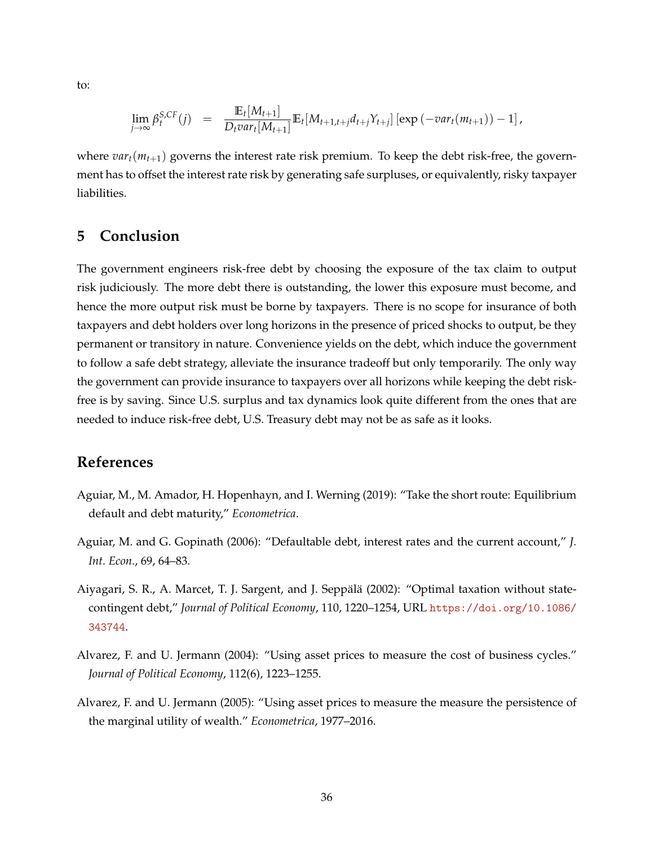to:

$$
\lim_{j\to\infty} \beta_t^{S,CF}(j) = \frac{\mathbb{E}_t[M_{t+1}]}{D_t \text{var}_t[M_{t+1}]} \mathbb{E}_t[M_{t+1,t+j}d_{t+j}Y_{t+j}] [\exp(-\text{var}_t(m_{t+1}))-1],
$$

where  $var_t(m_{t+1})$  governs the interest rate risk premium. To keep the debt risk-free, the government has to offset the interest rate risk by generating safe surpluses, or equivalently, risky taxpayer liabilities.

## **5 Conclusion**

The government engineers risk-free debt by choosing the exposure of the tax claim to output risk judiciously. The more debt there is outstanding, the lower this exposure must become, and hence the more output risk must be borne by taxpayers. There is no scope for insurance of both taxpayers and debt holders over long horizons in the presence of priced shocks to output, be they permanent or transitory in nature. Convenience yields on the debt, which induce the government to follow a safe debt strategy, alleviate the insurance tradeoff but only temporarily. The only way the government can provide insurance to taxpayers over all horizons while keeping the debt riskfree is by saving. Since U.S. surplus and tax dynamics look quite different from the ones that are needed to induce risk-free debt, U.S. Treasury debt may not be as safe as it looks.

## **References**

- <span id="page-36-3"></span>Aguiar, M., M. Amador, H. Hopenhayn, and I. Werning (2019): "Take the short route: Equilibrium default and debt maturity," *Econometrica*.
- <span id="page-36-2"></span>Aguiar, M. and G. Gopinath (2006): "Defaultable debt, interest rates and the current account," *J. Int. Econ.*, 69, 64–83.
- <span id="page-36-4"></span>Aiyagari, S. R., A. Marcet, T. J. Sargent, and J. Seppalä (2002): "Optimal taxation without statecontingent debt," *Journal of Political Economy*, 110, 1220–1254, URL [https://doi.org/10.1086/](https://doi.org/10.1086/343744) [343744](https://doi.org/10.1086/343744).
- <span id="page-36-1"></span>Alvarez, F. and U. Jermann (2004): "Using asset prices to measure the cost of business cycles." *Journal of Political Economy*, 112(6), 1223–1255.
- <span id="page-36-0"></span>Alvarez, F. and U. Jermann (2005): "Using asset prices to measure the measure the persistence of the marginal utility of wealth." *Econometrica*, 1977–2016.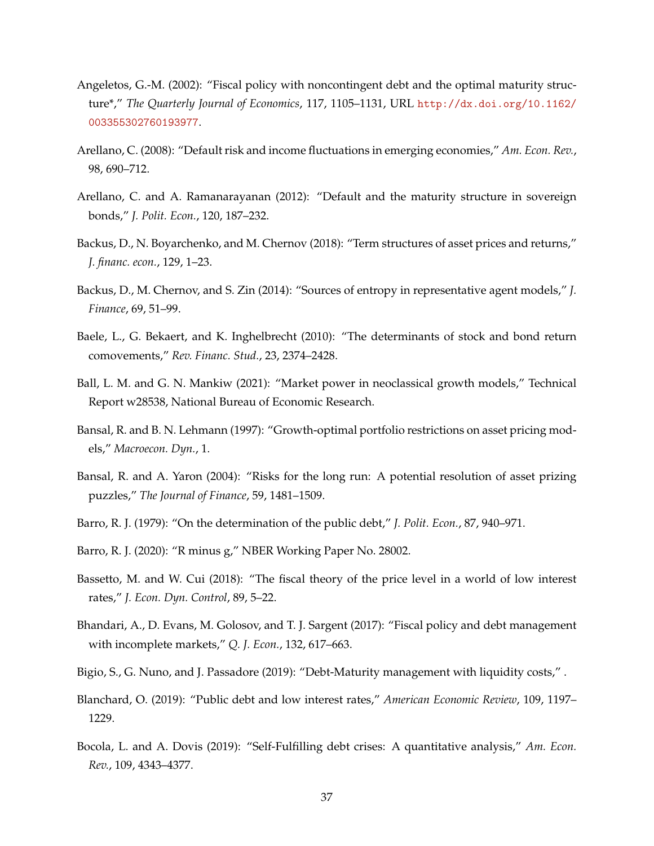- <span id="page-37-10"></span>Angeletos, G.-M. (2002): "Fiscal policy with noncontingent debt and the optimal maturity structure\*," *The Quarterly Journal of Economics*, 117, 1105–1131, URL [http://dx.doi.org/10.1162/](http://dx.doi.org/10.1162/003355302760193977) [003355302760193977](http://dx.doi.org/10.1162/003355302760193977).
- <span id="page-37-13"></span>Arellano, C. (2008): "Default risk and income fluctuations in emerging economies," *Am. Econ. Rev.*, 98, 690–712.
- <span id="page-37-11"></span>Arellano, C. and A. Ramanarayanan (2012): "Default and the maturity structure in sovereign bonds," *J. Polit. Econ.*, 120, 187–232.
- <span id="page-37-2"></span>Backus, D., N. Boyarchenko, and M. Chernov (2018): "Term structures of asset prices and returns," *J. financ. econ.*, 129, 1–23.
- <span id="page-37-4"></span>Backus, D., M. Chernov, and S. Zin (2014): "Sources of entropy in representative agent models," *J. Finance*, 69, 51–99.
- <span id="page-37-0"></span>Baele, L., G. Bekaert, and K. Inghelbrecht (2010): "The determinants of stock and bond return comovements," *Rev. Financ. Stud.*, 23, 2374–2428.
- <span id="page-37-12"></span>Ball, L. M. and G. N. Mankiw (2021): "Market power in neoclassical growth models," Technical Report w28538, National Bureau of Economic Research.
- <span id="page-37-3"></span>Bansal, R. and B. N. Lehmann (1997): "Growth-optimal portfolio restrictions on asset pricing models," *Macroecon. Dyn.*, 1.
- <span id="page-37-1"></span>Bansal, R. and A. Yaron (2004): "Risks for the long run: A potential resolution of asset prizing puzzles," *The Journal of Finance*, 59, 1481–1509.
- <span id="page-37-7"></span>Barro, R. J. (1979): "On the determination of the public debt," *J. Polit. Econ.*, 87, 940–971.
- <span id="page-37-9"></span>Barro, R. J. (2020): "R minus g," NBER Working Paper No. 28002.
- <span id="page-37-5"></span>Bassetto, M. and W. Cui (2018): "The fiscal theory of the price level in a world of low interest rates," *J. Econ. Dyn. Control*, 89, 5–22.
- <span id="page-37-6"></span>Bhandari, A., D. Evans, M. Golosov, and T. J. Sargent (2017): "Fiscal policy and debt management with incomplete markets," *Q. J. Econ.*, 132, 617–663.
- <span id="page-37-8"></span>Bigio, S., G. Nuno, and J. Passadore (2019): "Debt-Maturity management with liquidity costs," .
- <span id="page-37-15"></span>Blanchard, O. (2019): "Public debt and low interest rates," *American Economic Review*, 109, 1197– 1229.
- <span id="page-37-14"></span>Bocola, L. and A. Dovis (2019): "Self-Fulfilling debt crises: A quantitative analysis," *Am. Econ. Rev.*, 109, 4343–4377.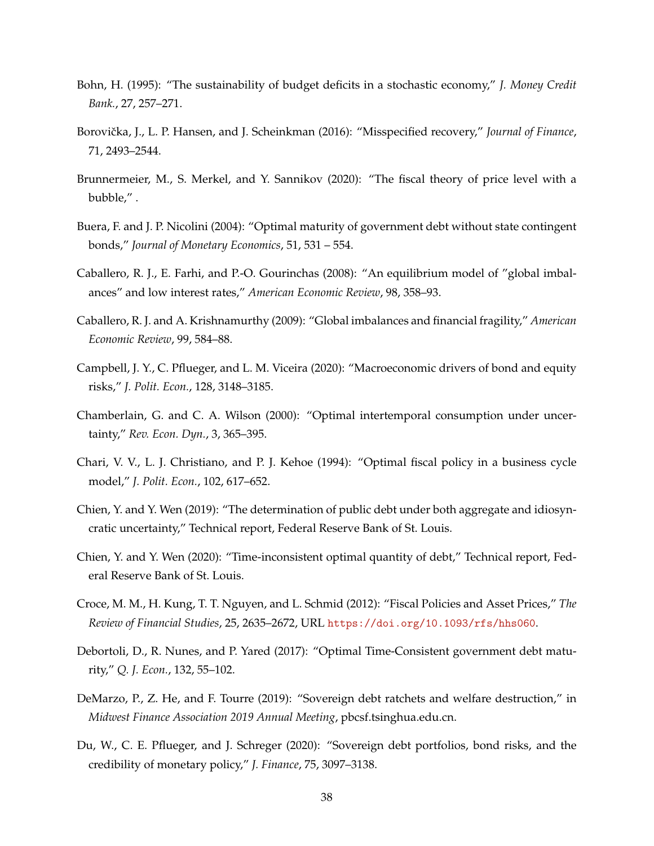- <span id="page-38-14"></span>Bohn, H. (1995): "The sustainability of budget deficits in a stochastic economy," *J. Money Credit Bank.*, 27, 257–271.
- <span id="page-38-1"></span>Borovička, J., L. P. Hansen, and J. Scheinkman (2016): "Misspecified recovery," Journal of Finance, 71, 2493–2544.
- <span id="page-38-3"></span>Brunnermeier, M., S. Merkel, and Y. Sannikov (2020): "The fiscal theory of price level with a bubble," .
- <span id="page-38-9"></span>Buera, F. and J. P. Nicolini (2004): "Optimal maturity of government debt without state contingent bonds," *Journal of Monetary Economics*, 51, 531 – 554.
- <span id="page-38-11"></span>Caballero, R. J., E. Farhi, and P.-O. Gourinchas (2008): "An equilibrium model of "global imbalances" and low interest rates," *American Economic Review*, 98, 358–93.
- <span id="page-38-12"></span>Caballero, R. J. and A. Krishnamurthy (2009): "Global imbalances and financial fragility," *American Economic Review*, 99, 584–88.
- <span id="page-38-0"></span>Campbell, J. Y., C. Pflueger, and L. M. Viceira (2020): "Macroeconomic drivers of bond and equity risks," *J. Polit. Econ.*, 128, 3148–3185.
- <span id="page-38-2"></span>Chamberlain, G. and C. A. Wilson (2000): "Optimal intertemporal consumption under uncertainty," *Rev. Econ. Dyn.*, 3, 365–395.
- <span id="page-38-6"></span>Chari, V. V., L. J. Christiano, and P. J. Kehoe (1994): "Optimal fiscal policy in a business cycle model," *J. Polit. Econ.*, 102, 617–652.
- <span id="page-38-4"></span>Chien, Y. and Y. Wen (2019): "The determination of public debt under both aggregate and idiosyncratic uncertainty," Technical report, Federal Reserve Bank of St. Louis.
- <span id="page-38-5"></span>Chien, Y. and Y. Wen (2020): "Time-inconsistent optimal quantity of debt," Technical report, Federal Reserve Bank of St. Louis.
- <span id="page-38-10"></span>Croce, M. M., H. Kung, T. T. Nguyen, and L. Schmid (2012): "Fiscal Policies and Asset Prices," *The Review of Financial Studies*, 25, 2635–2672, URL <https://doi.org/10.1093/rfs/hhs060>.
- <span id="page-38-7"></span>Debortoli, D., R. Nunes, and P. Yared (2017): "Optimal Time-Consistent government debt maturity," *Q. J. Econ.*, 132, 55–102.
- <span id="page-38-13"></span>DeMarzo, P., Z. He, and F. Tourre (2019): "Sovereign debt ratchets and welfare destruction," in *Midwest Finance Association 2019 Annual Meeting*, pbcsf.tsinghua.edu.cn.
- <span id="page-38-8"></span>Du, W., C. E. Pflueger, and J. Schreger (2020): "Sovereign debt portfolios, bond risks, and the credibility of monetary policy," *J. Finance*, 75, 3097–3138.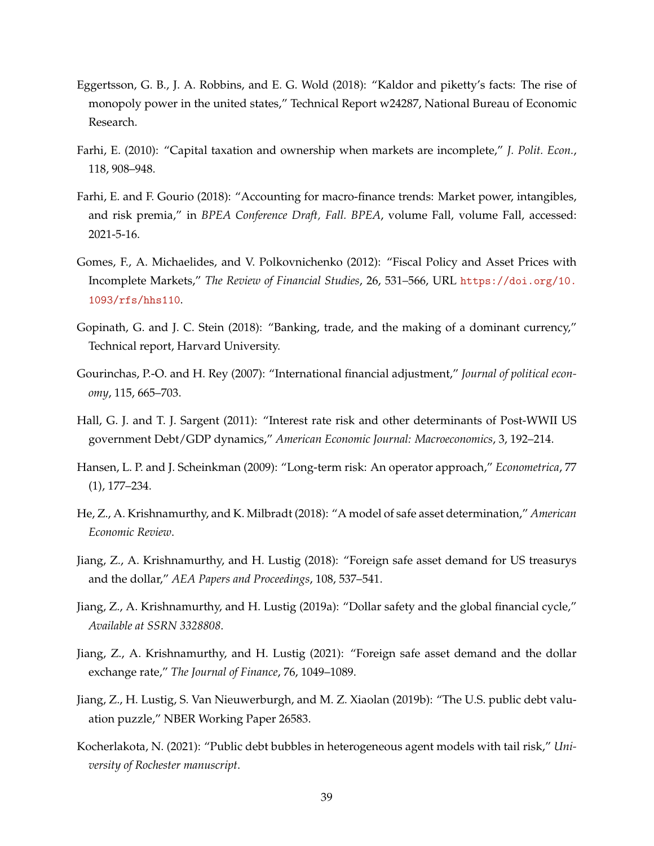- <span id="page-39-13"></span>Eggertsson, G. B., J. A. Robbins, and E. G. Wold (2018): "Kaldor and piketty's facts: The rise of monopoly power in the united states," Technical Report w24287, National Bureau of Economic Research.
- <span id="page-39-6"></span>Farhi, E. (2010): "Capital taxation and ownership when markets are incomplete," *J. Polit. Econ.*, 118, 908–948.
- <span id="page-39-12"></span>Farhi, E. and F. Gourio (2018): "Accounting for macro-finance trends: Market power, intangibles, and risk premia," in *BPEA Conference Draft, Fall. BPEA*, volume Fall, volume Fall, accessed: 2021-5-16.
- <span id="page-39-7"></span>Gomes, F., A. Michaelides, and V. Polkovnichenko (2012): "Fiscal Policy and Asset Prices with Incomplete Markets," *The Review of Financial Studies*, 26, 531–566, URL [https://doi.org/10.](https://doi.org/10.1093/rfs/hhs110) [1093/rfs/hhs110](https://doi.org/10.1093/rfs/hhs110).
- <span id="page-39-10"></span>Gopinath, G. and J. C. Stein (2018): "Banking, trade, and the making of a dominant currency," Technical report, Harvard University.
- <span id="page-39-8"></span>Gourinchas, P.-O. and H. Rey (2007): "International financial adjustment," *Journal of political economy*, 115, 665–703.
- <span id="page-39-2"></span>Hall, G. J. and T. J. Sargent (2011): "Interest rate risk and other determinants of Post-WWII US government Debt/GDP dynamics," *American Economic Journal: Macroeconomics*, 3, 192–214.
- <span id="page-39-4"></span>Hansen, L. P. and J. Scheinkman (2009): "Long-term risk: An operator approach," *Econometrica*, 77 (1), 177–234.
- <span id="page-39-9"></span>He, Z., A. Krishnamurthy, and K. Milbradt (2018): "A model of safe asset determination," *American Economic Review*.
- <span id="page-39-1"></span>Jiang, Z., A. Krishnamurthy, and H. Lustig (2018): "Foreign safe asset demand for US treasurys and the dollar," *AEA Papers and Proceedings*, 108, 537–541.
- <span id="page-39-11"></span>Jiang, Z., A. Krishnamurthy, and H. Lustig (2019a): "Dollar safety and the global financial cycle," *Available at SSRN 3328808*.
- <span id="page-39-0"></span>Jiang, Z., A. Krishnamurthy, and H. Lustig (2021): "Foreign safe asset demand and the dollar exchange rate," *The Journal of Finance*, 76, 1049–1089.
- <span id="page-39-3"></span>Jiang, Z., H. Lustig, S. Van Nieuwerburgh, and M. Z. Xiaolan (2019b): "The U.S. public debt valuation puzzle," NBER Working Paper 26583.
- <span id="page-39-5"></span>Kocherlakota, N. (2021): "Public debt bubbles in heterogeneous agent models with tail risk," *University of Rochester manuscript*.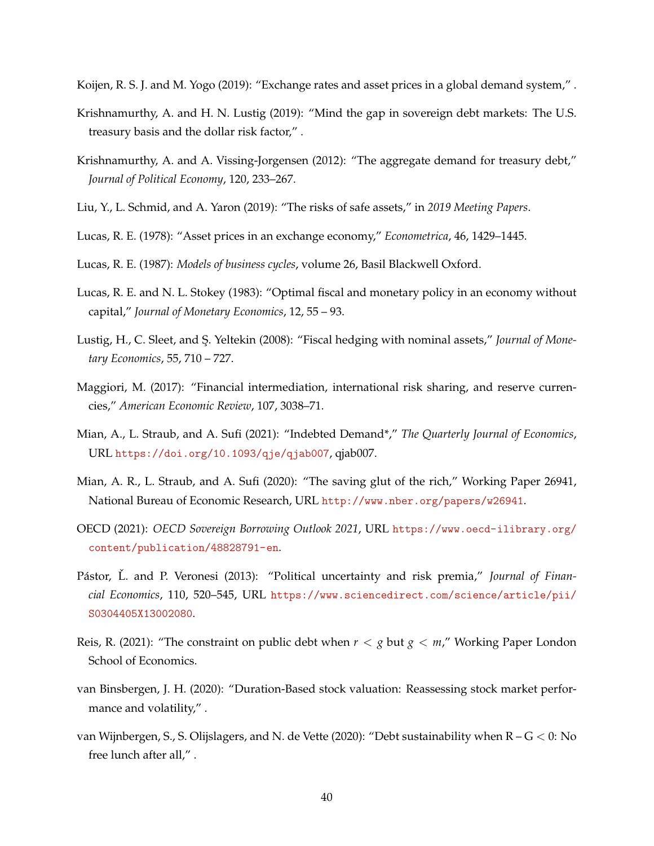<span id="page-40-2"></span>Koijen, R. S. J. and M. Yogo (2019): "Exchange rates and asset prices in a global demand system," .

- <span id="page-40-13"></span>Krishnamurthy, A. and H. N. Lustig (2019): "Mind the gap in sovereign debt markets: The U.S. treasury basis and the dollar risk factor," .
- <span id="page-40-1"></span>Krishnamurthy, A. and A. Vissing-Jorgensen (2012): "The aggregate demand for treasury debt," *Journal of Political Economy*, 120, 233–267.
- <span id="page-40-8"></span>Liu, Y., L. Schmid, and A. Yaron (2019): "The risks of safe assets," in *2019 Meeting Papers*.
- <span id="page-40-15"></span>Lucas, R. E. (1978): "Asset prices in an exchange economy," *Econometrica*, 46, 1429–1445.
- <span id="page-40-14"></span>Lucas, R. E. (1987): *Models of business cycles*, volume 26, Basil Blackwell Oxford.
- <span id="page-40-5"></span>Lucas, R. E. and N. L. Stokey (1983): "Optimal fiscal and monetary policy in an economy without capital," *Journal of Monetary Economics*, 12, 55 – 93.
- <span id="page-40-7"></span>Lustig, H., C. Sleet, and S¸. Yeltekin (2008): "Fiscal hedging with nominal assets," *Journal of Monetary Economics*, 55, 710 – 727.
- <span id="page-40-12"></span>Maggiori, M. (2017): "Financial intermediation, international risk sharing, and reserve currencies," *American Economic Review*, 107, 3038–71.
- <span id="page-40-10"></span>Mian, A., L. Straub, and A. Sufi (2021): "Indebted Demand\*," *The Quarterly Journal of Economics*, URL <https://doi.org/10.1093/qje/qjab007>, qjab007.
- <span id="page-40-11"></span>Mian, A. R., L. Straub, and A. Sufi (2020): "The saving glut of the rich," Working Paper 26941, National Bureau of Economic Research, URL <http://www.nber.org/papers/w26941>.
- <span id="page-40-0"></span>OECD (2021): *OECD Sovereign Borrowing Outlook 2021*, URL [https://www.oecd-ilibrary.org/](https://www.oecd-ilibrary.org/content/publication/48828791-en) [content/publication/48828791-en](https://www.oecd-ilibrary.org/content/publication/48828791-en).
- <span id="page-40-9"></span>Pástor, Ľ. and P. Veronesi (2013): "Political uncertainty and risk premia," Journal of Finan*cial Economics*, 110, 520–545, URL [https://www.sciencedirect.com/science/article/pii/](https://www.sciencedirect.com/science/article/pii/S0304405X13002080) [S0304405X13002080](https://www.sciencedirect.com/science/article/pii/S0304405X13002080).
- <span id="page-40-3"></span>Reis, R. (2021): "The constraint on public debt when  $r < g$  but  $g < m$ ," Working Paper London School of Economics.
- <span id="page-40-4"></span>van Binsbergen, J. H. (2020): "Duration-Based stock valuation: Reassessing stock market performance and volatility," .
- <span id="page-40-6"></span>van Wijnbergen, S., S. Olijslagers, and N. de Vette (2020): "Debt sustainability when  $R - G < 0$ : No free lunch after all," .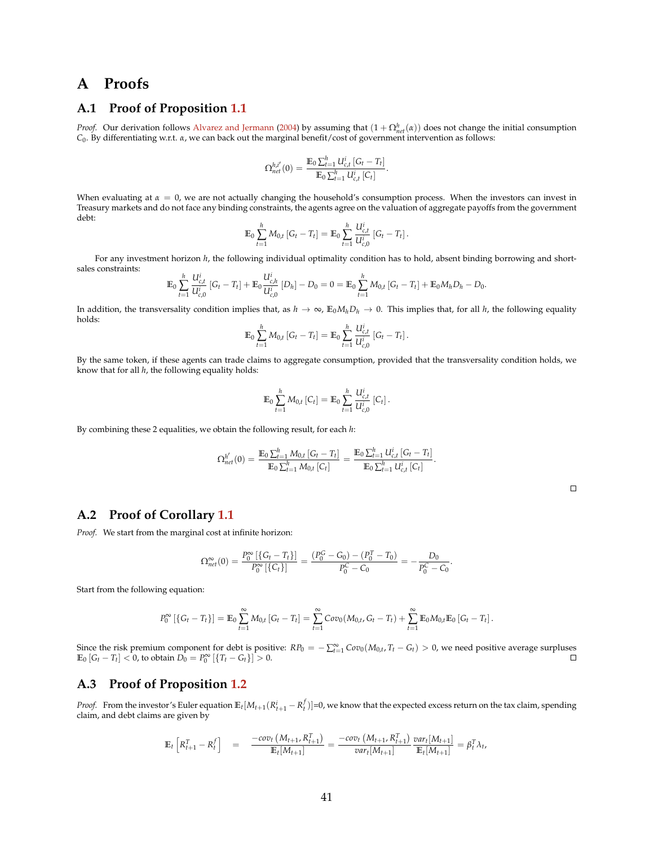## **A Proofs**

## **A.1 Proof of Proposition [1.1](#page-8-0)**

*Proof.* Our derivation follows [Alvarez and Jermann](#page-36-1) [\(2004\)](#page-36-1) by assuming that  $(1 + \Omega_{net}^h(\alpha))$  does not change the initial consumption *C*0. By differentiating w.r.t. *α*, we can back out the marginal benefit/cost of government intervention as follows:

$$
\Omega_{net}^{h,i'}(0) = \frac{\mathbb{E}_0 \sum_{t=1}^h U_{c,t}^i [G_t - T_t]}{\mathbb{E}_0 \sum_{t=1}^h U_{c,t}^i [C_t]}.
$$

When evaluating at  $\alpha = 0$ , we are not actually changing the household's consumption process. When the investors can invest in Treasury markets and do not face any binding constraints, the agents agree on the valuation of aggregate payoffs from the government debt:

$$
\mathbb{E}_0 \sum_{t=1}^h M_{0,t} [G_t - T_t] = \mathbb{E}_0 \sum_{t=1}^h \frac{U_{c,t}^i}{U_{c,0}^i} [G_t - T_t].
$$

For any investment horizon  $h$ , the following individual optimality condition has to hold, absent binding borrowing and shortsales constraints:

$$
\mathbb{E}_0 \sum_{t=1}^h \frac{U_{c,t}^i}{U_{c,0}^i} [G_t - T_t] + \mathbb{E}_0 \frac{U_{c,h}^i}{U_{c,0}^i} [D_h] - D_0 = 0 = \mathbb{E}_0 \sum_{t=1}^h M_{0,t} [G_t - T_t] + \mathbb{E}_0 M_h D_h - D_0.
$$

In addition, the transversality condition implies that, as  $h \to \infty$ ,  $\mathbb{E}_0 M_h D_h \to 0$ . This implies that, for all *h*, the following equality holds:

$$
\mathbb{E}_0 \sum_{t=1}^h M_{0,t} [G_t - T_t] = \mathbb{E}_0 \sum_{t=1}^h \frac{U_{c,t}^i}{U_{c,0}^i} [G_t - T_t].
$$

By the same token, if these agents can trade claims to aggregate consumption, provided that the transversality condition holds, we know that for all *h*, the following equality holds:

$$
\mathbb{E}_0 \sum_{t=1}^h M_{0,t} [C_t] = \mathbb{E}_0 \sum_{t=1}^h \frac{U_{c,t}^i}{U_{c,0}^i} [C_t].
$$

By combining these 2 equalities, we obtain the following result, for each *h*:

$$
\Omega_{net}^{h'}(0) = \frac{\mathbb{E}_0 \sum_{t=1}^h M_{0,t} [G_t - T_t]}{\mathbb{E}_0 \sum_{t=1}^h M_{0,t} [C_t]} = \frac{\mathbb{E}_0 \sum_{t=1}^h U_{c,t}^i [G_t - T_t]}{\mathbb{E}_0 \sum_{t=1}^h U_{c,t}^i [C_t]}.
$$

.

 $\Box$ 

## **A.2 Proof of Corollary [1.1](#page-10-1)**

*Proof.* We start from the marginal cost at infinite horizon:

$$
\Omega_{net}^{\infty}(0) = \frac{P_0^{\infty} \left[ \left\{ G_t - T_t \right\} \right]}{P_0^{\infty} \left[ \left\{ C_t \right\} \right]} = \frac{\left( P_0^C - G_0 \right) - \left( P_0^T - T_0 \right)}{P_0^C - C_0} = -\frac{D_0}{P_0^C - C_0}
$$

Start from the following equation:

$$
P_0^{\infty} [\{G_t - T_t\}] = \mathbb{E}_0 \sum_{t=1}^{\infty} M_{0,t} [G_t - T_t] = \sum_{t=1}^{\infty} Cov_0(M_{0,t}, G_t - T_t) + \sum_{t=1}^{\infty} \mathbb{E}_0 M_{0,t} \mathbb{E}_0 [G_t - T_t].
$$

Since the risk premium component for debt is positive:  $RP_0 = -\sum_{t=1}^{\infty} Cov_0(M_{0,t}, T_t - G_t) > 0$ , we need positive average surpluses  $\mathbb{E}_0 [G_t - T_t] < 0$ , to obtain  $D_0 = P_0^{\infty} [\{T_t - G_t\}] > 0$ .

## **A.3 Proof of Proposition [1.2](#page-11-2)**

*Proof.* From the investor's Euler equation  $\mathbb{E}_t[M_{t+1}(R_{t+1}^i-R_t^f)]=0$ , we know that the expected excess return on the tax claim, spending claim, and debt claims are given by

$$
\mathbb{E}_{t}\left[R_{t+1}^{T} - R_{t}^{f}\right] = \frac{-cov_{t}\left(M_{t+1}, R_{t+1}^{T}\right)}{\mathbb{E}_{t}[M_{t+1}]} = \frac{-cov_{t}\left(M_{t+1}, R_{t+1}^{T}\right)}{var_{t}[M_{t+1}]} \frac{var_{t}[M_{t+1}]}{\mathbb{E}_{t}[M_{t+1}]} = \beta_{t}^{T} \lambda_{t},
$$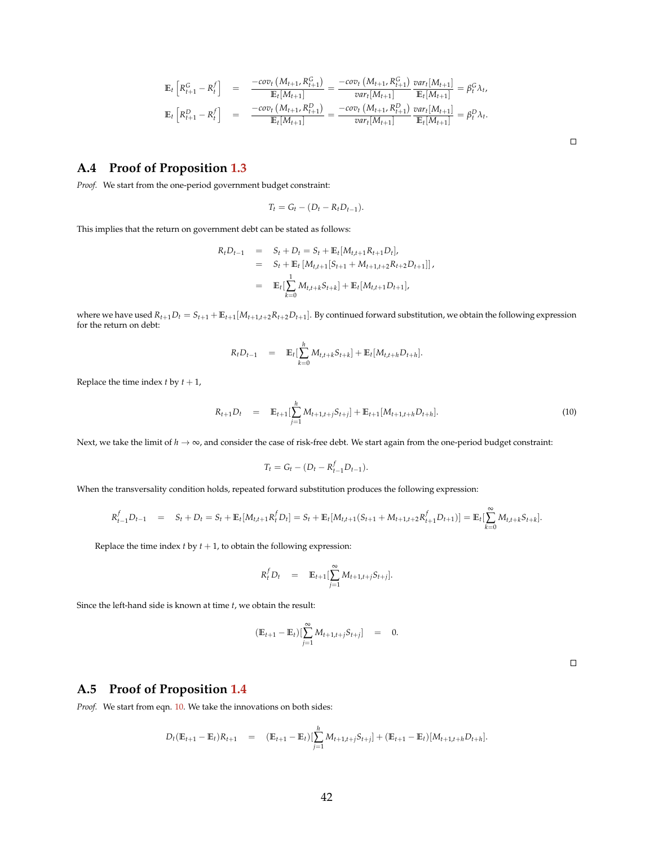$$
\mathbb{E}_{t}\left[R_{t+1}^{G} - R_{t}^{f}\right] = \frac{-cov_{t}\left(M_{t+1}, R_{t+1}^{G}\right)}{\mathbb{E}_{t}[M_{t+1}]} = \frac{-cov_{t}\left(M_{t+1}, R_{t+1}^{G}\right)}{var_{t}[M_{t+1}]} \frac{var_{t}[M_{t+1}]}{\mathbb{E}_{t}[M_{t+1}]} = \beta_{t}^{G} \lambda_{t},
$$
\n
$$
\mathbb{E}_{t}\left[R_{t+1}^{D} - R_{t}^{f}\right] = \frac{-cov_{t}\left(M_{t+1}, R_{t+1}^{D}\right)}{\mathbb{E}_{t}[M_{t+1}]} = \frac{-cov_{t}\left(M_{t+1}, R_{t+1}^{D}\right)}{var_{t}[M_{t+1}]} \frac{var_{t}[M_{t+1}]}{\mathbb{E}_{t}[M_{t+1}]} = \beta_{t}^{D} \lambda_{t}.
$$

## **A.4 Proof of Proposition [1.3](#page-12-1)**

*Proof.* We start from the one-period government budget constraint:

$$
T_t = G_t - (D_t - R_t D_{t-1}).
$$

This implies that the return on government debt can be stated as follows:

$$
R_t D_{t-1} = S_t + D_t = S_t + \mathbb{E}_t [M_{t,t+1} R_{t+1} D_t],
$$
  
=  $S_t + \mathbb{E}_t [M_{t,t+1} [S_{t+1} + M_{t+1,t+2} R_{t+2} D_{t+1}]],$   
=  $\mathbb{E}_t [\sum_{k=0}^1 M_{t,t+k} S_{t+k}] + \mathbb{E}_t [M_{t,t+1} D_{t+1}],$ 

where we have used  $R_{t+1}D_t = S_{t+1} + E_{t+1}[M_{t+1,t+2}R_{t+2}D_{t+1}]$ . By continued forward substitution, we obtain the following expression for the return on debt:

$$
R_t D_{t-1} = \mathbb{E}_t \left[ \sum_{k=0}^h M_{t,t+k} S_{t+k} \right] + \mathbb{E}_t [M_{t,t+h} D_{t+h}].
$$

Replace the time index  $t$  by  $t + 1$ ,

<span id="page-42-0"></span>
$$
R_{t+1}D_t = \mathbb{E}_{t+1}[\sum_{j=1}^h M_{t+1,t+j}S_{t+j}] + \mathbb{E}_{t+1}[M_{t+1,t+h}D_{t+h}].
$$
\n(10)

Next, we take the limit of  $h \to \infty$ , and consider the case of risk-free debt. We start again from the one-period budget constraint:

$$
T_t = G_t - (D_t - R_{t-1}^f D_{t-1}).
$$

When the transversality condition holds, repeated forward substitution produces the following expression:

$$
R_{t-1}^f D_{t-1} = S_t + D_t = S_t + \mathbb{E}_t[M_{t,t+1}R_t^f D_t] = S_t + \mathbb{E}_t[M_{t,t+1}(S_{t+1} + M_{t+1,t+2}R_{t+1}^f D_{t+1})] = \mathbb{E}_t[\sum_{k=0}^{\infty} M_{t,t+k}S_{t+k}].
$$

Replace the time index  $t$  by  $t + 1$ , to obtain the following expression:

$$
R_t^f D_t = \mathbb{E}_{t+1} \left[ \sum_{j=1}^{\infty} M_{t+1,t+j} S_{t+j} \right].
$$

Since the left-hand side is known at time *t*, we obtain the result:

$$
(\mathbb{E}_{t+1} - \mathbb{E}_t) [\sum_{j=1}^{\infty} M_{t+1,t+j} S_{t+j}] = 0.
$$

 $\Box$ 

## **A.5 Proof of Proposition [1.4](#page-13-0)**

*Proof.* We start from eqn. [10.](#page-42-0) We take the innovations on both sides:

$$
D_t(\mathbb{E}_{t+1} - \mathbb{E}_t)R_{t+1} = (\mathbb{E}_{t+1} - \mathbb{E}_t) [\sum_{j=1}^h M_{t+1,t+j}S_{t+j}] + (\mathbb{E}_{t+1} - \mathbb{E}_t) [M_{t+1,t+h}D_{t+h}].
$$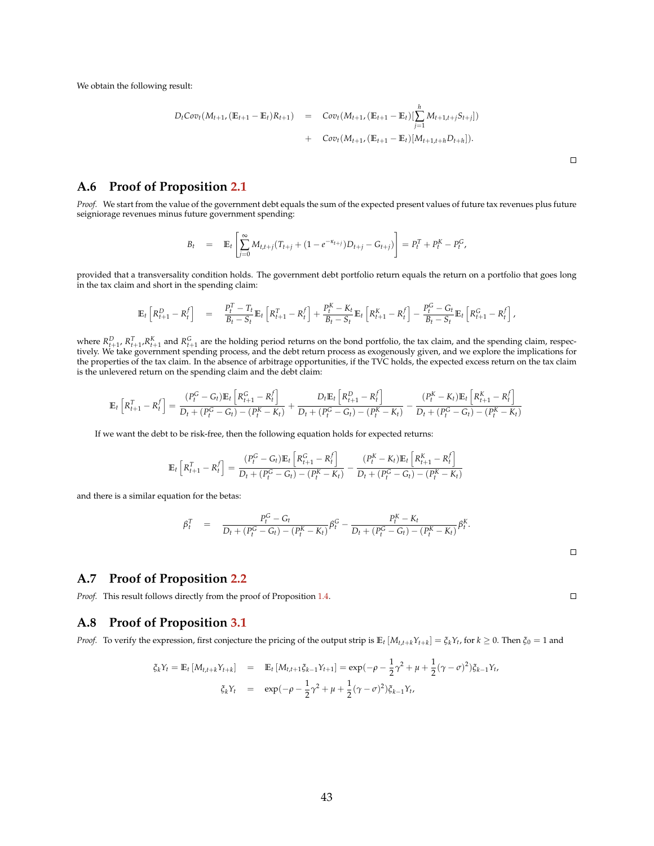We obtain the following result:

$$
D_t \text{Cov}_t(M_{t+1}, (\mathbb{E}_{t+1} - \mathbb{E}_t)R_{t+1}) = \text{Cov}_t(M_{t+1}, (\mathbb{E}_{t+1} - \mathbb{E}_t) [\sum_{j=1}^h M_{t+1,t+j}S_{t+j}]) + \text{Cov}_t(M_{t+1}, (\mathbb{E}_{t+1} - \mathbb{E}_t) [M_{t+1,t+h}D_{t+h}]).
$$

#### **A.6 Proof of Proposition [2.1](#page-15-0)**

*Proof.* We start from the value of the government debt equals the sum of the expected present values of future tax revenues plus future seigniorage revenues minus future government spending:

$$
B_t = \mathbb{E}_t \left[ \sum_{j=0}^{\infty} M_{t,t+j} (T_{t+j} + (1 - e^{-\kappa_{t+j}}) D_{t+j} - G_{t+j}) \right] = P_t^T + P_t^K - P_t^G,
$$

provided that a transversality condition holds. The government debt portfolio return equals the return on a portfolio that goes long in the tax claim and short in the spending claim:

$$
\mathbb{E}_{t}\left[R_{t+1}^{D}-R_{t}^{f}\right] = \frac{P_{t}^{T}-T_{t}}{B_{t}-S_{t}}\mathbb{E}_{t}\left[R_{t+1}^{T}-R_{t}^{f}\right]+\frac{P_{t}^{K}-K_{t}}{B_{t}-S_{t}}\mathbb{E}_{t}\left[R_{t+1}^{K}-R_{t}^{f}\right]-\frac{P_{t}^{G}-G_{t}}{B_{t}-S_{t}}\mathbb{E}_{t}\left[R_{t+1}^{G}-R_{t}^{f}\right],
$$

where  $R_{t+1}^D$ ,  $R_{t+1}^T$ ,  $R_{t+1}^K$  and  $R_{t+1}^G$  are the holding period returns on the bond portfolio, the tax claim, and the spending claim, respectively. We take government spending process, and the debt return process as exogenously given, and we explore the implications for the properties of the tax claim. In the absence of arbitrage opportunities, if the TVC holds, the expected excess return on the tax claim is the unlevered return on the spending claim and the debt claim:

$$
\mathbb{E}_t\left[R_{t+1}^T - R_t^f\right] = \frac{(P_t^G - G_t)\mathbb{E}_t\left[R_{t+1}^G - R_t^f\right]}{D_t + (P_t^G - G_t) - (P_t^K - K_t)} + \frac{D_t\mathbb{E}_t\left[R_{t+1}^D - R_t^f\right]}{D_t + (P_t^G - G_t) - (P_t^K - K_t)} - \frac{(P_t^K - K_t)\mathbb{E}_t\left[R_{t+1}^K - R_t^f\right]}{D_t + (P_t^G - G_t) - (P_t^K - K_t)}
$$

If we want the debt to be risk-free, then the following equation holds for expected returns:

$$
\mathbb{E}_{t}\left[R_{t+1}^{T} - R_{t}^{f}\right] = \frac{(P_{t}^{G} - G_{t})\mathbb{E}_{t}\left[R_{t+1}^{G} - R_{t}^{f}\right]}{D_{t} + (P_{t}^{G} - G_{t}) - (P_{t}^{K} - K_{t})} - \frac{(P_{t}^{K} - K_{t})\mathbb{E}_{t}\left[R_{t+1}^{K} - R_{t}^{f}\right]}{D_{t} + (P_{t}^{G} - G_{t}) - (P_{t}^{K} - K_{t})}
$$

and there is a similar equation for the betas:

$$
\beta_t^T = \frac{P_t^G - G_t}{D_t + (P_t^G - G_t) - (P_t^K - K_t)} \beta_t^G - \frac{P_t^K - K_t}{D_t + (P_t^G - G_t) - (P_t^K - K_t)} \beta_t^K.
$$

#### **A.7 Proof of Proposition [2.2](#page-16-0)**

*Proof.* This result follows directly from the proof of Proposition [1.4.](#page-13-0)

## **A.8 Proof of Proposition [3.1](#page-18-1)**

*Proof.* To verify the expression, first conjecture the pricing of the output strip is  $\mathbb{E}_t\left[M_{t,t+k}Y_{t+k}\right]=\xi_kY_t$ , for  $k\geq 0$ . Then  $\xi_0=1$  and

$$
\xi_k Y_t = \mathbb{E}_t \left[ M_{t,t+k} Y_{t+k} \right] = \mathbb{E}_t \left[ M_{t,t+1} \xi_{k-1} Y_{t+1} \right] = \exp(-\rho - \frac{1}{2} \gamma^2 + \mu + \frac{1}{2} (\gamma - \sigma)^2) \xi_{k-1} Y_{t},
$$
  

$$
\xi_k Y_t = \exp(-\rho - \frac{1}{2} \gamma^2 + \mu + \frac{1}{2} (\gamma - \sigma)^2) \xi_{k-1} Y_{t},
$$

 $\Box$ 

 $\Box$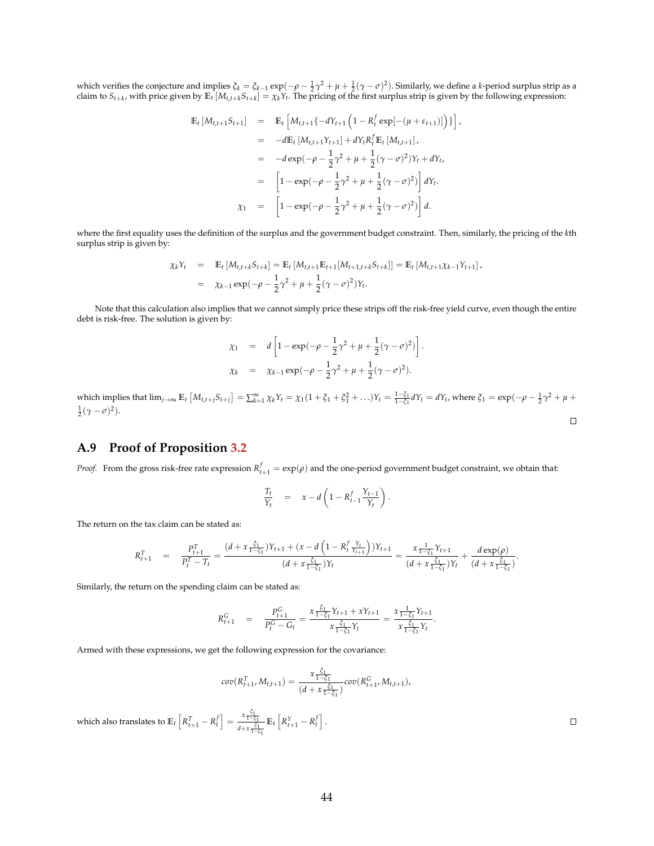which verifies the conjecture and implies  $\xi_k = \xi_{k-1} \exp(-\rho - \frac{1}{2}\gamma^2 + \mu + \frac{1}{2}(\gamma - \sigma)^2)$ . Similarly, we define a *k*-period surplus strip as a claim to  $S_{t+k}$ , with price given by  $\mathbb{E}_t\left[M_{t,t+k}S_{t+k}\right]=\chi_k Y_t.$  The pricing of the first surplus strip is given by the following expression:

$$
\mathbb{E}_{t}[M_{t,t+1}S_{t+1}] = \mathbb{E}_{t}\left[M_{t,t+1}\{-dY_{t+1}\left(1 - R_{t}^{f}\exp[-(\mu + \varepsilon_{t+1})]\right)\}\right],
$$
  
\n
$$
= -d\mathbb{E}_{t}[M_{t,t+1}Y_{t+1}] + dY_{t}R_{t}^{f}\mathbb{E}_{t}[M_{t,t+1}],
$$
  
\n
$$
= -d\exp(-\rho - \frac{1}{2}\gamma^{2} + \mu + \frac{1}{2}(\gamma - \sigma)^{2})Y_{t} + dY_{t},
$$
  
\n
$$
= \left[1 - \exp(-\rho - \frac{1}{2}\gamma^{2} + \mu + \frac{1}{2}(\gamma - \sigma)^{2})\right]dY_{t}.
$$
  
\n
$$
\chi_{1} = \left[1 - \exp(-\rho - \frac{1}{2}\gamma^{2} + \mu + \frac{1}{2}(\gamma - \sigma)^{2})\right]d.
$$

where the first equality uses the definition of the surplus and the government budget constraint. Then, similarly, the pricing of the *k*th surplus strip is given by:

$$
\chi_k Y_t = \mathbb{E}_t [M_{t,t+k} S_{t+k}] = \mathbb{E}_t [M_{t,t+1} \mathbb{E}_{t+1} [M_{t+1,t+k} S_{t+k}]] = \mathbb{E}_t [M_{t,t+1} \chi_{k-1} Y_{t+1}],
$$
  
=  $\chi_{k-1} \exp(-\rho - \frac{1}{2}\gamma^2 + \mu + \frac{1}{2}(\gamma - \sigma)^2)Y_t.$ 

Note that this calculation also implies that we cannot simply price these strips off the risk-free yield curve, even though the entire debt is risk-free. The solution is given by:

$$
\chi_1 = d \left[ 1 - \exp(-\rho - \frac{1}{2}\gamma^2 + \mu + \frac{1}{2}(\gamma - \sigma)^2) \right].
$$
  
\n
$$
\chi_k = \chi_{k-1} \exp(-\rho - \frac{1}{2}\gamma^2 + \mu + \frac{1}{2}(\gamma - \sigma)^2).
$$

which implies that  $\lim_{j\to\infty} \mathbb{E}_t \left[ M_{t,t+j} S_{t+j} \right] = \sum_{k=1}^{\infty} \chi_k Y_t = \chi_1 (1 + \xi_1 + \xi_1^2 + ...)Y_t = \frac{1 - \xi_1}{1 - \xi_1} dY_t = dY_t$ , where  $\xi_1 = \exp(-\rho - \frac{1}{2}\gamma^2 + \mu + \frac{1}{2}\gamma^2)$  $\frac{1}{2}(\gamma - \sigma)^2$ ).  $\Box$ 

## **A.9 Proof of Proposition [3.2](#page-19-2)**

*Proof.* From the gross risk-free rate expression  $R_{t+1}^f = \exp(\rho)$  and the one-period government budget constraint, we obtain that:

$$
\frac{T_t}{Y_t} = x - d \left( 1 - R_{t-1}^f \frac{Y_{t-1}}{Y_t} \right).
$$

The return on the tax claim can be stated as:

$$
R_{t+1}^T = \frac{P_{t+1}^T}{P_t^T - T_t} = \frac{(d + x \frac{\xi_1}{1 - \xi_1})Y_{t+1} + (x - d \left(1 - R_t^f \frac{Y_t}{Y_{t+1}}\right))Y_{t+1}}{(d + x \frac{\xi_1}{1 - \xi_1})Y_t} = \frac{x \frac{1}{1 - \xi_1}Y_{t+1}}{(d + x \frac{\xi_1}{1 - \xi_1})Y_t} + \frac{d \exp(\rho)}{(d + x \frac{\xi_1}{1 - \xi_1})}.
$$

Similarly, the return on the spending claim can be stated as:

$$
R_{t+1}^G = \frac{P_{t+1}^G}{P_t^G - G_t} = \frac{x \frac{\xi_1}{1 - \xi_1} Y_{t+1} + x Y_{t+1}}{x \frac{\xi_1}{1 - \xi_1} Y_t} = \frac{x \frac{1}{1 - \xi_1} Y_{t+1}}{x \frac{\xi_1}{1 - \xi_1} Y_t}.
$$

Armed with these expressions, we get the following expression for the covariance:

$$
cov(R_{t+1}^T, M_{t,t+1}) = \frac{x \frac{\xi_1}{1-\xi_1}}{(d+x \frac{\xi_1}{1-\xi_1})} cov(R_{t+1}^G, M_{t,t+1}),
$$

 $\Box$ 

which also translates to  $\mathbb{E}_t \left[ R_{t+1}^T - R_t^f \right] = \frac{x \frac{\xi_1}{1-\xi_1}}{4+x \cdot \xi_1}$ *d*+*x ξ*1 <sup>1</sup>−*ξ*<sup>1</sup>  $\mathbb{E}_t \left[ R^Y_{t+1} - R^f_t \right].$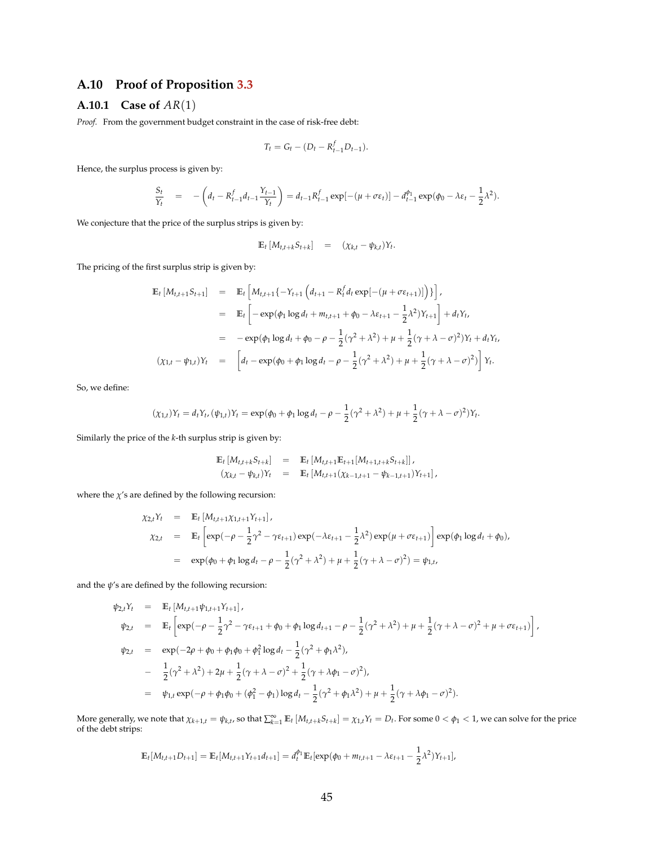## **A.10 Proof of Proposition [3.3](#page-23-2)**

## **A.10.1 Case of** *AR*(1)

*Proof.* From the government budget constraint in the case of risk-free debt:

$$
T_t = G_t - (D_t - R_{t-1}^f D_{t-1}).
$$

Hence, the surplus process is given by:

$$
\frac{S_t}{Y_t} = -\left(d_t - R_{t-1}^f d_{t-1} \frac{Y_{t-1}}{Y_t}\right) = d_{t-1} R_{t-1}^f \exp[-(\mu + \sigma \varepsilon_t)] - d_{t-1}^{\phi_1} \exp(\phi_0 - \lambda \varepsilon_t - \frac{1}{2} \lambda^2).
$$

We conjecture that the price of the surplus strips is given by:

$$
\mathbb{E}_t \left[ M_{t,t+k} S_{t+k} \right] = (\chi_{k,t} - \psi_{k,t}) Y_t.
$$

The pricing of the first surplus strip is given by:

$$
\begin{array}{rcl}\n\mathbb{E}_{t}\left[M_{t,t+1}S_{t+1}\right] & = & \mathbb{E}_{t}\left[M_{t,t+1}\{-Y_{t+1}\left(d_{t+1}-R_{t}^{f}d_{t}\exp[-(\mu+\sigma\epsilon_{t+1})]\right)\}\right], \\
& = & \mathbb{E}_{t}\left[-\exp(\phi_{1}\log d_{t}+m_{t,t+1}+\phi_{0}-\lambda\epsilon_{t+1}-\frac{1}{2}\lambda^{2})Y_{t+1}\right]+d_{t}Y_{t}, \\
& = & -\exp(\phi_{1}\log d_{t}+\phi_{0}-\rho-\frac{1}{2}(\gamma^{2}+\lambda^{2})+\mu+\frac{1}{2}(\gamma+\lambda-\sigma)^{2})Y_{t}+d_{t}Y_{t}, \\
& (\chi_{1,t}-\psi_{1,t})Y_{t} & = & \left[d_{t}-\exp(\phi_{0}+\phi_{1}\log d_{t}-\rho-\frac{1}{2}(\gamma^{2}+\lambda^{2})+\mu+\frac{1}{2}(\gamma+\lambda-\sigma)^{2})\right]Y_{t}.\n\end{array}
$$

So, we define:

$$
(\chi_{1,t})Y_t = d_tY_t, (\psi_{1,t})Y_t = \exp(\phi_0 + \phi_1 \log d_t - \rho - \frac{1}{2}(\gamma^2 + \lambda^2) + \mu + \frac{1}{2}(\gamma + \lambda - \sigma)^2)Y_t.
$$

Similarly the price of the *k*-th surplus strip is given by:

$$
\begin{array}{rcl}\n\mathbb{E}_t \left[ M_{t,t+k} S_{t+k} \right] & = & \mathbb{E}_t \left[ M_{t,t+1} \mathbb{E}_{t+1} \left[ M_{t+1,t+k} S_{t+k} \right] \right], \\
(\chi_{k,t} - \psi_{k,t}) Y_t & = & \mathbb{E}_t \left[ M_{t,t+1} (\chi_{k-1,t+1} - \psi_{k-1,t+1}) Y_{t+1} \right],\n\end{array}
$$

where the  $\chi'$ s are defined by the following recursion:

$$
\chi_{2,t} Y_t = \mathbb{E}_t [M_{t,t+1} \chi_{1,t+1} Y_{t+1}], \n\chi_{2,t} = \mathbb{E}_t \left[ \exp(-\rho - \frac{1}{2} \gamma^2 - \gamma \varepsilon_{t+1}) \exp(-\lambda \varepsilon_{t+1} - \frac{1}{2} \lambda^2) \exp(\mu + \sigma \varepsilon_{t+1}) \right] \exp(\phi_1 \log d_t + \phi_0), \n= \exp(\phi_0 + \phi_1 \log d_t - \rho - \frac{1}{2} (\gamma^2 + \lambda^2) + \mu + \frac{1}{2} (\gamma + \lambda - \sigma)^2) = \psi_{1,t},
$$

and the  $\psi'$ s are defined by the following recursion:

$$
\psi_{2,t}Y_t = \mathbb{E}_t [M_{t,t+1}\psi_{1,t+1}Y_{t+1}],
$$
  
\n
$$
\psi_{2,t} = \mathbb{E}_t \left[ \exp(-\rho - \frac{1}{2}\gamma^2 - \gamma\epsilon_{t+1} + \phi_0 + \phi_1 \log d_{t+1} - \rho - \frac{1}{2}(\gamma^2 + \lambda^2) + \mu + \frac{1}{2}(\gamma + \lambda - \sigma)^2 + \mu + \sigma\epsilon_{t+1}) \right],
$$
  
\n
$$
\psi_{2,t} = \exp(-2\rho + \phi_0 + \phi_1\phi_0 + \phi_1^2 \log d_t - \frac{1}{2}(\gamma^2 + \phi_1\lambda^2),
$$
  
\n
$$
- \frac{1}{2}(\gamma^2 + \lambda^2) + 2\mu + \frac{1}{2}(\gamma + \lambda - \sigma)^2 + \frac{1}{2}(\gamma + \lambda\phi_1 - \sigma)^2),
$$
  
\n
$$
= \psi_{1,t} \exp(-\rho + \phi_1\phi_0 + (\phi_1^2 - \phi_1) \log d_t - \frac{1}{2}(\gamma^2 + \phi_1\lambda^2) + \mu + \frac{1}{2}(\gamma + \lambda\phi_1 - \sigma)^2).
$$

More generally, we note that  $\chi_{k+1,t} = \psi_{k,t}$ , so that  $\sum_{k=1}^{\infty} \mathbb{E}_t [M_{t,t+k} S_{t+k}] = \chi_{1,t} Y_t = D_t$ . For some  $0 < \phi_1 < 1$ , we can solve for the price of the debt strips:

$$
\mathbb{E}_{t}[M_{t,t+1}D_{t+1}] = \mathbb{E}_{t}[M_{t,t+1}Y_{t+1}d_{t+1}] = d_{t}^{\phi_{1}}\mathbb{E}_{t}[\exp(\phi_{0} + m_{t,t+1} - \lambda\epsilon_{t+1} - \frac{1}{2}\lambda^{2})Y_{t+1}],
$$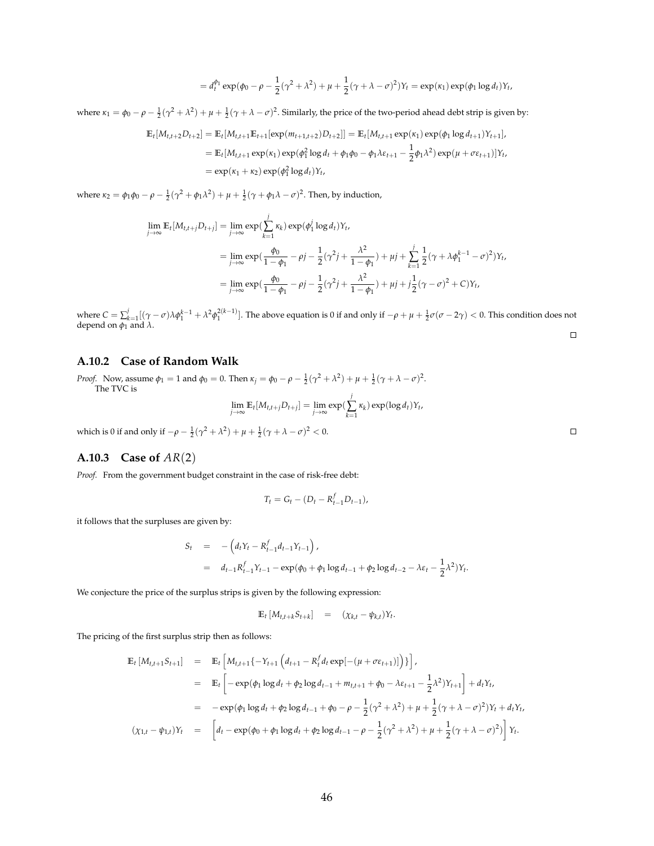$$
= d_t^{\phi_1} \exp(\phi_0 - \rho - \frac{1}{2}(\gamma^2 + \lambda^2) + \mu + \frac{1}{2}(\gamma + \lambda - \sigma)^2)Y_t = \exp(\kappa_1) \exp(\phi_1 \log d_t)Y_t,
$$

where  $\kappa_1 = \phi_0 - \rho - \frac{1}{2}(\gamma^2 + \lambda^2) + \mu + \frac{1}{2}(\gamma + \lambda - \sigma)^2$ . Similarly, the price of the two-period ahead debt strip is given by:

$$
\mathbb{E}_{t}[M_{t,t+2}D_{t+2}] = \mathbb{E}_{t}[M_{t,t+1}\mathbb{E}_{t+1}[\exp(m_{t+1,t+2})D_{t+2}]] = \mathbb{E}_{t}[M_{t,t+1}\exp(\kappa_{1})\exp(\phi_{1}\log d_{t+1})Y_{t+1}],
$$
  
\n
$$
= \mathbb{E}_{t}[M_{t,t+1}\exp(\kappa_{1})\exp(\phi_{1}^{2}\log d_{t} + \phi_{1}\phi_{0} - \phi_{1}\lambda\varepsilon_{t+1} - \frac{1}{2}\phi_{1}\lambda^{2})\exp(\mu + \sigma\varepsilon_{t+1})]Y_{t},
$$
  
\n
$$
= \exp(\kappa_{1} + \kappa_{2})\exp(\phi_{1}^{2}\log d_{t})Y_{t},
$$

where *κ*<sub>2</sub> =  $\phi_1 \phi_0 - \rho - \frac{1}{2}(\gamma^2 + \phi_1 \lambda^2) + \mu + \frac{1}{2}(\gamma + \phi_1 \lambda - \sigma)^2$ . Then, by induction,

$$
\lim_{j \to \infty} \mathbb{E}_t[M_{t,t+j}D_{t+j}] = \lim_{j \to \infty} \exp(\sum_{k=1}^j \kappa_k) \exp(\phi_1^j \log d_t)Y_t,
$$
  
\n
$$
= \lim_{j \to \infty} \exp(\frac{\phi_0}{1 - \phi_1} - \rho j - \frac{1}{2}(\gamma^2 j + \frac{\lambda^2}{1 - \phi_1}) + \mu j + \sum_{k=1}^j \frac{1}{2}(\gamma + \lambda \phi_1^{k-1} - \sigma)^2)Y_t,
$$
  
\n
$$
= \lim_{j \to \infty} \exp(\frac{\phi_0}{1 - \phi_1} - \rho j - \frac{1}{2}(\gamma^2 j + \frac{\lambda^2}{1 - \phi_1}) + \mu j + j\frac{1}{2}(\gamma - \sigma)^2 + C)Y_t,
$$

where  $C = \sum_{k=1}^{j}[(\gamma - \sigma)\lambda \phi_1^{k-1} + \lambda^2 \phi_1^{2(k-1)}]$ . The above equation is 0 if and only if  $-\rho + \mu + \frac{1}{2}\sigma(\sigma - 2\gamma) < 0$ . This condition does not depend on *φ*<sup>1</sup> and *λ*.  $\Box$ 

### **A.10.2 Case of Random Walk**

*Proof.* Now, assume  $\phi_1 = 1$  and  $\phi_0 = 0$ . Then  $\kappa_j = \phi_0 - \rho - \frac{1}{2}(\gamma^2 + \lambda^2) + \mu + \frac{1}{2}(\gamma + \lambda - \sigma)^2$ . The TVC is

$$
\lim_{j\to\infty} \mathbb{E}_t[M_{t,t+j}D_{t+j}] = \lim_{j\to\infty} \exp\left(\sum_{k=1}^j \kappa_k\right) \exp(\log d_t)Y_t
$$

,

which is 0 if and only if  $-\rho - \frac{1}{2}(\gamma^2 + \lambda^2) + \mu + \frac{1}{2}(\gamma + \lambda - \sigma)^2 < 0$ .

## **A.10.3 Case of** *AR*(2)

*Proof.* From the government budget constraint in the case of risk-free debt:

$$
T_t = G_t - (D_t - R_{t-1}^f D_{t-1}),
$$

it follows that the surpluses are given by:

$$
S_t = -\left(d_t Y_t - R_{t-1}^f d_{t-1} Y_{t-1}\right),
$$
  
=  $d_{t-1} R_{t-1}^f Y_{t-1} - \exp(\phi_0 + \phi_1 \log d_{t-1} + \phi_2 \log d_{t-2} - \lambda \varepsilon_t - \frac{1}{2} \lambda^2) Y_t.$ 

We conjecture the price of the surplus strips is given by the following expression:

$$
\mathbb{E}_t \left[ M_{t,t+k} S_{t+k} \right] = (\chi_{k,t} - \psi_{k,t}) Y_t.
$$

The pricing of the first surplus strip then as follows:

$$
\begin{split}\n\mathbb{E}_{t} \left[ M_{t,t+1} S_{t+1} \right] &= \mathbb{E}_{t} \left[ M_{t,t+1} \{-Y_{t+1} \left( d_{t+1} - R_{t}^{f} d_{t} \exp[-(\mu + \sigma \varepsilon_{t+1})] \right) \} \right], \\
&= \mathbb{E}_{t} \left[ -\exp(\phi_{1} \log d_{t} + \phi_{2} \log d_{t-1} + m_{t,t+1} + \phi_{0} - \lambda \varepsilon_{t+1} - \frac{1}{2} \lambda^{2}) Y_{t+1} \right] + d_{t} Y_{t}, \\
&= -\exp(\phi_{1} \log d_{t} + \phi_{2} \log d_{t-1} + \phi_{0} - \rho - \frac{1}{2} (\gamma^{2} + \lambda^{2}) + \mu + \frac{1}{2} (\gamma + \lambda - \sigma)^{2}) Y_{t} + d_{t} Y_{t}, \\
&\left( \chi_{1,t} - \psi_{1,t} \right) Y_{t} &= \left[ d_{t} - \exp(\phi_{0} + \phi_{1} \log d_{t} + \phi_{2} \log d_{t-1} - \rho - \frac{1}{2} (\gamma^{2} + \lambda^{2}) + \mu + \frac{1}{2} (\gamma + \lambda - \sigma)^{2}) \right] Y_{t}.\n\end{split}
$$

 $\Box$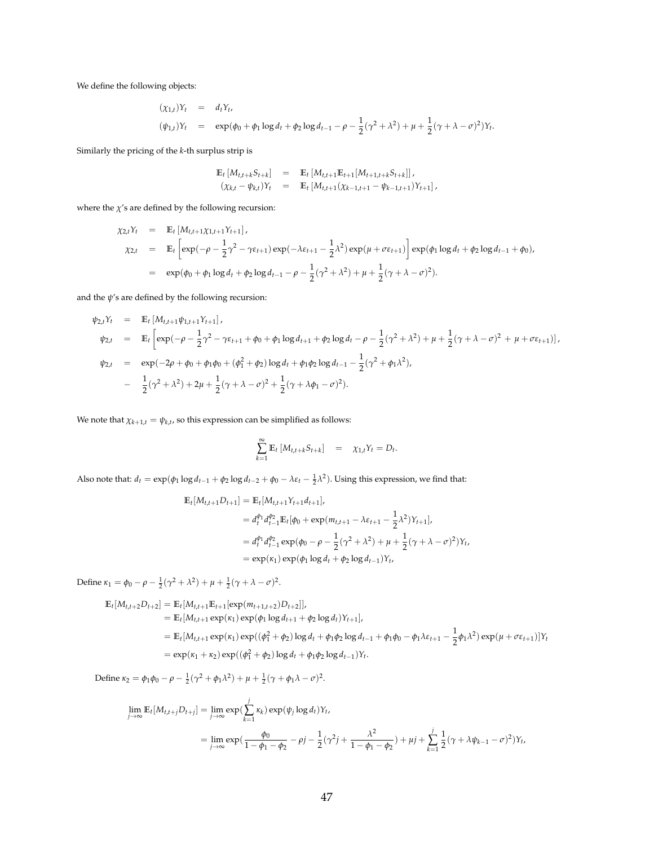We define the following objects:

$$
(\chi_{1,t})Y_t = d_tY_t,
$$
  
\n
$$
(\psi_{1,t})Y_t = \exp((\phi_0 + \phi_1 \log d_t + \phi_2 \log d_{t-1} - \rho - \frac{1}{2}(\gamma^2 + \lambda^2) + \mu + \frac{1}{2}(\gamma + \lambda - \sigma)^2)Y_t.
$$

Similarly the pricing of the *k*-th surplus strip is

$$
\begin{array}{rcl}\n\mathbb{E}_t \left[ M_{t,t+k} S_{t+k} \right] & = & \mathbb{E}_t \left[ M_{t,t+1} \mathbb{E}_{t+1} \left[ M_{t+1,t+k} S_{t+k} \right] \right], \\
(\chi_{k,t} - \psi_{k,t}) Y_t & = & \mathbb{E}_t \left[ M_{t,t+1} (\chi_{k-1,t+1} - \psi_{k-1,t+1}) Y_{t+1} \right],\n\end{array}
$$

where the  $\chi$ 's are defined by the following recursion:

$$
\chi_{2,t} Y_t = \mathbb{E}_t [M_{t,t+1} \chi_{1,t+1} Y_{t+1}],
$$
  
\n
$$
\chi_{2,t} = \mathbb{E}_t \left[ \exp(-\rho - \frac{1}{2} \gamma^2 - \gamma \varepsilon_{t+1}) \exp(-\lambda \varepsilon_{t+1} - \frac{1}{2} \lambda^2) \exp(\mu + \sigma \varepsilon_{t+1}) \right] \exp(\phi_1 \log d_t + \phi_2 \log d_{t-1} + \phi_0),
$$
  
\n
$$
= \exp(\phi_0 + \phi_1 \log d_t + \phi_2 \log d_{t-1} - \rho - \frac{1}{2} (\gamma^2 + \lambda^2) + \mu + \frac{1}{2} (\gamma + \lambda - \sigma)^2).
$$

and the  $\psi$ 's are defined by the following recursion:

$$
\psi_{2,t}Y_t = \mathbb{E}_t [M_{t,t+1}\psi_{1,t+1}Y_{t+1}],
$$
\n
$$
\psi_{2,t} = \mathbb{E}_t \Big[ \exp(-\rho - \frac{1}{2}\gamma^2 - \gamma\epsilon_{t+1} + \phi_0 + \phi_1 \log d_{t+1} + \phi_2 \log d_t - \rho - \frac{1}{2}(\gamma^2 + \lambda^2) + \mu + \frac{1}{2}(\gamma + \lambda - \sigma)^2 + \mu + \sigma\epsilon_{t+1}) \Big],
$$
\n
$$
\psi_{2,t} = \exp(-2\rho + \phi_0 + \phi_1\phi_0 + (\phi_1^2 + \phi_2) \log d_t + \phi_1\phi_2 \log d_{t-1} - \frac{1}{2}(\gamma^2 + \phi_1\lambda^2),
$$
\n
$$
- \frac{1}{2}(\gamma^2 + \lambda^2) + 2\mu + \frac{1}{2}(\gamma + \lambda - \sigma)^2 + \frac{1}{2}(\gamma + \lambda\phi_1 - \sigma)^2).
$$

We note that  $\chi_{k+1,t} = \psi_{k,t}$ , so this expression can be simplified as follows:

$$
\sum_{k=1}^{\infty} \mathbb{E}_t \left[ M_{t,t+k} S_{t+k} \right] = \chi_{1,t} Y_t = D_t.
$$

Also note that:  $d_t = \exp(\phi_1 \log d_{t-1} + \phi_2 \log d_{t-2} + \phi_0 - \lambda \varepsilon_t - \frac{1}{2} \lambda^2)$ . Using this expression, we find that:

$$
\mathbb{E}_{t}[M_{t,t+1}D_{t+1}] = \mathbb{E}_{t}[M_{t,t+1}Y_{t+1}d_{t+1}],
$$
\n
$$
= d_{t}^{\phi_{1}}d_{t-1}^{\phi_{2}}\mathbb{E}_{t}[\phi_{0} + \exp(m_{t,t+1} - \lambda \varepsilon_{t+1} - \frac{1}{2}\lambda^{2})Y_{t+1}],
$$
\n
$$
= d_{t}^{\phi_{1}}d_{t-1}^{\phi_{2}}\exp(\phi_{0} - \rho - \frac{1}{2}(\gamma^{2} + \lambda^{2}) + \mu + \frac{1}{2}(\gamma + \lambda - \sigma)^{2})Y_{t},
$$
\n
$$
= \exp(\kappa_{1})\exp(\phi_{1}\log d_{t} + \phi_{2}\log d_{t-1})Y_{t},
$$

Define  $\kappa_1 = \phi_0 - \rho - \frac{1}{2}(\gamma^2 + \lambda^2) + \mu + \frac{1}{2}(\gamma + \lambda - \sigma)^2$ .

$$
\mathbb{E}_{t}[M_{t,t+2}D_{t+2}] = \mathbb{E}_{t}[M_{t,t+1}\mathbb{E}_{t+1}[\exp(m_{t+1,t+2})D_{t+2}]]
$$
\n
$$
= \mathbb{E}_{t}[M_{t,t+1}\exp(\kappa_{1})\exp(\phi_{1}\log d_{t+1} + \phi_{2}\log d_{t})Y_{t+1}]
$$
\n
$$
= \mathbb{E}_{t}[M_{t,t+1}\exp(\kappa_{1})\exp((\phi_{1}^{2} + \phi_{2})\log d_{t} + \phi_{1}\phi_{2}\log d_{t-1} + \phi_{1}\phi_{0} - \phi_{1}\lambda\epsilon_{t+1} - \frac{1}{2}\phi_{1}\lambda^{2})\exp(\mu + \sigma\epsilon_{t+1})]Y_{t}
$$
\n
$$
= \exp(\kappa_{1} + \kappa_{2})\exp((\phi_{1}^{2} + \phi_{2})\log d_{t} + \phi_{1}\phi_{2}\log d_{t-1})Y_{t}.
$$

Define  $\kappa_2 = \phi_1 \phi_0 - \rho - \frac{1}{2} (\gamma^2 + \phi_1 \lambda^2) + \mu + \frac{1}{2} (\gamma + \phi_1 \lambda - \sigma)^2$ .

$$
\lim_{j \to \infty} \mathbb{E}_t[M_{t,t+j}D_{t+j}] = \lim_{j \to \infty} \exp(\sum_{k=1}^j \kappa_k) \exp(\psi_j \log d_t)Y_t,
$$
  
= 
$$
\lim_{j \to \infty} \exp(\frac{\phi_0}{1 - \phi_1 - \phi_2} - \rho j - \frac{1}{2}(\gamma^2 j + \frac{\lambda^2}{1 - \phi_1 - \phi_2}) + \mu j + \sum_{k=1}^j \frac{1}{2}(\gamma + \lambda \psi_{k-1} - \sigma)^2)Y_t,
$$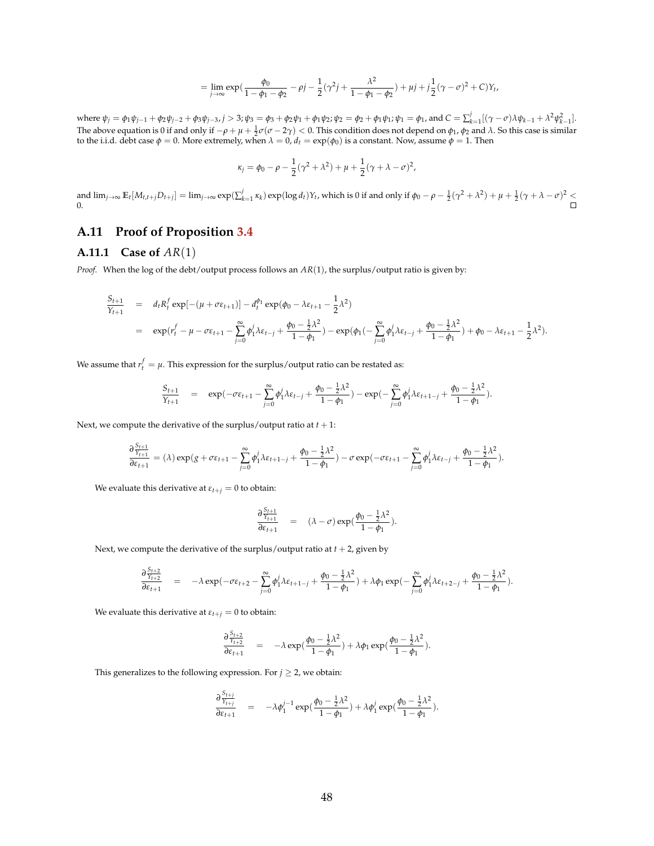$$
= \lim_{j \to \infty} \exp\left(\frac{\phi_0}{1 - \phi_1 - \phi_2} - \rho j - \frac{1}{2}(\gamma^2 j + \frac{\lambda^2}{1 - \phi_1 - \phi_2}) + \mu j + j\frac{1}{2}(\gamma - \sigma)^2 + C\right)Y_t
$$

,

where  $\psi_j = \phi_1 \psi_{j-1} + \phi_2 \psi_{j-2} + \phi_3 \psi_{j-3}$ ,  $j > 3$ ;  $\psi_3 = \phi_3 + \phi_2 \psi_1 + \phi_1 \psi_2$ ;  $\psi_2 = \phi_2 + \phi_1 \psi_1$ ;  $\psi_1 = \phi_1$ , and  $C = \sum_{k=1}^j [(\gamma - \sigma) \lambda \psi_{k-1} + \lambda^2 \psi_{k-1}^2]$ . The above equation is 0 if and only if  $-\rho + \mu + \frac{1}{2}\sigma(\sigma - 2\gamma) < 0$ . This condition does not depend on  $\phi_1$ ,  $\phi_2$  and  $\lambda$ . So this case is similar to the i.i.d. debt case  $\phi = 0$ . More extremely, when  $\lambda = 0$ ,  $d_t = \exp(\phi_0)$  is a constant. Now, assume  $\phi = 1$ . Then

$$
\kappa_j = \phi_0 - \rho - \frac{1}{2}(\gamma^2 + \lambda^2) + \mu + \frac{1}{2}(\gamma + \lambda - \sigma)^2,
$$

and  $\lim_{j\to\infty} \mathbb{E}_t[M_{t,t+j}D_{t+j}] = \lim_{j\to\infty} \exp(\sum_{k=1}^j \kappa_k) \exp(\log d_t)Y_t$ , which is 0 if and only if  $\phi_0 - \rho - \frac{1}{2}(\gamma^2 + \lambda^2) + \mu + \frac{1}{2}(\gamma + \lambda - \sigma)^2 \leq$ 0.

## **A.11 Proof of Proposition [3.4](#page-24-0)**

### **A.11.1 Case of** *AR*(1)

*Proof.* When the log of the debt/output process follows an *AR*(1), the surplus/output ratio is given by:

$$
\frac{S_{t+1}}{Y_{t+1}} = d_t R_t^f \exp[-(\mu + \sigma \varepsilon_{t+1})] - d_t^{\phi_1} \exp(\phi_0 - \lambda \varepsilon_{t+1} - \frac{1}{2} \lambda^2)
$$
\n
$$
= \exp(r_t^f - \mu - \sigma \varepsilon_{t+1} - \sum_{j=0}^{\infty} \phi_1^j \lambda \varepsilon_{t-j} + \frac{\phi_0 - \frac{1}{2} \lambda^2}{1 - \phi_1}) - \exp(\phi_1(-\sum_{j=0}^{\infty} \phi_1^j \lambda \varepsilon_{t-j} + \frac{\phi_0 - \frac{1}{2} \lambda^2}{1 - \phi_1}) + \phi_0 - \lambda \varepsilon_{t+1} - \frac{1}{2} \lambda^2).
$$

We assume that  $r_t^f = \mu$ . This expression for the surplus/output ratio can be restated as:

$$
\frac{S_{t+1}}{Y_{t+1}} = \exp(-\sigma \varepsilon_{t+1} - \sum_{j=0}^{\infty} \phi_1^j \lambda \varepsilon_{t-j} + \frac{\phi_0 - \frac{1}{2} \lambda^2}{1 - \phi_1}) - \exp(-\sum_{j=0}^{\infty} \phi_1^j \lambda \varepsilon_{t+1-j} + \frac{\phi_0 - \frac{1}{2} \lambda^2}{1 - \phi_1}).
$$

Next, we compute the derivative of the surplus/output ratio at  $t + 1$ :

$$
\frac{\partial\frac{S_{t+1}}{Y_{t+1}}}{\partial\epsilon_{t+1}} = (\lambda)\exp(g+\sigma\epsilon_{t+1}-\sum_{j=0}^\infty\phi_1^j\lambda\epsilon_{t+1-j}+\frac{\phi_0-\frac{1}{2}\lambda^2}{1-\phi_1})-\sigma\exp(-\sigma\epsilon_{t+1}-\sum_{j=0}^\infty\phi_1^j\lambda\epsilon_{t-j}+\frac{\phi_0-\frac{1}{2}\lambda^2}{1-\phi_1}).
$$

We evaluate this derivative at  $\varepsilon_{t+j} = 0$  to obtain:

$$
\frac{\partial \frac{S_{t+1}}{Y_{t+1}}}{\partial \varepsilon_{t+1}} = (\lambda - \sigma) \exp(\frac{\phi_0 - \frac{1}{2}\lambda^2}{1 - \phi_1}).
$$

Next, we compute the derivative of the surplus/output ratio at  $t + 2$ , given by

$$
\frac{\partial \frac{S_{t+2}}{Y_{t+2}}}{\partial \varepsilon_{t+1}} = -\lambda \exp(-\sigma \varepsilon_{t+2} - \sum_{j=0}^{\infty} \phi_1^j \lambda \varepsilon_{t+1-j} + \frac{\phi_0 - \frac{1}{2} \lambda^2}{1 - \phi_1}) + \lambda \phi_1 \exp(-\sum_{j=0}^{\infty} \phi_1^j \lambda \varepsilon_{t+2-j} + \frac{\phi_0 - \frac{1}{2} \lambda^2}{1 - \phi_1}).
$$

We evaluate this derivative at  $\varepsilon_{t+j} = 0$  to obtain:

$$
\frac{\partial \frac{S_{t+2}}{Y_{t+2}}}{\partial \varepsilon_{t+1}} = -\lambda \exp(\frac{\phi_0 - \frac{1}{2}\lambda^2}{1 - \phi_1}) + \lambda \phi_1 \exp(\frac{\phi_0 - \frac{1}{2}\lambda^2}{1 - \phi_1}).
$$

This generalizes to the following expression. For  $j \geq 2$ , we obtain:

$$
\frac{\partial \frac{S_{t+j}}{Y_{t+j}}}{\partial \varepsilon_{t+1}} = -\lambda \phi_1^{j-1} \exp(\frac{\phi_0 - \frac{1}{2}\lambda^2}{1 - \phi_1}) + \lambda \phi_1^j \exp(\frac{\phi_0 - \frac{1}{2}\lambda^2}{1 - \phi_1}).
$$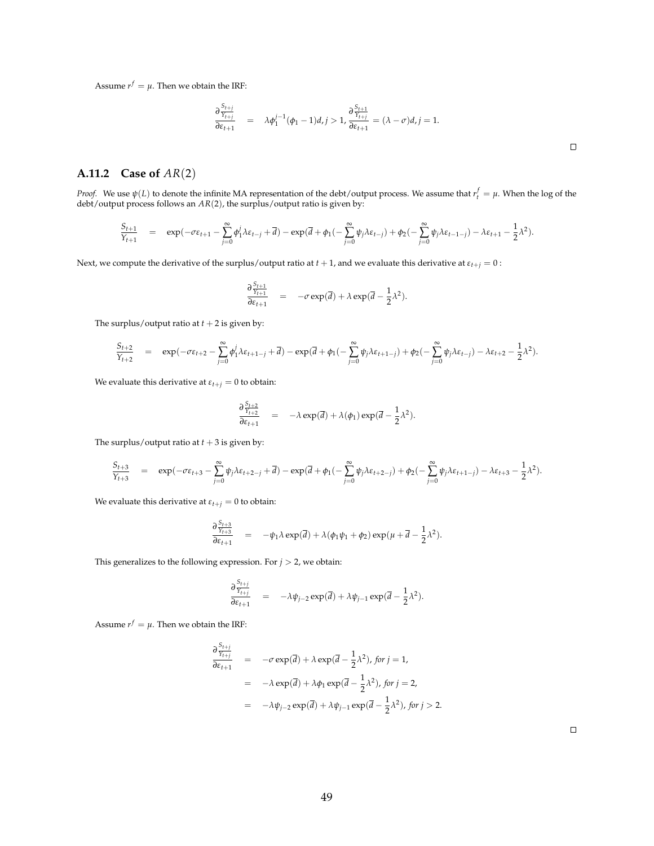Assume  $r^f = \mu$ . Then we obtain the IRF:

$$
\frac{\partial \frac{S_{t+j}}{Y_{t+j}}}{\partial \varepsilon_{t+1}} = \lambda \phi_1^{j-1}(\phi_1 - 1)d, j > 1, \frac{\partial \frac{S_{t+1}}{Y_{t+j}}}{\partial \varepsilon_{t+1}} = (\lambda - \sigma)d, j = 1.
$$

## **A.11.2 Case of** *AR*(2)

*Proof.* We use  $\psi(L)$  to denote the infinite MA representation of the debt/output process. We assume that  $r_t^f = \mu$ . When the log of the debt/output process follows an  $AR(2)$ , the surplus/output ratio is given by:

$$
\frac{S_{t+1}}{Y_{t+1}}\quad = \quad \exp(-\sigma \epsilon_{t+1} - \sum_{j=0}^\infty \phi_1^j \lambda \epsilon_{t-j} + \overline{d}) - \exp(\overline{d} + \phi_1(-\sum_{j=0}^\infty \psi_j \lambda \epsilon_{t-j}) + \phi_2(-\sum_{j=0}^\infty \psi_j \lambda \epsilon_{t-1-j}) - \lambda \epsilon_{t+1} - \frac{1}{2} \lambda^2).
$$

Next, we compute the derivative of the surplus/output ratio at  $t + 1$ , and we evaluate this derivative at  $\varepsilon_{t+j} = 0$ :

$$
\frac{\partial \frac{S_{t+1}}{Y_{t+1}}}{\partial \varepsilon_{t+1}} = -\sigma \exp(\overline{d}) + \lambda \exp(\overline{d} - \frac{1}{2}\lambda^2).
$$

The surplus/output ratio at  $t + 2$  is given by:

$$
\frac{S_{t+2}}{Y_{t+2}} = \exp(-\sigma \epsilon_{t+2} - \sum_{j=0}^{\infty} \phi_1^j \lambda \epsilon_{t+1-j} + \overline{d}) - \exp(\overline{d} + \phi_1(-\sum_{j=0}^{\infty} \psi_j \lambda \epsilon_{t+1-j}) + \phi_2(-\sum_{j=0}^{\infty} \psi_j \lambda \epsilon_{t-j}) - \lambda \epsilon_{t+2} - \frac{1}{2} \lambda^2).
$$

We evaluate this derivative at  $\varepsilon_{t+j} = 0$  to obtain:

$$
\frac{\partial \frac{S_{t+2}}{Y_{t+2}}}{\partial \varepsilon_{t+1}} = -\lambda \exp(\overline{d}) + \lambda(\phi_1) \exp(\overline{d} - \frac{1}{2}\lambda^2).
$$

The surplus/output ratio at  $t + 3$  is given by:

$$
\frac{S_{t+3}}{Y_{t+3}}\quad = \quad \exp(-\sigma \epsilon_{t+3} - \sum_{j=0}^\infty \psi_j \lambda \epsilon_{t+2-j} + \overline{d}) - \exp(\overline{d} + \phi_1(-\sum_{j=0}^\infty \psi_j \lambda \epsilon_{t+2-j}) + \phi_2(-\sum_{j=0}^\infty \psi_j \lambda \epsilon_{t+1-j}) - \lambda \epsilon_{t+3} - \frac{1}{2} \lambda^2).
$$

We evaluate this derivative at  $\varepsilon_{t+j} = 0$  to obtain:

$$
\frac{\partial \frac{S_{t+3}}{Y_{t+3}}}{\partial \varepsilon_{t+1}} = -\psi_1 \lambda \exp(\overline{d}) + \lambda (\phi_1 \psi_1 + \phi_2) \exp(\mu + \overline{d} - \frac{1}{2} \lambda^2).
$$

This generalizes to the following expression. For  $j > 2$ , we obtain:

$$
\frac{\partial \frac{S_{t+j}}{Y_{t+j}}}{\partial \varepsilon_{t+1}} = -\lambda \psi_{j-2} \exp(\overline{d}) + \lambda \psi_{j-1} \exp(\overline{d} - \frac{1}{2}\lambda^2).
$$

Assume  $r^f = \mu$ . Then we obtain the IRF:

$$
\frac{\partial \frac{S_{t+j}}{Y_{t+j}}}{\partial \varepsilon_{t+1}} = -\sigma \exp(\overline{d}) + \lambda \exp(\overline{d} - \frac{1}{2}\lambda^2), \text{ for } j = 1,
$$
  
\n
$$
= -\lambda \exp(\overline{d}) + \lambda \phi_1 \exp(\overline{d} - \frac{1}{2}\lambda^2), \text{ for } j = 2,
$$
  
\n
$$
= -\lambda \psi_{j-2} \exp(\overline{d}) + \lambda \psi_{j-1} \exp(\overline{d} - \frac{1}{2}\lambda^2), \text{ for } j > 2.
$$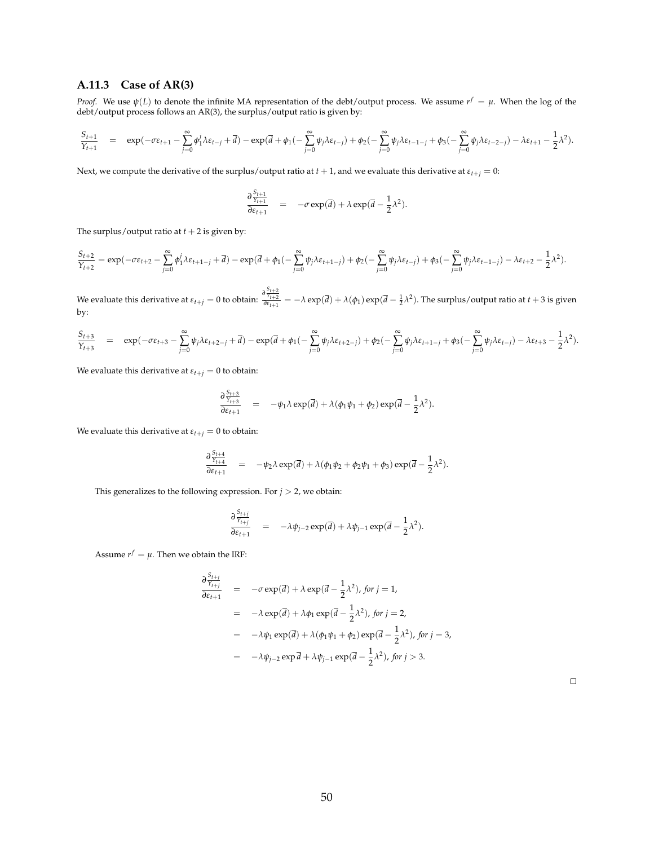#### **A.11.3 Case of AR(3)**

*Proof.* We use *ψ*(*L*) to denote the infinite MA representation of the debt/output process. We assume *r <sup>f</sup>* = *µ*. When the log of the debt/output process follows an AR(3), the surplus/output ratio is given by:

$$
\frac{S_{t+1}}{Y_{t+1}} \quad = \quad \exp(-\sigma \epsilon_{t+1} - \sum_{j=0}^\infty \phi_1^j \lambda \epsilon_{t-j} + \overline{d}) - \exp(\overline{d} + \phi_1(-\sum_{j=0}^\infty \psi_j \lambda \epsilon_{t-j}) + \phi_2(-\sum_{j=0}^\infty \psi_j \lambda \epsilon_{t-1-j} + \phi_3(-\sum_{j=0}^\infty \psi_j \lambda \epsilon_{t-2-j}) - \lambda \epsilon_{t+1} - \frac{1}{2} \lambda^2).
$$

Next, we compute the derivative of the surplus/output ratio at *t* + 1, and we evaluate this derivative at *εt*+*<sup>j</sup>* = 0:

$$
\frac{\partial \frac{S_{t+1}}{Y_{t+1}}}{\partial \varepsilon_{t+1}} = -\sigma \exp(\vec{a}) + \lambda \exp(\vec{a} - \frac{1}{2}\lambda^2).
$$

The surplus/output ratio at  $t + 2$  is given by:

$$
\frac{S_{t+2}}{\gamma_{t+2}}=\exp(-\sigma\epsilon_{t+2}-\sum_{j=0}^\infty\phi_1^j\lambda\epsilon_{t+1-j}+\overline{d})-\exp(\overline{d}+\phi_1(-\sum_{j=0}^\infty\psi_j\lambda\epsilon_{t+1-j})+\phi_2(-\sum_{j=0}^\infty\psi_j\lambda\epsilon_{t-j})+\phi_3(-\sum_{j=0}^\infty\psi_j\lambda\epsilon_{t-1-j})-\lambda\epsilon_{t+2}-\frac{1}{2}\lambda^2).
$$

We evaluate this derivative at  $\varepsilon_{t+j}=0$  to obtain:  $\frac{\partial\frac{S_{t+2}}{Y_{t+2}}}{\partial\varepsilon_{t+1}}=-\lambda\exp(\overline{d})+\lambda(\phi_1)\exp(\overline{d}-\frac{1}{2}\lambda^2).$  The surplus/output ratio at  $t+3$  is given by:

$$
\frac{S_{t+3}}{Y_{t+3}} = \exp(-\sigma \varepsilon_{t+3} - \sum_{j=0}^{\infty} \psi_j \lambda \varepsilon_{t+2-j} + \overline{d}) - \exp(\overline{d} + \phi_1(-\sum_{j=0}^{\infty} \psi_j \lambda \varepsilon_{t+2-j}) + \phi_2(-\sum_{j=0}^{\infty} \psi_j \lambda \varepsilon_{t+1-j} + \phi_3(-\sum_{j=0}^{\infty} \psi_j \lambda \varepsilon_{t-j}) - \lambda \varepsilon_{t+3} - \frac{1}{2} \lambda^2).
$$

We evaluate this derivative at  $\varepsilon_{t+j} = 0$  to obtain:

$$
\frac{\partial \frac{S_{t+3}}{Y_{t+3}}}{\partial \epsilon_{t+1}} = -\psi_1 \lambda \exp(\overline{d}) + \lambda (\phi_1 \psi_1 + \phi_2) \exp(\overline{d} - \frac{1}{2} \lambda^2).
$$

We evaluate this derivative at  $\varepsilon_{t+j} = 0$  to obtain:

$$
\frac{\partial \frac{S_{t+4}}{Y_{t+4}}}{\partial \varepsilon_{t+1}} = -\psi_2 \lambda \exp(\vec{d}) + \lambda (\phi_1 \psi_2 + \phi_2 \psi_1 + \phi_3) \exp(\vec{d} - \frac{1}{2} \lambda^2).
$$

This generalizes to the following expression. For  $j > 2$ , we obtain:

$$
\frac{\partial \frac{S_{i+j}}{Y_{i+j}}}{\partial \varepsilon_{i+1}} = -\lambda \psi_{j-2} \exp(\overline{d}) + \lambda \psi_{j-1} \exp(\overline{d} - \frac{1}{2} \lambda^2).
$$

Assume  $r^f = \mu$ . Then we obtain the IRF:

$$
\frac{\partial \frac{S_{i+j}}{\partial \epsilon_{i+1}}}{\partial \epsilon_{i+1}} = -\sigma \exp(\vec{d}) + \lambda \exp(\vec{d} - \frac{1}{2}\lambda^2), \text{ for } j = 1,
$$
  
\n
$$
= -\lambda \exp(\vec{d}) + \lambda \phi_1 \exp(\vec{d} - \frac{1}{2}\lambda^2), \text{ for } j = 2,
$$
  
\n
$$
= -\lambda \psi_1 \exp(\vec{d}) + \lambda (\phi_1 \psi_1 + \phi_2) \exp(\vec{d} - \frac{1}{2}\lambda^2), \text{ for } j = 3,
$$
  
\n
$$
= -\lambda \psi_{j-2} \exp(\vec{d} + \lambda \psi_{j-1} \exp(\vec{d} - \frac{1}{2}\lambda^2), \text{ for } j > 3.
$$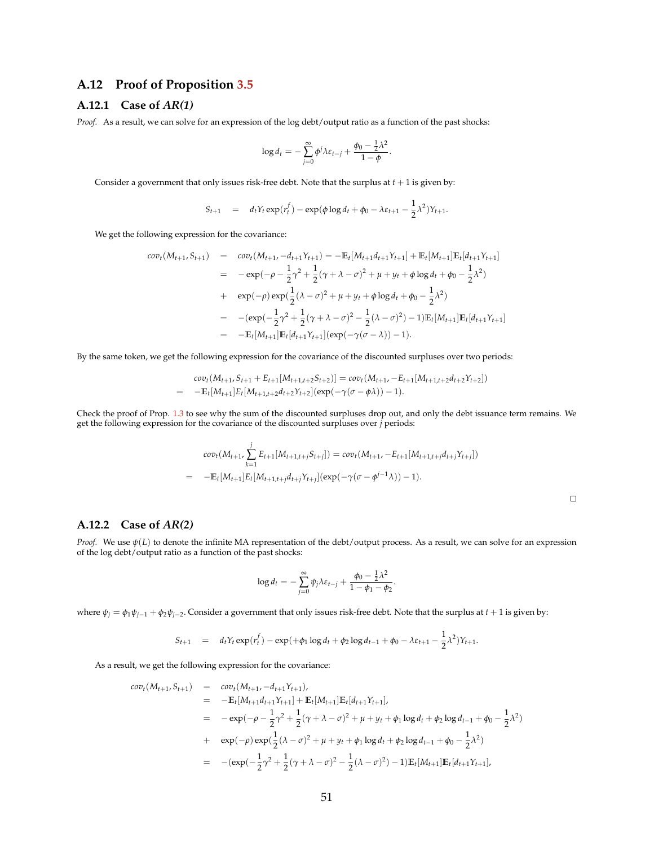### **A.12 Proof of Proposition [3.5](#page-27-0)**

## **A.12.1 Case of** *AR(1)*

*Proof.* As a result, we can solve for an expression of the log debt/output ratio as a function of the past shocks:

$$
\log d_t = -\sum_{j=0}^{\infty} \phi^j \lambda \varepsilon_{t-j} + \frac{\phi_0 - \frac{1}{2} \lambda^2}{1 - \phi}.
$$

Consider a government that only issues risk-free debt. Note that the surplus at  $t + 1$  is given by:

$$
S_{t+1} = d_t Y_t \exp(r_t^f) - \exp(\phi \log d_t + \phi_0 - \lambda \varepsilon_{t+1} - \frac{1}{2} \lambda^2) Y_{t+1}.
$$

We get the following expression for the covariance:

$$
cov_t(M_{t+1}, S_{t+1}) = cov_t(M_{t+1}, -d_{t+1}Y_{t+1}) = -\mathbb{E}_t[M_{t+1}d_{t+1}Y_{t+1}] + \mathbb{E}_t[M_{t+1}]\mathbb{E}_t[d_{t+1}Y_{t+1}]
$$
  
\n
$$
= -\exp(-\rho - \frac{1}{2}\gamma^2 + \frac{1}{2}(\gamma + \lambda - \sigma)^2 + \mu + y_t + \phi \log d_t + \phi_0 - \frac{1}{2}\lambda^2)
$$
  
\n
$$
+ \exp(-\rho)\exp(\frac{1}{2}(\lambda - \sigma)^2 + \mu + y_t + \phi \log d_t + \phi_0 - \frac{1}{2}\lambda^2)
$$
  
\n
$$
= -(\exp(-\frac{1}{2}\gamma^2 + \frac{1}{2}(\gamma + \lambda - \sigma)^2 - \frac{1}{2}(\lambda - \sigma)^2) - 1)\mathbb{E}_t[M_{t+1}]\mathbb{E}_t[d_{t+1}Y_{t+1}]
$$
  
\n
$$
= -\mathbb{E}_t[M_{t+1}]\mathbb{E}_t[d_{t+1}Y_{t+1}](\exp(-\gamma(\sigma - \lambda)) - 1).
$$

By the same token, we get the following expression for the covariance of the discounted surpluses over two periods:

$$
cov_t(M_{t+1}, S_{t+1} + E_{t+1}[M_{t+1,t+2}S_{t+2})] = cov_t(M_{t+1}, -E_{t+1}[M_{t+1,t+2}d_{t+2}Y_{t+2}])
$$
  
= 
$$
-\mathbb{E}_t[M_{t+1}]E_t[M_{t+1,t+2}d_{t+2}Y_{t+2}](exp(-\gamma(\sigma-\phi\lambda))-1).
$$

Check the proof of Prop. [1.3](#page-12-1) to see why the sum of the discounted surpluses drop out, and only the debt issuance term remains. We get the following expression for the covariance of the discounted surpluses over *j* periods:

$$
cov_t(M_{t+1}, \sum_{k=1}^j E_{t+1}[M_{t+1,t+j}S_{t+j}]) = cov_t(M_{t+1}, -E_{t+1}[M_{t+1,t+j}d_{t+j}Y_{t+j}])
$$
  
= 
$$
-\mathbb{E}_t[M_{t+1}]E_t[M_{t+1,t+j}d_{t+j}Y_{t+j}](exp(-\gamma(\sigma-\phi^{j-1}\lambda))-1).
$$

#### **A.12.2 Case of** *AR(2)*

*Proof.* We use  $\psi(L)$  to denote the infinite MA representation of the debt/output process. As a result, we can solve for an expression of the log debt/output ratio as a function of the past shocks:

$$
\log d_t = -\sum_{j=0}^{\infty} \psi_j \lambda \varepsilon_{t-j} + \frac{\phi_0 - \frac{1}{2}\lambda^2}{1 - \phi_1 - \phi_2}.
$$

where  $\psi_j = \phi_1 \psi_{j-1} + \phi_2 \psi_{j-2}$ . Consider a government that only issues risk-free debt. Note that the surplus at  $t+1$  is given by:

$$
S_{t+1} = d_t Y_t \exp(r_t^f) - \exp(+\phi_1 \log d_t + \phi_2 \log d_{t-1} + \phi_0 - \lambda \varepsilon_{t+1} - \frac{1}{2} \lambda^2) Y_{t+1}.
$$

As a result, we get the following expression for the covariance:

$$
cov_t(M_{t+1}, S_{t+1}) = cov_t(M_{t+1}, -d_{t+1}Y_{t+1}),
$$
  
\n
$$
= -\mathbb{E}_t[M_{t+1}d_{t+1}Y_{t+1}] + \mathbb{E}_t[M_{t+1}]\mathbb{E}_t[d_{t+1}Y_{t+1}],
$$
  
\n
$$
= -\exp(-\rho - \frac{1}{2}\gamma^2 + \frac{1}{2}(\gamma + \lambda - \sigma)^2 + \mu + y_t + \phi_1 \log d_t + \phi_2 \log d_{t-1} + \phi_0 - \frac{1}{2}\lambda^2)
$$
  
\n
$$
+ \exp(-\rho) \exp(\frac{1}{2}(\lambda - \sigma)^2 + \mu + y_t + \phi_1 \log d_t + \phi_2 \log d_{t-1} + \phi_0 - \frac{1}{2}\lambda^2)
$$
  
\n
$$
= -(\exp(-\frac{1}{2}\gamma^2 + \frac{1}{2}(\gamma + \lambda - \sigma)^2 - \frac{1}{2}(\lambda - \sigma)^2) - 1)\mathbb{E}_t[M_{t+1}]\mathbb{E}_t[d_{t+1}Y_{t+1}],
$$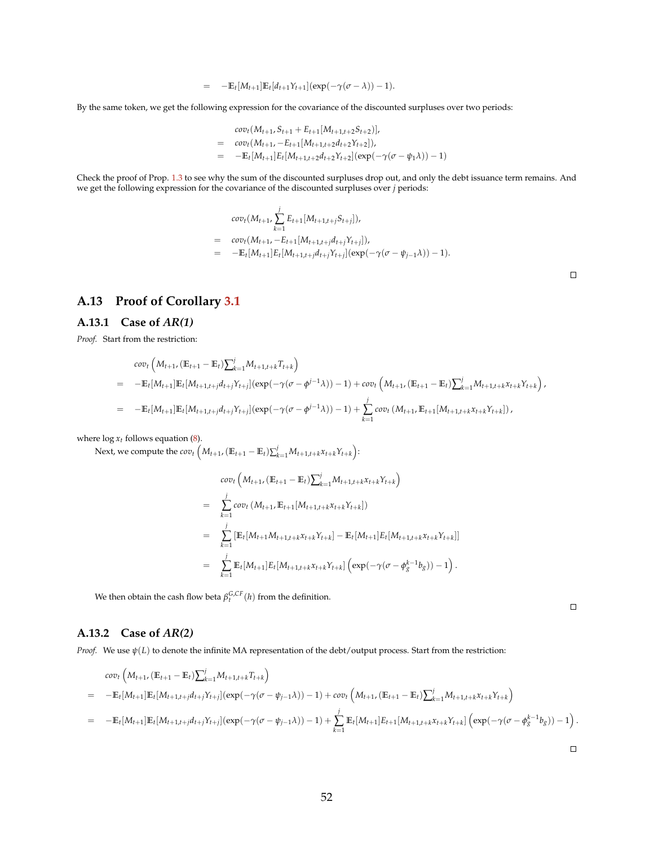$$
= -\mathbb{E}_{t}[M_{t+1}]\mathbb{E}_{t}[d_{t+1}Y_{t+1}](\exp(-\gamma(\sigma-\lambda))-1).
$$

By the same token, we get the following expression for the covariance of the discounted surpluses over two periods:

$$
cov_t(M_{t+1}, S_{t+1} + E_{t+1}[M_{t+1,t+2}S_{t+2})],
$$
  
= 
$$
cov_t(M_{t+1}, -E_{t+1}[M_{t+1,t+2}d_{t+2}Y_{t+2}]),
$$
  
= 
$$
-\mathbb{E}_t[M_{t+1}]E_t[M_{t+1,t+2}d_{t+2}Y_{t+2}](\exp(-\gamma(\sigma - \psi_1\lambda)) - 1)
$$

Check the proof of Prop. [1.3](#page-12-1) to see why the sum of the discounted surpluses drop out, and only the debt issuance term remains. And we get the following expression for the covariance of the discounted surpluses over *j* periods:

$$
cov_t(M_{t+1}, \sum_{k=1}^j E_{t+1}[M_{t+1,t+j}S_{t+j}]),
$$
  
= 
$$
cov_t(M_{t+1}, -E_{t+1}[M_{t+1,t+j}d_{t+j}Y_{t+j}]),
$$
  
= 
$$
-\mathbb{E}_t[M_{t+1}]E_t[M_{t+1,t+j}d_{t+j}Y_{t+j}](exp(-\gamma(\sigma - \psi_{j-1}\lambda)) - 1).
$$

 $\Box$ 

## **A.13 Proof of Corollary [3.1](#page-27-1)**

#### **A.13.1 Case of** *AR(1)*

*Proof.* Start from the restriction:

$$
cov_t\left(M_{t+1}, (\mathbb{E}_{t+1} - \mathbb{E}_t) \sum_{k=1}^j M_{t+1,t+k} T_{t+k}\right)
$$
  
= 
$$
-\mathbb{E}_t[M_{t+1}] \mathbb{E}_t[M_{t+1,t+j} d_{t+j} Y_{t+j}] (exp(-\gamma(\sigma - \phi^{j-1}\lambda)) - 1) + cov_t \left(M_{t+1}, (\mathbb{E}_{t+1} - \mathbb{E}_t) \sum_{k=1}^j M_{t+1,t+k} Y_{t+k} Y_{t+k}\right),
$$
  
= 
$$
-\mathbb{E}_t[M_{t+1}] \mathbb{E}_t[M_{t+1,t+j} d_{t+j} Y_{t+j}] (exp(-\gamma(\sigma - \phi^{j-1}\lambda)) - 1) + \sum_{k=1}^j cov_t \left(M_{t+1}, \mathbb{E}_{t+1}[M_{t+1,t+k} X_{t+k} Y_{t+k}]\right),
$$

where  $\log x_t$  follows equation [\(8\)](#page-26-1).

Next, we compute the  $cov_t\left(M_{t+1}, (\mathbb{E}_{t+1} - \mathbb{E}_t)\sum_{k=1}^j M_{t+1,t+k}x_{t+k}Y_{t+k}\right):$ 

$$
cov_t\left(M_{t+1}, (\mathbb{E}_{t+1} - \mathbb{E}_t)\sum_{k=1}^j M_{t+1,t+k}x_{t+k}Y_{t+k}\right)
$$
  
\n
$$
= \sum_{k=1}^j cov_t\left(M_{t+1}, \mathbb{E}_{t+1}[M_{t+1,t+k}x_{t+k}Y_{t+k}]\right)
$$
  
\n
$$
= \sum_{k=1}^j [\mathbb{E}_t[M_{t+1}M_{t+1,t+k}x_{t+k}Y_{t+k}] - \mathbb{E}_t[M_{t+1}]E_t[M_{t+1,t+k}x_{t+k}Y_{t+k}]
$$
  
\n
$$
= \sum_{k=1}^j \mathbb{E}_t[M_{t+1}]E_t[M_{t+1,t+k}x_{t+k}Y_{t+k}] \left(\exp(-\gamma(\sigma - \phi_S^{k-1}b_S)) - 1\right).
$$

We then obtain the cash flow beta  $\beta_t^{G,CF}(h)$  from the definition.

**A.13.2 Case of** *AR(2)*

*Proof.* We use  $ψ(L)$  to denote the infinite MA representation of the debt/output process. Start from the restriction:

$$
cov_t\left(M_{t+1}, (\mathbb{E}_{t+1} - \mathbb{E}_t) \sum_{k=1}^j M_{t+1,t+k} T_{t+k}\right)
$$
  
= 
$$
-\mathbb{E}_t[M_{t+1}] \mathbb{E}_t[M_{t+1,t+j} d_{t+j} Y_{t+j}] (exp(-\gamma(\sigma - \psi_{j-1}\lambda)) - 1) + cov_t \left(M_{t+1}, (\mathbb{E}_{t+1} - \mathbb{E}_t) \sum_{k=1}^j M_{t+1,t+k} X_{t+k} Y_{t+k}\right)
$$
  
= 
$$
-\mathbb{E}_t[M_{t+1}] \mathbb{E}_t[M_{t+1,t+j} d_{t+j} Y_{t+j}] (exp(-\gamma(\sigma - \psi_{j-1}\lambda)) - 1) + \sum_{k=1}^j \mathbb{E}_t[M_{t+1}] E_{t+1}[M_{t+1,t+k} X_{t+k} Y_{t+k}] \left(exp(-\gamma(\sigma - \psi_{j-1}\lambda)) - 1)\right).
$$

 $\Box$ 

 $\Box$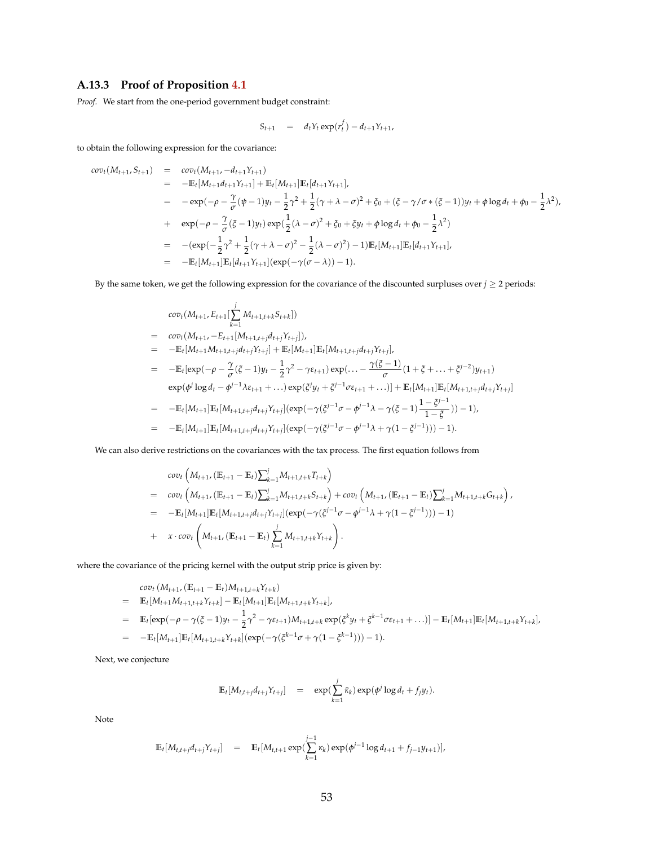### **A.13.3 Proof of Proposition [4.1](#page-34-3)**

*Proof.* We start from the one-period government budget constraint:

$$
S_{t+1} = d_t Y_t \exp(r_t^f) - d_{t+1} Y_{t+1},
$$

to obtain the following expression for the covariance:

$$
cov_t(M_{t+1}, S_{t+1}) = cov_t(M_{t+1}, -d_{t+1}Y_{t+1})
$$
  
\n
$$
= -\mathbb{E}_t[M_{t+1}d_{t+1}Y_{t+1}] + \mathbb{E}_t[M_{t+1}]\mathbb{E}_t[d_{t+1}Y_{t+1}],
$$
  
\n
$$
= -\exp(-\rho - \frac{\gamma}{\sigma}(\psi - 1)y_t - \frac{1}{2}\gamma^2 + \frac{1}{2}(\gamma + \lambda - \sigma)^2 + \zeta_0 + (\zeta - \gamma/\sigma * (\zeta - 1))y_t + \phi \log d_t + \phi_0 - \frac{1}{2}\lambda^2),
$$
  
\n
$$
+ \exp(-\rho - \frac{\gamma}{\sigma}(\zeta - 1)y_t) \exp(\frac{1}{2}(\lambda - \sigma)^2 + \zeta_0 + \zeta y_t + \phi \log d_t + \phi_0 - \frac{1}{2}\lambda^2)
$$
  
\n
$$
= -(\exp(-\frac{1}{2}\gamma^2 + \frac{1}{2}(\gamma + \lambda - \sigma)^2 - \frac{1}{2}(\lambda - \sigma)^2) - 1)\mathbb{E}_t[M_{t+1}]\mathbb{E}_t[d_{t+1}Y_{t+1}],
$$
  
\n
$$
= -\mathbb{E}_t[M_{t+1}]\mathbb{E}_t[d_{t+1}Y_{t+1}] (\exp(-\gamma(\sigma - \lambda)) - 1).
$$

By the same token, we get the following expression for the covariance of the discounted surpluses over  $j \ge 2$  periods:

$$
cov_t(M_{t+1}, E_{t+1}[\sum_{k=1}^j M_{t+1,t+k}S_{t+k}])
$$
\n
$$
= cov_t(M_{t+1}, -E_{t+1}[M_{t+1,t+j}d_{t+j}Y_{t+j}]),
$$
\n
$$
= -\mathbb{E}_t[M_{t+1}M_{t+1,t+j}d_{t+j}Y_{t+j}] + \mathbb{E}_t[M_{t+1}] \mathbb{E}_t[M_{t+1,t+j}d_{t+j}Y_{t+j}],
$$
\n
$$
= -\mathbb{E}_t[exp(-\rho - \frac{\gamma}{\sigma}(\xi - 1)y_t - \frac{1}{2}\gamma^2 - \gamma\epsilon_{t+1})exp(... - \frac{\gamma(\xi - 1)}{\sigma}(1 + \xi + ... + \xi^{j-2})y_{t+1})
$$
\n
$$
exp(\phi^j \log d_t - \phi^{j-1}\lambda \epsilon_{t+1} + ...)exp(\xi^j y_t + \xi^{j-1}\sigma \epsilon_{t+1} + ...) ] + \mathbb{E}_t[M_{t+1}] \mathbb{E}_t[M_{t+1,t+j}d_{t+j}Y_{t+j}]
$$
\n
$$
= -\mathbb{E}_t[M_{t+1}] \mathbb{E}_t[M_{t+1,t+j}d_{t+j}Y_{t+j}] (exp(-\gamma(\xi^{j-1}\sigma - \phi^{j-1}\lambda - \gamma(\xi - 1)\frac{1 - \xi^{j-1}}{1 - \xi}))-1),
$$
\n
$$
= -\mathbb{E}_t[M_{t+1}] \mathbb{E}_t[M_{t+1,t+j}d_{t+j}Y_{t+j}] (exp(-\gamma(\xi^{j-1}\sigma - \phi^{j-1}\lambda + \gamma(1 - \xi^{j-1})))) - 1).
$$

We can also derive restrictions on the covariances with the tax process. The first equation follows from

$$
cov_t\left(M_{t+1}, (\mathbb{E}_{t+1} - \mathbb{E}_t)\sum_{k=1}^j M_{t+1,t+k} T_{t+k}\right)
$$
  
= 
$$
cov_t\left(M_{t+1}, (\mathbb{E}_{t+1} - \mathbb{E}_t)\sum_{k=1}^j M_{t+1,t+k} S_{t+k}\right) + cov_t\left(M_{t+1}, (\mathbb{E}_{t+1} - \mathbb{E}_t)\sum_{k=1}^j M_{t+1,t+k} G_{t+k}\right),
$$
  
= 
$$
-\mathbb{E}_t[M_{t+1}]\mathbb{E}_t[M_{t+1,t+j} d_{t+j} Y_{t+j}](exp(-\gamma(\xi^{j-1}\sigma - \phi^{j-1}\lambda + \gamma(1-\xi^{j-1}))) - 1)
$$
  
+ 
$$
x \cdot cov_t\left(M_{t+1}, (\mathbb{E}_{t+1} - \mathbb{E}_t)\sum_{k=1}^j M_{t+1,t+k} Y_{t+k}\right).
$$

where the covariance of the pricing kernel with the output strip price is given by:

$$
\begin{split}\n&cov_t\left(M_{t+1}, \left(\mathbb{E}_{t+1} - \mathbb{E}_t\right)M_{t+1,t+k}\gamma_{t+k}\right) \\
&= \mathbb{E}_t[M_{t+1}M_{t+1,t+k}\gamma_{t+k}] - \mathbb{E}_t[M_{t+1}]\mathbb{E}_t[M_{t+1,t+k}\gamma_{t+k}], \\
&= \mathbb{E}_t[\exp(-\rho - \gamma(\xi - 1)y_t - \frac{1}{2}\gamma^2 - \gamma\epsilon_{t+1})M_{t+1,t+k}\exp(\xi^k y_t + \xi^{k-1}\sigma\epsilon_{t+1} + \ldots)] - \mathbb{E}_t[M_{t+1}]\mathbb{E}_t[M_{t+1,t+k}\gamma_{t+k}], \\
&= -\mathbb{E}_t[M_{t+1}]\mathbb{E}_t[M_{t+1,t+k}\gamma_{t+k}](\exp(-\gamma(\xi^{k-1}\sigma + \gamma(1 - \xi^{k-1}))) - 1).\n\end{split}
$$

Next, we conjecture

$$
\mathbb{E}_t[M_{t,t+j}d_{t+j}Y_{t+j}] = \exp(\sum_{k=1}^j \tilde{\kappa}_k) \exp(\phi^j \log d_t + f_j y_t).
$$

Note

$$
\mathbb{E}_{t}[M_{t,t+j}d_{t+j}Y_{t+j}] = \mathbb{E}_{t}[M_{t,t+1}\exp(\sum_{k=1}^{j-1}\kappa_{k})\exp(\phi^{j-1}\log d_{t+1}+f_{j-1}y_{t+1})],
$$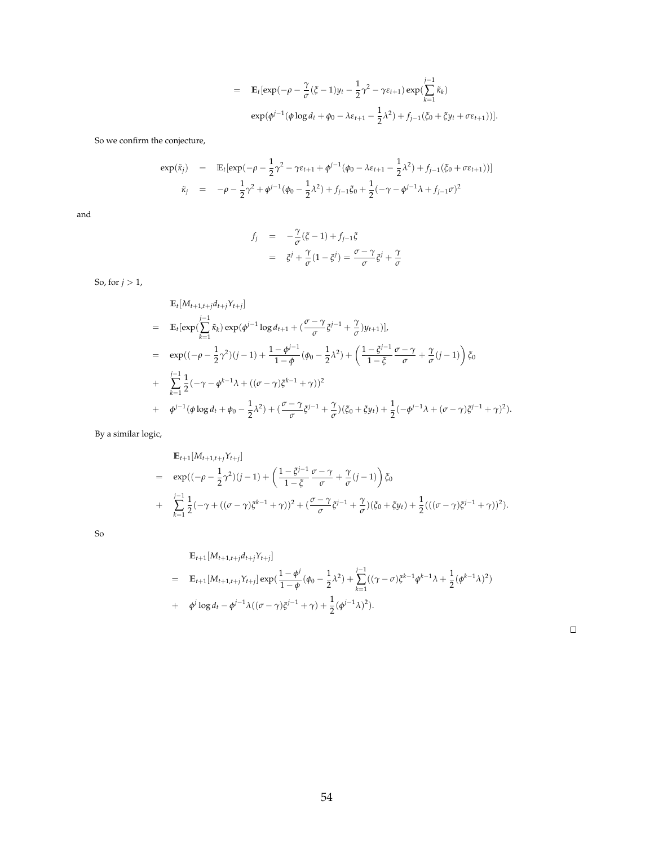$$
= \mathbb{E}_t[\exp(-\rho - \frac{\gamma}{\sigma}(\xi - 1)y_t - \frac{1}{2}\gamma^2 - \gamma \varepsilon_{t+1}) \exp(\sum_{k=1}^{j-1} \tilde{\kappa}_k)
$$
  
 
$$
\exp(\phi^{j-1}(\phi \log d_t + \phi_0 - \lambda \varepsilon_{t+1} - \frac{1}{2}\lambda^2) + f_{j-1}(\xi_0 + \xi y_t + \sigma \varepsilon_{t+1}))].
$$

So we confirm the conjecture,

$$
\exp(\tilde{\kappa}_j) = \mathbb{E}_t[\exp(-\rho - \frac{1}{2}\gamma^2 - \gamma \varepsilon_{t+1} + \phi^{j-1}(\phi_0 - \lambda \varepsilon_{t+1} - \frac{1}{2}\lambda^2) + f_{j-1}(\xi_0 + \sigma \varepsilon_{t+1}))]
$$
  

$$
\tilde{\kappa}_j = -\rho - \frac{1}{2}\gamma^2 + \phi^{j-1}(\phi_0 - \frac{1}{2}\lambda^2) + f_{j-1}\xi_0 + \frac{1}{2}(-\gamma - \phi^{j-1}\lambda + f_{j-1}\sigma)^2
$$

and

$$
f_j = -\frac{\gamma}{\sigma}(\xi - 1) + f_{j-1}\xi
$$
  
=  $\xi^j + \frac{\gamma}{\sigma}(1 - \xi^j) = \frac{\sigma - \gamma}{\sigma}\xi^j + \frac{\gamma}{\sigma}$ 

So, for  $j > 1$ ,

$$
\mathbb{E}_{t}[M_{t+1,t+j}d_{t+j}Y_{t+j}]
$$
\n
$$
= \mathbb{E}_{t}[\exp(\sum_{k=1}^{j-1} \tilde{\kappa}_{k}) \exp(\phi^{j-1} \log d_{t+1} + (\frac{\sigma - \gamma}{\sigma} \tilde{\zeta}^{j-1} + \frac{\gamma}{\sigma})y_{t+1})],
$$
\n
$$
= \exp((-\rho - \frac{1}{2}\gamma^{2})(j-1) + \frac{1 - \phi^{j-1}}{1 - \phi}(\phi_{0} - \frac{1}{2}\lambda^{2}) + (\frac{1 - \tilde{\zeta}^{j-1}}{1 - \tilde{\zeta}}\frac{\sigma - \gamma}{\sigma} + \frac{\gamma}{\sigma}(j-1)) \tilde{\zeta}_{0}
$$
\n
$$
+ \sum_{k=1}^{j-1} \frac{1}{2}(-\gamma - \phi^{k-1}\lambda + ((\sigma - \gamma)\tilde{\zeta}^{k-1} + \gamma))^{2}
$$
\n
$$
+ \phi^{j-1}(\phi \log d_{t} + \phi_{0} - \frac{1}{2}\lambda^{2}) + (\frac{\sigma - \gamma}{\sigma}\tilde{\zeta}^{j-1} + \frac{\gamma}{\sigma})(\tilde{\zeta}_{0} + \tilde{\zeta}y_{t}) + \frac{1}{2}(-\phi^{j-1}\lambda + (\sigma - \gamma)\tilde{\zeta}^{j-1} + \gamma)^{2}).
$$

By a similar logic,

$$
\mathbb{E}_{t+1}[M_{t+1,t+j}Y_{t+j}]
$$
\n
$$
= \exp((-\rho - \frac{1}{2}\gamma^2)(j-1) + (\frac{1-\xi^{j-1}}{1-\xi}\frac{\sigma-\gamma}{\sigma} + \frac{\gamma}{\sigma}(j-1))\xi_0
$$
\n
$$
+ \sum_{k=1}^{j-1} \frac{1}{2}(-\gamma + ((\sigma-\gamma)\xi^{k-1}+\gamma))^2 + (\frac{\sigma-\gamma}{\sigma}\xi^{j-1}+\frac{\gamma}{\sigma})(\xi_0+\xi y_t) + \frac{1}{2}(((\sigma-\gamma)\xi^{j-1}+\gamma))^2).
$$

So

$$
\mathbb{E}_{t+1}[M_{t+1,t+j}d_{t+j}Y_{t+j}]
$$
\n
$$
= \mathbb{E}_{t+1}[M_{t+1,t+j}Y_{t+j}] \exp(\frac{1-\phi^j}{1-\phi}(\phi_0 - \frac{1}{2}\lambda^2) + \sum_{k=1}^{j-1}((\gamma - \sigma)\xi^{k-1}\phi^{k-1}\lambda + \frac{1}{2}(\phi^{k-1}\lambda)^2)
$$
\n
$$
+ \phi^j \log d_t - \phi^{j-1}\lambda((\sigma - \gamma)\xi^{j-1} + \gamma) + \frac{1}{2}(\phi^{j-1}\lambda)^2).
$$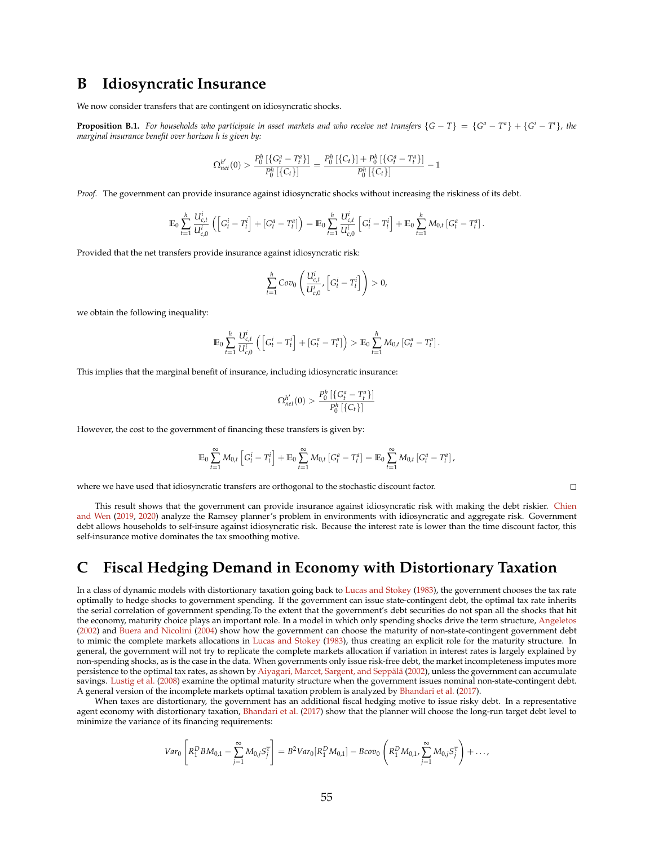## <span id="page-55-0"></span>**B Idiosyncratic Insurance**

We now consider transfers that are contingent on idiosyncratic shocks.

**Proposition B.1.** For households who participate in asset markets and who receive net transfers  $\{G-T\} = \{G^a-T^a\} + \{G^i-T^i\}$ , the *marginal insurance benefit over horizon h is given by:*

$$
\Omega_{net}^{h'}(0) > \frac{P_0^h\left[\left\{G_t^a - T_t^a\right\}\right]}{P_0^h\left[\left\{C_t\right\}\right]} = \frac{P_0^h\left[\left\{C_t\right\}\right] + P_0^h\left[\left\{G_t^a - T_t^a\right\}\right]}{P_0^h\left[\left\{C_t\right\}\right]} - 1
$$

*Proof.* The government can provide insurance against idiosyncratic shocks without increasing the riskiness of its debt.

$$
\mathbb{E}_0 \sum_{t=1}^h \frac{U_{c,t}^i}{U_{c,0}^i} \left( \left[ G_t^i - T_t^i \right] + \left[ G_t^a - T_t^a \right] \right) = \mathbb{E}_0 \sum_{t=1}^h \frac{U_{c,t}^i}{U_{c,0}^i} \left[ G_t^i - T_t^i \right] + \mathbb{E}_0 \sum_{t=1}^h M_{0,t} \left[ G_t^a - T_t^a \right].
$$

Provided that the net transfers provide insurance against idiosyncratic risk:

$$
\sum_{t=1}^h Cov_0\left(\frac{U_{c,t}^i}{U_{c,0}^i}, \left[G_t^i - T_t^i\right]\right) > 0,
$$

we obtain the following inequality:

$$
\mathbb{E}_0 \sum_{t=1}^h \frac{U_{c,t}^i}{U_{c,0}^i} \left( \left[ G_t^i - T_t^i \right] + \left[ G_t^a - T_t^a \right] \right) > \mathbb{E}_0 \sum_{t=1}^h M_{0,t} \left[ G_t^a - T_t^a \right].
$$

This implies that the marginal benefit of insurance, including idiosyncratic insurance:

$$
\Omega_{net}^{h'}(0) > \frac{P_0^h \left[ \{ G_t^a - T_t^a \} \right]}{P_0^h \left[ \{ C_t \} \right]}
$$

However, the cost to the government of financing these transfers is given by:

$$
\mathbb{E}_0 \sum_{t=1}^{\infty} M_{0,t} \left[ G_t^i - T_t^i \right] + \mathbb{E}_0 \sum_{t=1}^{\infty} M_{0,t} \left[ G_t^a - T_t^a \right] = \mathbb{E}_0 \sum_{t=1}^{\infty} M_{0,t} \left[ G_t^a - T_t^a \right],
$$

where we have used that idiosyncratic transfers are orthogonal to the stochastic discount factor.

 $\Box$ 

This result shows that the government can provide insurance against idiosyncratic risk with making the debt riskier. [Chien](#page-38-4) [and Wen](#page-38-4) [\(2019,](#page-38-4) [2020\)](#page-38-5) analyze the Ramsey planner's problem in environments with idiosyncratic and aggregate risk. Government debt allows households to self-insure against idiosyncratic risk. Because the interest rate is lower than the time discount factor, this self-insurance motive dominates the tax smoothing motive.

## <span id="page-55-1"></span>**C Fiscal Hedging Demand in Economy with Distortionary Taxation**

In a class of dynamic models with distortionary taxation going back to [Lucas and Stokey](#page-40-5) [\(1983\)](#page-40-5), the government chooses the tax rate optimally to hedge shocks to government spending. If the government can issue state-contingent debt, the optimal tax rate inherits the serial correlation of government spending.To the extent that the government's debt securities do not span all the shocks that hit the economy, maturity choice plays an important role. In a model in which only spending shocks drive the term structure, [Angeletos](#page-37-10) [\(2002\)](#page-37-10) and [Buera and Nicolini](#page-38-9) [\(2004\)](#page-38-9) show how the government can choose the maturity of non-state-contingent government debt to mimic the complete markets allocations in [Lucas and Stokey](#page-40-5) [\(1983\)](#page-40-5), thus creating an explicit role for the maturity structure. In general, the government will not try to replicate the complete markets allocation if variation in interest rates is largely explained by non-spending shocks, as is the case in the data. When governments only issue risk-free debt, the market incompleteness imputes more persistence to the optimal tax rates, as shown by Aiyagari, Marcet, Sargent, and Seppälä [\(2002\)](#page-36-4), unless the government can accumulate savings. [Lustig et al.](#page-40-7) [\(2008\)](#page-40-7) examine the optimal maturity structure when the government issues nominal non-state-contingent debt. A general version of the incomplete markets optimal taxation problem is analyzed by [Bhandari et al.](#page-37-6) [\(2017\)](#page-37-6).

When taxes are distortionary, the government has an additional fiscal hedging motive to issue risky debt. In a representative agent economy with distortionary taxation, [Bhandari et al.](#page-37-6) [\(2017\)](#page-37-6) show that the planner will choose the long-run target debt level to minimize the variance of its financing requirements:

$$
Var_0\left[R_1^DBM_{0,1} - \sum_{j=1}^{\infty} M_{0,j} S_j^{\overline{\tau}}\right] = B^2 Var_0[R_1^D M_{0,1}] - Bcov_0\left(R_1^D M_{0,1}, \sum_{j=1}^{\infty} M_{0,j} S_j^{\overline{\tau}}\right) + \ldots,
$$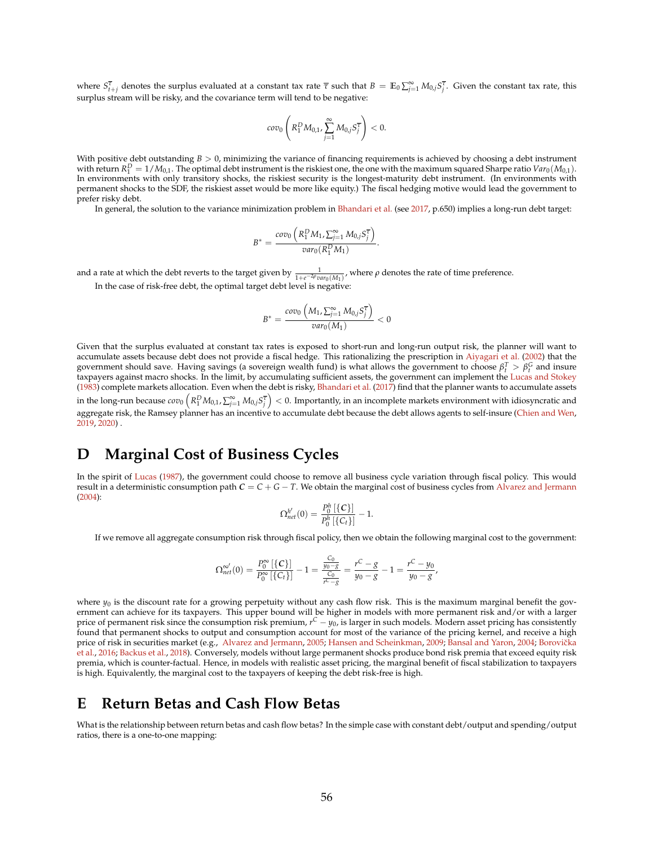where  $S^{\overline{\tau}}_{t+j}$  denotes the surplus evaluated at a constant tax rate  $\overline{\tau}$  such that  $B = \mathbb{E}_0 \sum_{j=1}^{\infty} M_{0,j} S^{\overline{\tau}}_j$ . Given the constant tax rate, this surplus stream will be risky, and the covariance term will tend to be negative:

$$
cov_0\left(R_1^D M_{0,1}, \sum_{j=1}^{\infty} M_{0,j} S_j^{\overline{\tau}}\right) < 0.
$$

With positive debt outstanding  $B > 0$ , minimizing the variance of financing requirements is achieved by choosing a debt instrument with return  $R_1^D = 1/M_{0,1}$ . The optimal debt instrument is the riskiest one, the one with the maximum squared Sharpe ratio  $Var_0(M_{0,1})$ . In environments with only transitory shocks, the riskiest security is the longest-maturity debt instrument. (In environments with permanent shocks to the SDF, the riskiest asset would be more like equity.) The fiscal hedging motive would lead the government to prefer risky debt.

In general, the solution to the variance minimization problem in [Bhandari et al.](#page-37-6) (see [2017,](#page-37-6) p.650) implies a long-run debt target:

$$
B^* = \frac{cov_0\left(R_1^D M_1, \sum_{j=1}^\infty M_{0,j} S_j^{\overline{\tau}}\right)}{var_0(R_1^D M_1)}.
$$

and a rate at which the debt reverts to the target given by  $\frac{1}{1+e^{-2p}var_0(M_1)}$ , where  $\rho$  denotes the rate of time preference.

In the case of risk-free debt, the optimal target debt level is negative:

$$
B^* = \frac{cov_0\left(M_1, \sum_{j=1}^{\infty} M_{0,j} S_j^{\overline{\tau}}\right)}{var_0(M_1)} < 0
$$

Given that the surplus evaluated at constant tax rates is exposed to short-run and long-run output risk, the planner will want to accumulate assets because debt does not provide a fiscal hedge. This rationalizing the prescription in [Aiyagari et al.](#page-36-4) [\(2002\)](#page-36-4) that the government should save. Having savings (a sovereign wealth fund) is what allows the government to choose  $\beta_i^T > \beta_i^G$  and insure taxpayers against macro shocks. In the limit, by accumulating sufficient assets, the government can implement the [Lucas and Stokey](#page-40-5) [\(1983\)](#page-40-5) complete markets allocation. Even when the debt is risky, [Bhandari et al.](#page-37-6) [\(2017\)](#page-37-6) find that the planner wants to accumulate assets in the long-run because  $cov_0\left(R_1^D M_{0,1},\sum_{j=1}^\infty M_{0,j} S_j^\top\right)<0.$  Importantly, in an incomplete markets environment with idiosyncratic and aggregate risk, the Ramsey planner has an incentive to accumulate debt because the debt allows agents to self-insure [\(Chien and Wen,](#page-38-4) [2019,](#page-38-4) [2020\)](#page-38-5) .

## <span id="page-56-0"></span>**D Marginal Cost of Business Cycles**

In the spirit of [Lucas](#page-40-14) [\(1987\)](#page-40-14), the government could choose to remove all business cycle variation through fiscal policy. This would result in a deterministic consumption path  $C = C + G - T$ . We obtain the marginal cost of business cycles from [Alvarez and Jermann](#page-36-1) [\(2004\)](#page-36-1):

$$
\Omega_{net}^{h'}(0) = \frac{P_0^h \left[ \{ C \} \right]}{P_0^h \left[ \{ C_t \} \right]} - 1.
$$

If we remove all aggregate consumption risk through fiscal policy, then we obtain the following marginal cost to the government:

$$
\Omega_{net}^{\infty'}(0) = \frac{P_0^{\infty}[\{C\}]}{P_0^{\infty}[\{C_t\}]} - 1 = \frac{\frac{C_0}{y_0 - g}}{\frac{C_0}{r^C - g}} = \frac{r^C - g}{y_0 - g} - 1 = \frac{r^C - y_0}{y_0 - g},
$$

where  $y_0$  is the discount rate for a growing perpetuity without any cash flow risk. This is the maximum marginal benefit the government can achieve for its taxpayers. This upper bound will be higher in models with more permanent risk and/or with a larger price of permanent risk since the consumption risk premium, *r*<sup>C</sup> − *y*<sub>0</sub>, is larger in such models. Modern asset pricing has consistently found that permanent shocks to output and consumption account for most of the variance of the pricing kernel, and receive a high price of risk in securities market (e.g., [Alvarez and Jermann,](#page-36-0) [2005;](#page-36-0) [Hansen and Scheinkman,](#page-39-4) [2009;](#page-39-4) [Bansal and Yaron,](#page-37-1) [2004;](#page-37-1) Borovička [et al.,](#page-38-1) [2016;](#page-38-1) [Backus et al.,](#page-37-2) [2018\)](#page-37-2). Conversely, models without large permanent shocks produce bond risk premia that exceed equity risk premia, which is counter-factual. Hence, in models with realistic asset pricing, the marginal benefit of fiscal stabilization to taxpayers is high. Equivalently, the marginal cost to the taxpayers of keeping the debt risk-free is high.

## <span id="page-56-1"></span>**E Return Betas and Cash Flow Betas**

What is the relationship between return betas and cash flow betas? In the simple case with constant debt/output and spending/output ratios, there is a one-to-one mapping: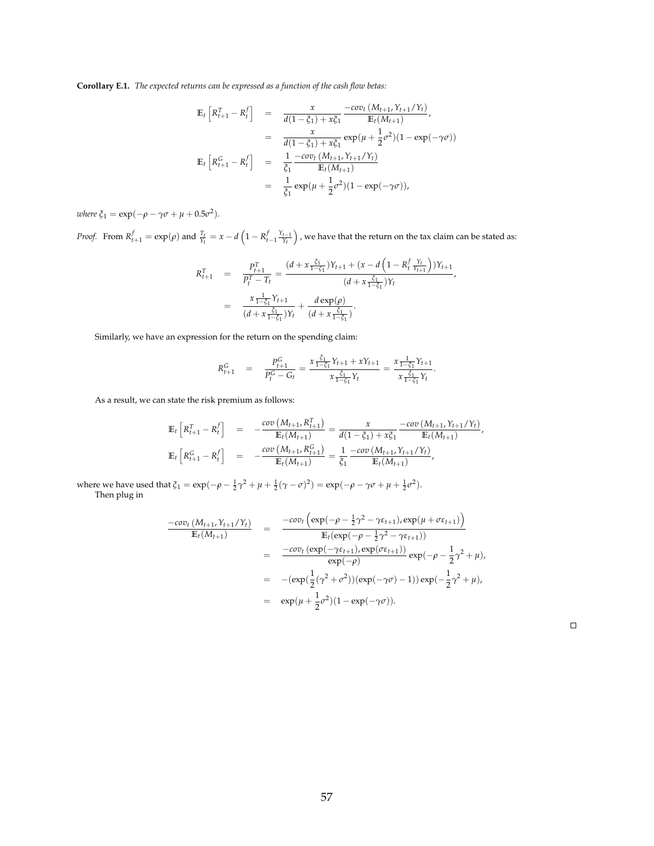**Corollary E.1.** *The expected returns can be expressed as a function of the cash flow betas:*

$$
\mathbb{E}_{t}\left[R_{t+1}^{T} - R_{t}^{f}\right] = \frac{x}{d(1-\xi_{1}) + x\xi_{1}} \frac{-cov_{t}\left(M_{t+1}, Y_{t+1}/Y_{t}\right)}{\mathbb{E}_{t}(M_{t+1})},
$$
\n
$$
= \frac{x}{d(1-\xi_{1}) + x\xi_{1}} exp(\mu + \frac{1}{2}\sigma^{2})(1 - exp(-\gamma\sigma))
$$
\n
$$
\mathbb{E}_{t}\left[R_{t+1}^{G} - R_{t}^{f}\right] = \frac{1}{\xi_{1}} \frac{-cov_{t}\left(M_{t+1}, Y_{t+1}/Y_{t}\right)}{\mathbb{E}_{t}(M_{t+1})}
$$
\n
$$
= \frac{1}{\xi_{1}} exp(\mu + \frac{1}{2}\sigma^{2})(1 - exp(-\gamma\sigma)),
$$

 $where \xi_1 = \exp(-\rho - \gamma \sigma + \mu + 0.5\sigma^2).$ 

*Proof.* From  $R_{t+1}^f = \exp(\rho)$  and  $\frac{T_t}{Y_t} = x - d\left(1 - R_{t-1}^f \frac{Y_{t-1}}{Y_t}\right)$  , we have that the return on the tax claim can be stated as:

$$
R_{t+1}^T = \frac{P_{t+1}^T}{P_t^T - T_t} = \frac{(d + x \frac{\xi_1}{1 - \xi_1})Y_{t+1} + (x - d \left(1 - R_t^f \frac{Y_t}{Y_{t+1}}\right))Y_{t+1}}{(d + x \frac{\xi_1}{1 - \xi_1})Y_t}
$$
\n
$$
= \frac{x \frac{1}{1 - \xi_1} Y_{t+1}}{(d + x \frac{\xi_1}{1 - \xi_1})Y_t} + \frac{d \exp(\rho)}{(d + x \frac{\xi_1}{1 - \xi_1})}.
$$

Similarly, we have an expression for the return on the spending claim:

$$
R_{t+1}^G = \frac{P_{t+1}^G}{P_t^G - G_t} = \frac{x \frac{\xi_1}{1 - \xi_1} Y_{t+1} + x Y_{t+1}}{x \frac{\xi_1}{1 - \xi_1} Y_t} = \frac{x \frac{1}{1 - \xi_1} Y_{t+1}}{x \frac{\xi_1}{1 - \xi_1} Y_t}
$$

.

As a result, we can state the risk premium as follows:

$$
\mathbb{E}_{t}\left[R_{t+1}^{T} - R_{t}^{f}\right] = -\frac{cov\left(M_{t+1}, R_{t+1}^{T}\right)}{\mathbb{E}_{t}(M_{t+1})} = \frac{x}{d(1-\xi_{1}) + x\xi_{1}} \frac{-cov\left(M_{t+1}, Y_{t+1}/Y_{t}\right)}{\mathbb{E}_{t}(M_{t+1})},
$$
\n
$$
\mathbb{E}_{t}\left[R_{t+1}^{G} - R_{t}^{f}\right] = -\frac{cov\left(M_{t+1}, R_{t+1}^{G}\right)}{\mathbb{E}_{t}(M_{t+1})} = \frac{1}{\xi_{1}} \frac{-cov\left(M_{t+1}, Y_{t+1}/Y_{t}\right)}{\mathbb{E}_{t}(M_{t+1})},
$$

where we have used that  $\xi_1 = \exp(-\rho - \frac{1}{2}\gamma^2 + \mu + \frac{1}{2}(\gamma - \sigma)^2) = \exp(-\rho - \gamma\sigma + \mu + \frac{1}{2}\sigma^2)$ . Then plug in

$$
\frac{-cov_t (M_{t+1}, Y_{t+1}/Y_t)}{\mathbb{E}_t (M_{t+1})} = \frac{-cov_t (\exp(-\rho - \frac{1}{2}\gamma^2 - \gamma \varepsilon_{t+1}), \exp(\mu + \sigma \varepsilon_{t+1}))}{\mathbb{E}_t (\exp(-\rho - \frac{1}{2}\gamma^2 - \gamma \varepsilon_{t+1}))}
$$
  
\n
$$
= \frac{-cov_t (\exp(-\gamma \varepsilon_{t+1}), \exp(\sigma \varepsilon_{t+1}))}{\exp(-\rho)} \exp(-\rho - \frac{1}{2}\gamma^2 + \mu),
$$
  
\n
$$
= -(\exp(\frac{1}{2}(\gamma^2 + \sigma^2))(\exp(-\gamma \sigma) - 1)) \exp(-\frac{1}{2}\gamma^2 + \mu),
$$
  
\n
$$
= \exp(\mu + \frac{1}{2}\sigma^2)(1 - \exp(-\gamma \sigma)).
$$

 $\hfill\square$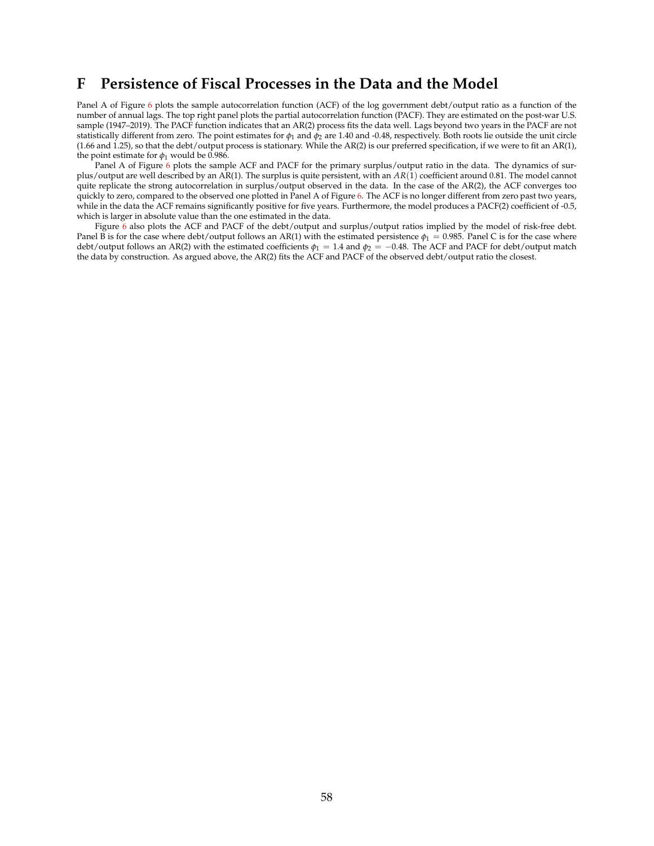## <span id="page-58-0"></span>**F Persistence of Fiscal Processes in the Data and the Model**

Panel A of Figure [6](#page-59-0) plots the sample autocorrelation function (ACF) of the log government debt/output ratio as a function of the number of annual lags. The top right panel plots the partial autocorrelation function (PACF). They are estimated on the post-war U.S. sample (1947–2019). The PACF function indicates that an AR(2) process fits the data well. Lags beyond two years in the PACF are not statistically different from zero. The point estimates for *φ*<sup>1</sup> and *φ*<sup>2</sup> are 1.40 and -0.48, respectively. Both roots lie outside the unit circle (1.66 and 1.25), so that the debt/output process is stationary. While the AR(2) is our preferred specification, if we were to fit an AR(1), the point estimate for  $\phi_1$  would be 0.986.

Panel A of Figure [6](#page-59-0) plots the sample ACF and PACF for the primary surplus/output ratio in the data. The dynamics of surplus/output are well described by an AR(1). The surplus is quite persistent, with an *AR*(1) coefficient around 0.81. The model cannot quite replicate the strong autocorrelation in surplus/output observed in the data. In the case of the AR(2), the ACF converges too quickly to zero, compared to the observed one plotted in Panel A of Figure [6.](#page-59-0) The ACF is no longer different from zero past two years, while in the data the ACF remains significantly positive for five years. Furthermore, the model produces a PACF(2) coefficient of -0.5, which is larger in absolute value than the one estimated in the data.

Figure [6](#page-59-0) also plots the ACF and PACF of the debt/output and surplus/output ratios implied by the model of risk-free debt. Panel B is for the case where debt/output follows an AR(1) with the estimated persistence  $\phi_1 = 0.985$ . Panel C is for the case where debt/output follows an AR(2) with the estimated coefficients  $\phi_1 = 1.4$  and  $\phi_2 = -0.48$ . The ACF and PACF for debt/output match the data by construction. As argued above, the AR(2) fits the ACF and PACF of the observed debt/output ratio the closest.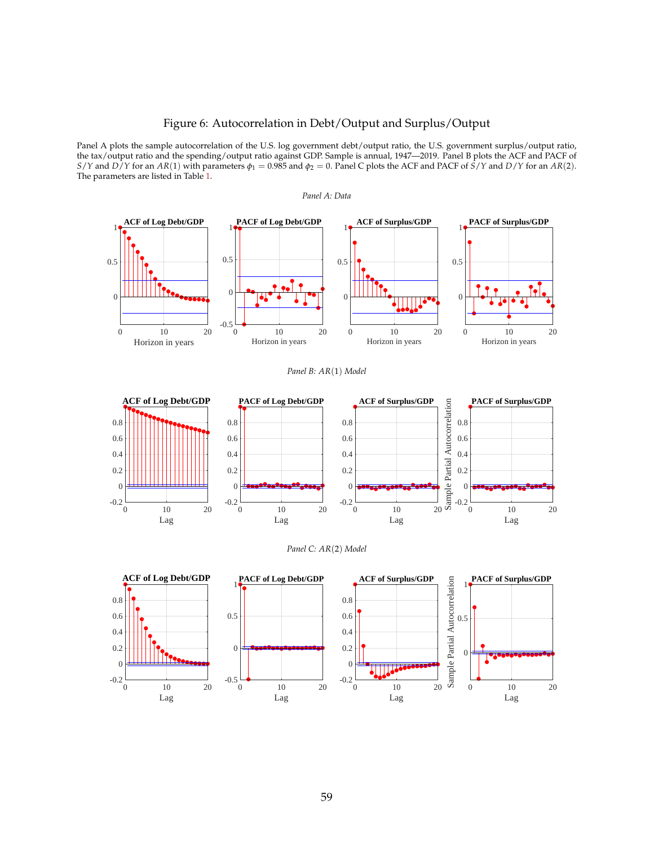### Figure 6: Autocorrelation in Debt/Output and Surplus/Output

<span id="page-59-0"></span>Panel A plots the sample autocorrelation of the U.S. log government debt/output ratio, the U.S. government surplus/output ratio, the tax/output ratio and the spending/output ratio against GDP. Sample is annual, 1947—2019. Panel B plots the ACF and PACF of *S*/*Y* and *D*/*Y* for an *AR*(1) with parameters  $\varphi_1 = 0.985$  and  $\varphi_2 = 0$ . Panel C plots the ACF and PACF of *S*/*Y* and *D*/*Y* for an *AR*(2). The parameters are listed in Table [1.](#page-21-0)









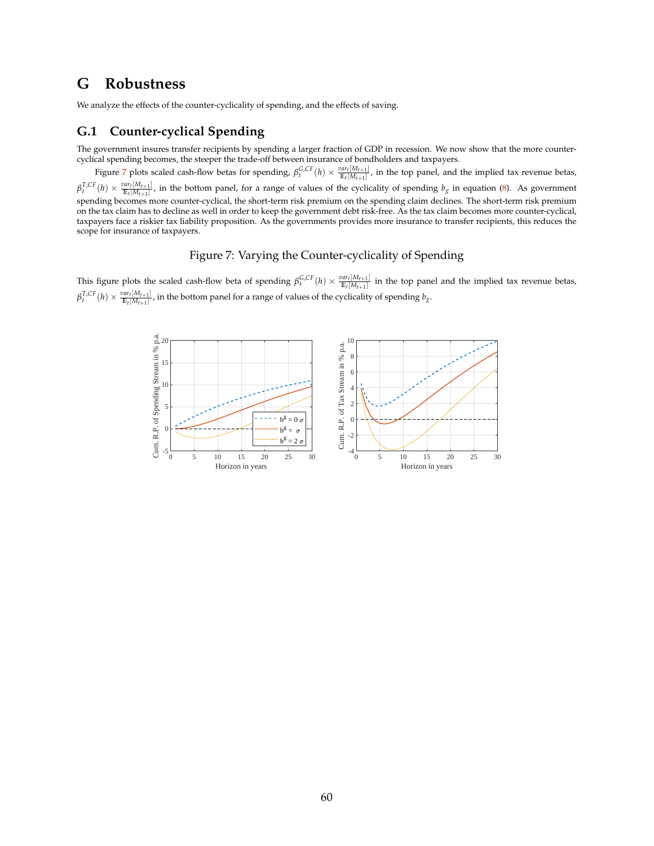# <span id="page-60-0"></span>**G Robustness**

We analyze the effects of the counter-cyclicality of spending, and the effects of saving.

### **G.1 Counter-cyclical Spending**

The government insures transfer recipients by spending a larger fraction of GDP in recession. We now show that the more countercyclical spending becomes, the steeper the trade-off between insurance of bondholders and taxpayers.

Figure [7](#page-60-1) plots scaled cash-flow betas for spending,  $\beta_t^{G,CF}(h) \times \frac{var_t[M_{t+1}]}{E_t[M_{t+1}]}$ , in the top panel, and the implied tax revenue betas,  $\beta_t^{\mathcal{T},CF}(h) \times \frac{var_t[M_{t+1}]}{E_t[M_{t+1}]}$ , in the bottom panel, for a range of values of the cyclicality of spending  $b_g$  in equation [\(8\)](#page-26-1). As government spending becomes more counter-cyclical, the short-term risk premium on the spending claim declines. The short-term risk premium on the tax claim has to decline as well in order to keep the government debt risk-free. As the tax claim becomes more counter-cyclical, taxpayers face a riskier tax liability proposition. As the governments provides more insurance to transfer recipients, this reduces the scope for insurance of taxpayers.

#### Figure 7: Varying the Counter-cyclicality of Spending

<span id="page-60-1"></span>This figure plots the scaled cash-flow beta of spending  $\beta_t^{G,CF}(h) \times \frac{var_t[M_{t+1}]}{E_t[M_{t+1}]}$  in the top panel and the implied tax revenue betas,  $\beta_t^{T,CF}(h) \times \frac{var_t[M_{t+1}]}{E_t[M_{t+1}]}$ , in the bottom panel for a range of values of the cyclicality of spending  $b_g$ .

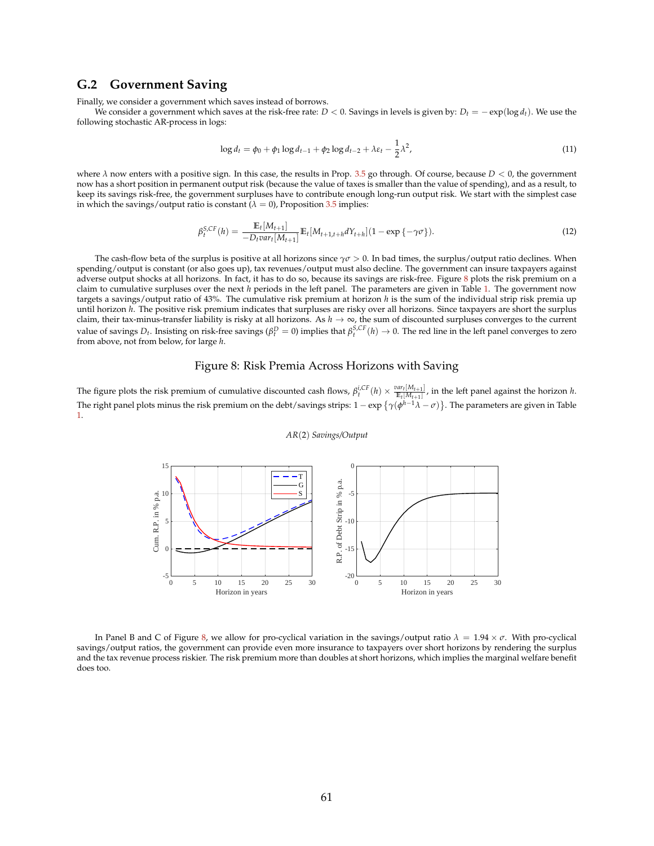### **G.2 Government Saving**

Finally, we consider a government which saves instead of borrows.

We consider a government which saves at the risk-free rate:  $D < 0$ . Savings in levels is given by:  $D_t = -\exp(\log d_t)$ . We use the following stochastic AR-process in logs:

$$
\log d_t = \phi_0 + \phi_1 \log d_{t-1} + \phi_2 \log d_{t-2} + \lambda \varepsilon_t - \frac{1}{2} \lambda^2,
$$
\n(11)

where *λ* now enters with a positive sign. In this case, the results in Prop. [3.5](#page-27-0) go through. Of course, because *D* < 0, the government now has a short position in permanent output risk (because the value of taxes is smaller than the value of spending), and as a result, to keep its savings risk-free, the government surpluses have to contribute enough long-run output risk. We start with the simplest case in which the savings/output ratio is constant  $(\lambda = 0)$ , Proposition [3.5](#page-27-0) implies:

$$
\beta_t^{S,CF}(h) = \frac{\mathbb{E}_t[M_{t+1}]}{-D_t \text{var}_t[M_{t+1}]} \mathbb{E}_t[M_{t+1,t+h}dY_{t+h}](1 - \exp\{-\gamma\sigma\}).\tag{12}
$$

The cash-flow beta of the surplus is positive at all horizons since  $\gamma \sigma > 0$ . In bad times, the surplus/output ratio declines. When spending/output is constant (or also goes up), tax revenues/output must also decline. The government can insure taxpayers against adverse output shocks at all horizons. In fact, it has to do so, because its savings are risk-free. Figure [8](#page-61-0) plots the risk premium on a claim to cumulative surpluses over the next *h* periods in the left panel. The parameters are given in Table [1.](#page-21-0) The government now targets a savings/output ratio of 43%. The cumulative risk premium at horizon *h* is the sum of the individual strip risk premia up until horizon *h*. The positive risk premium indicates that surpluses are risky over all horizons. Since taxpayers are short the surplus claim, their tax-minus-transfer liability is risky at all horizons. As  $h \to \infty$ , the sum of discounted surpluses converges to the current value of savings  $D_t$ . Insisting on risk-free savings ( $\beta_t^D = 0$ ) implies that  $\beta_t^{S,CF}(h) \to 0$ . The red line in the left panel converges to zero from above, not from below, for large *h*.

#### Figure 8: Risk Premia Across Horizons with Saving

<span id="page-61-0"></span>The figure plots the risk premium of cumulative discounted cash flows,  $\beta_t^{i,CF}(h) \times \frac{var_t[M_{t+1}]}{E_t[M_{t+1}]}$ , in the left panel against the horizon h. The right panel plots minus the risk premium on the debt/savings strips: 1 − exp *γ*(*φ <sup>h</sup>*−1*λ* − *σ*) . The parameters are given in Table [1.](#page-21-0)



#### *AR*(2) *Savings/Output*

In Panel B and C of Figure [8,](#page-61-0) we allow for pro-cyclical variation in the savings/output ratio *λ* = 1.94 × *σ*. With pro-cyclical savings/output ratios, the government can provide even more insurance to taxpayers over short horizons by rendering the surplus and the tax revenue process riskier. The risk premium more than doubles at short horizons, which implies the marginal welfare benefit does too.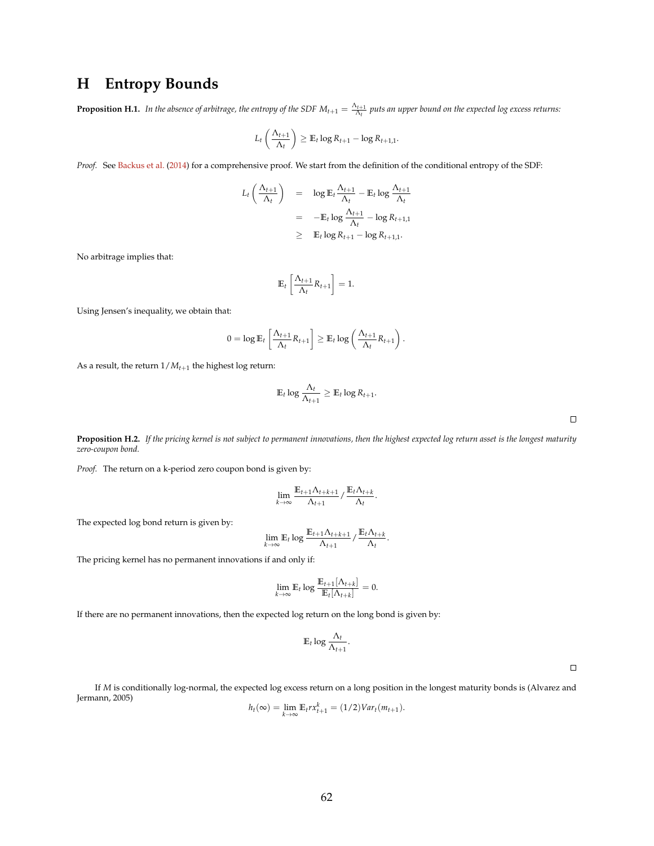# <span id="page-62-0"></span>**H Entropy Bounds**

**Proposition H.1.** In the absence of arbitrage, the entropy of the SDF  $M_{t+1} = \frac{\Lambda_{t+1}}{\Lambda_t}$  puts an upper bound on the expected log excess returns:

$$
L_t\left(\frac{\Lambda_{t+1}}{\Lambda_t}\right) \geq \mathbb{E}_t \log R_{t+1} - \log R_{t+1,1}.
$$

*Proof.* See [Backus et al.](#page-37-4) [\(2014\)](#page-37-4) for a comprehensive proof. We start from the definition of the conditional entropy of the SDF:

$$
L_t\left(\frac{\Lambda_{t+1}}{\Lambda_t}\right) = \log \mathbb{E}_t \frac{\Lambda_{t+1}}{\Lambda_t} - \mathbb{E}_t \log \frac{\Lambda_{t+1}}{\Lambda_t}
$$
  
= 
$$
-\mathbb{E}_t \log \frac{\Lambda_{t+1}}{\Lambda_t} - \log R_{t+1,1}
$$
  

$$
\geq \mathbb{E}_t \log R_{t+1} - \log R_{t+1,1}.
$$

No arbitrage implies that:

$$
\mathbb{E}_t\left[\frac{\Lambda_{t+1}}{\Lambda_t}R_{t+1}\right] = 1.
$$

Using Jensen's inequality, we obtain that:

$$
0 = \log \mathbb{E}_t \left[ \frac{\Lambda_{t+1}}{\Lambda_t} R_{t+1} \right] \geq \mathbb{E}_t \log \left( \frac{\Lambda_{t+1}}{\Lambda_t} R_{t+1} \right).
$$

As a result, the return  $1/M_{t+1}$  the highest log return:

$$
\mathbb{E}_t \log \frac{\Lambda_t}{\Lambda_{t+1}} \geq \mathbb{E}_t \log R_{t+1}.
$$

 $\Box$ 

**Proposition H.2.** *If the pricing kernel is not subject to permanent innovations, then the highest expected log return asset is the longest maturity zero-coupon bond.*

*Proof.* The return on a k-period zero coupon bond is given by:

$$
\lim_{k\to\infty}\frac{\mathbb{E}_{t+1}\Lambda_{t+k+1}}{\Lambda_{t+1}}/\frac{\mathbb{E}_{t}\Lambda_{t+k}}{\Lambda_{t}}.
$$

The expected log bond return is given by:

$$
\lim_{k\to\infty} \mathbb{E}_t \log \frac{\mathbb{E}_{t+1} \Lambda_{t+k+1}}{\Lambda_{t+1}} / \frac{\mathbb{E}_t \Lambda_{t+k}}{\Lambda_t}.
$$

The pricing kernel has no permanent innovations if and only if:

$$
\lim_{k\to\infty} \mathbb{E}_t \log \frac{\mathbb{E}_{t+1}[\Lambda_{t+k}]}{\mathbb{E}_t[\Lambda_{t+k}]} = 0.
$$

If there are no permanent innovations, then the expected log return on the long bond is given by:

$$
\mathbb{E}_t \log \frac{\Lambda_t}{\Lambda_{t+1}}.
$$

 $\Box$ 

If *M* is conditionally log-normal, the expected log excess return on a long position in the longest maturity bonds is (Alvarez and Jermann, 2005)

$$
h_t(\infty) = \lim_{k \to \infty} \mathbb{E}_t r x_{t+1}^k = (1/2) \text{Var}_t(m_{t+1}).
$$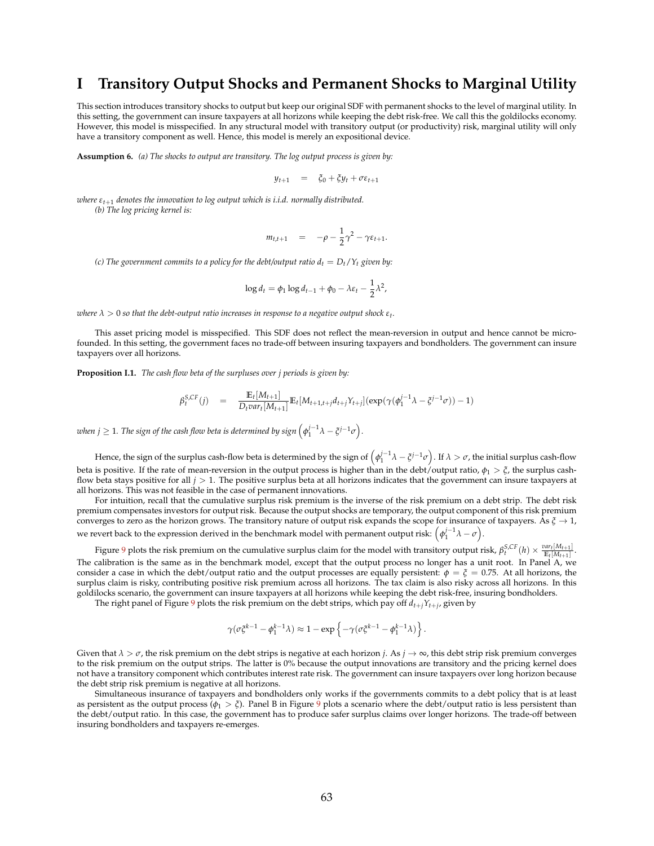## <span id="page-63-0"></span>**I Transitory Output Shocks and Permanent Shocks to Marginal Utility**

This section introduces transitory shocks to output but keep our original SDF with permanent shocks to the level of marginal utility. In this setting, the government can insure taxpayers at all horizons while keeping the debt risk-free. We call this the goldilocks economy. However, this model is misspecified. In any structural model with transitory output (or productivity) risk, marginal utility will only have a transitory component as well. Hence, this model is merely an expositional device.

**Assumption 6.** *(a) The shocks to output are transitory. The log output process is given by:*

$$
y_{t+1} = \xi_0 + \xi y_t + \sigma \varepsilon_{t+1}
$$

*where εt*+<sup>1</sup> *denotes the innovation to log output which is i.i.d. normally distributed.*

*(b) The log pricing kernel is:*

$$
m_{t,t+1} = -\rho - \frac{1}{2}\gamma^2 - \gamma \varepsilon_{t+1}.
$$

*(c)* The government commits to a policy for the debt/output ratio  $d_t = D_t/Y_t$  given by:

$$
\log d_t = \phi_1 \log d_{t-1} + \phi_0 - \lambda \varepsilon_t - \frac{1}{2} \lambda^2,
$$

 $\alpha$  *λ*  $>$  0 so that the debt-output ratio increases in response to a negative output shock  $\varepsilon_t$ .

This asset pricing model is misspecified. This SDF does not reflect the mean-reversion in output and hence cannot be microfounded. In this setting, the government faces no trade-off between insuring taxpayers and bondholders. The government can insure taxpayers over all horizons.

<span id="page-63-1"></span>**Proposition I.1.** *The cash flow beta of the surpluses over j periods is given by:*

$$
\beta_t^{S,CF}(j) = \frac{\mathbb{E}_t[M_{t+1}]}{D_t var_t[M_{t+1}]} \mathbb{E}_t[M_{t+1,t+j}d_{t+j}Y_{t+j}](exp(\gamma(\phi_1^{j-1}\lambda - \xi^{j-1}\sigma)) - 1)
$$

when  $j\geq 1$ . The sign of the cash flow beta is determined by sign  $\left(\phi_1^{j-1}\lambda-\xi^{j-1}\sigma\right)$ .

Hence, the sign of the surplus cash-flow beta is determined by the sign of  $\left(\phi_1^{j-1}\lambda-\xi^{j-1}\sigma\right)$ . If  $\lambda>\sigma$ , the initial surplus cash-flow beta is positive. If the rate of mean-reversion in the output process is higher than in the debt/output ratio,  $\phi_1 > \xi$ , the surplus cashflow beta stays positive for all *j* > 1. The positive surplus beta at all horizons indicates that the government can insure taxpayers at all horizons. This was not feasible in the case of permanent innovations.

For intuition, recall that the cumulative surplus risk premium is the inverse of the risk premium on a debt strip. The debt risk premium compensates investors for output risk. Because the output shocks are temporary, the output component of this risk premium converges to zero as the horizon grows. The transitory nature of output risk expands the scope for insurance of taxpayers. As *ξ* → 1, we revert back to the expression derived in the benchmark model with permanent output risk:  $(\phi_1^{j-1}\lambda-\sigma)$ .

Figure [9](#page-64-0) plots the risk premium on the cumulative surplus claim for the model with transitory output risk,  $\beta_t^{S,CF}(h) \times \frac{var_t[M_{t+1}]}{E_t[M_{t+1}]}$ . The calibration is the same as in the benchmark model, except that the output process no longer has a unit root. In Panel A, we consider a case in which the debt/output ratio and the output processes are equally persistent:  $\phi = \zeta = 0.75$ . At all horizons, the surplus claim is risky, contributing positive risk premium across all horizons. The tax claim is also risky across all horizons. In this goldilocks scenario, the government can insure taxpayers at all horizons while keeping the debt risk-free, insuring bondholders.

The right panel of Figure [9](#page-64-0) plots the risk premium on the debt strips, which pay off  $d_{t+j}Y_{t+j}$ , given by

$$
\gamma(\sigma \xi^{k-1} - \phi_1^{k-1} \lambda) \approx 1 - \exp\left\{ - \gamma (\sigma \xi^{k-1} - \phi_1^{k-1} \lambda) \right\}.
$$

Given that  $\lambda > \sigma$ , the risk premium on the debt strips is negative at each horizon *j*. As  $j \to \infty$ , this debt strip risk premium converges to the risk premium on the output strips. The latter is 0% because the output innovations are transitory and the pricing kernel does not have a transitory component which contributes interest rate risk. The government can insure taxpayers over long horizon because the debt strip risk premium is negative at all horizons.

Simultaneous insurance of taxpayers and bondholders only works if the governments commits to a debt policy that is at least as persistent as the output process ( $\phi_1 > \xi$ ). Panel B in Figure [9](#page-64-0) plots a scenario where the debt/output ratio is less persistent than the debt/output ratio. In this case, the government has to produce safer surplus claims over longer horizons. The trade-off between insuring bondholders and taxpayers re-emerges.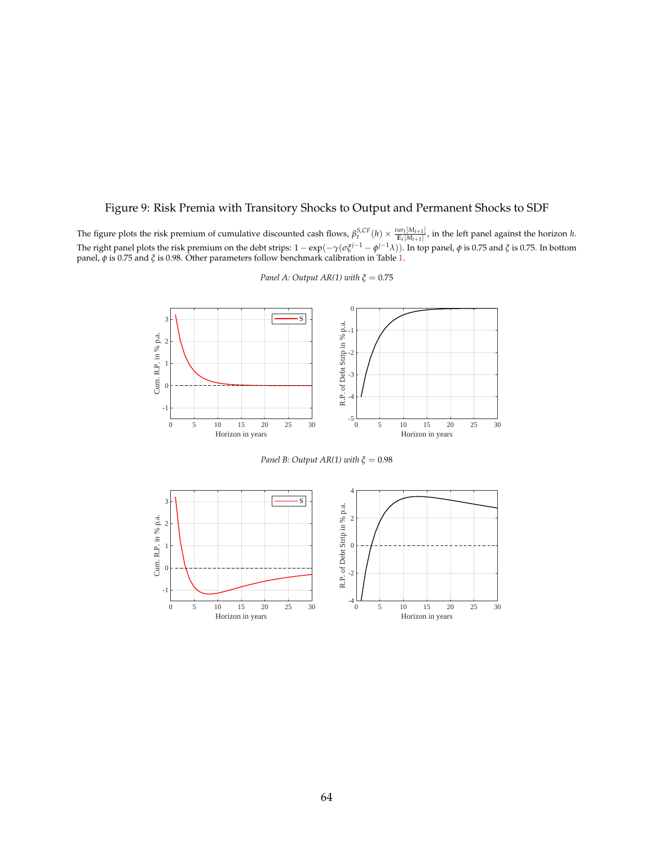## <span id="page-64-0"></span>Figure 9: Risk Premia with Transitory Shocks to Output and Permanent Shocks to SDF

The figure plots the risk premium of cumulative discounted cash flows,  $\beta_t^{S,CF}(h) \times \frac{var_t[M_{t+1}]}{E_t[M_{t+1}]}$ , in the left panel against the horizon h. The right panel plots the risk premium on the debt strips: 1 − exp(−*γ*(*σξj*−<sup>1</sup> − *φ <sup>j</sup>*−1*λ*)). In top panel, *φ* is 0.75 and *ξ* is 0.75. In bottom panel, *φ* is 0.75 and *ξ* is 0.98. Other parameters follow benchmark calibration in Table [1.](#page-21-0)



*Panel A: Output AR(1) with*  $\zeta = 0.75$ 

*Panel B: Output AR(1) with*  $ξ = 0.98$